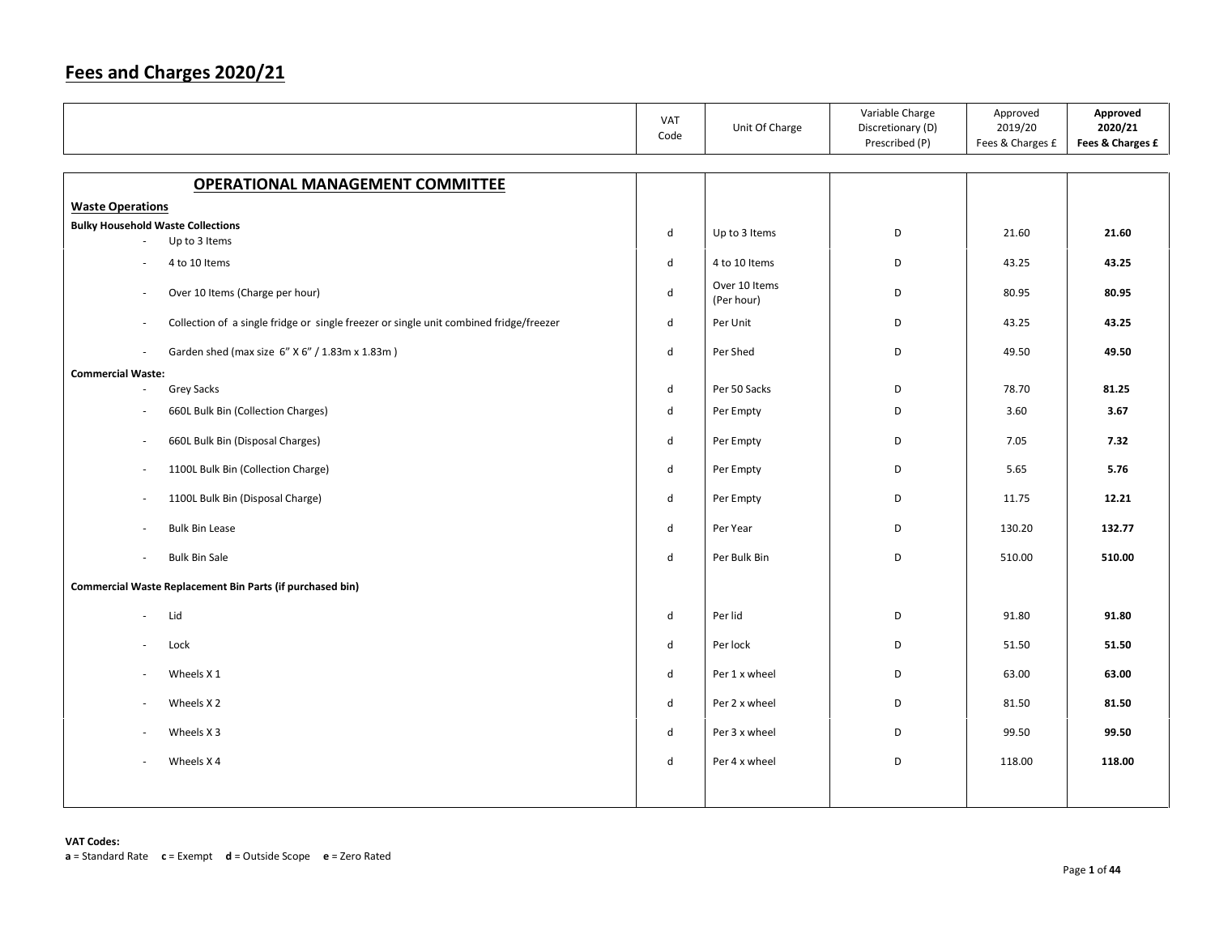|                                                                                                  | VAT<br>Code                 | Unit Of Charge              | Variable Charge<br>Discretionary (D)<br>Prescribed (P) | Approved<br>2019/20<br>Fees & Charges £ | Approved<br>2020/21<br>Fees & Charges £ |
|--------------------------------------------------------------------------------------------------|-----------------------------|-----------------------------|--------------------------------------------------------|-----------------------------------------|-----------------------------------------|
| <b>OPERATIONAL MANAGEMENT COMMITTEE</b>                                                          |                             |                             |                                                        |                                         |                                         |
| <b>Waste Operations</b>                                                                          |                             |                             |                                                        |                                         |                                         |
| <b>Bulky Household Waste Collections</b>                                                         | d                           | Up to 3 Items               | D                                                      | 21.60                                   | 21.60                                   |
| Up to 3 Items                                                                                    |                             |                             |                                                        |                                         |                                         |
| 4 to 10 Items                                                                                    | $\mathsf{d}$                | 4 to 10 Items               | D                                                      | 43.25                                   | 43.25                                   |
| Over 10 Items (Charge per hour)<br>$\sim$                                                        | d                           | Over 10 Items<br>(Per hour) | D                                                      | 80.95                                   | 80.95                                   |
| Collection of a single fridge or single freezer or single unit combined fridge/freezer<br>$\sim$ | d                           | Per Unit                    | D                                                      | 43.25                                   | 43.25                                   |
| Garden shed (max size 6" X 6" / 1.83m x 1.83m)                                                   | $\operatorname{\mathsf{d}}$ | Per Shed                    | D                                                      | 49.50                                   | 49.50                                   |
| <b>Commercial Waste:</b>                                                                         |                             |                             |                                                        | 78.70                                   |                                         |
| Grey Sacks<br>÷.                                                                                 | d                           | Per 50 Sacks                | D                                                      |                                         | 81.25                                   |
| 660L Bulk Bin (Collection Charges)                                                               | d                           | Per Empty                   | D                                                      | 3.60                                    | 3.67                                    |
| 660L Bulk Bin (Disposal Charges)<br>÷.                                                           | d                           | Per Empty                   | D                                                      | 7.05                                    | 7.32                                    |
| 1100L Bulk Bin (Collection Charge)<br>$\sim$                                                     | d                           | Per Empty                   | D                                                      | 5.65                                    | 5.76                                    |
| 1100L Bulk Bin (Disposal Charge)<br>$\sim$                                                       | d                           | Per Empty                   | D                                                      | 11.75                                   | 12.21                                   |
| <b>Bulk Bin Lease</b>                                                                            | $\mathsf{d}$                | Per Year                    | D                                                      | 130.20                                  | 132.77                                  |
| <b>Bulk Bin Sale</b><br>$\sim$                                                                   | $\mathsf{d}$                | Per Bulk Bin                | D                                                      | 510.00                                  | 510.00                                  |
| Commercial Waste Replacement Bin Parts (if purchased bin)                                        |                             |                             |                                                        |                                         |                                         |
| Lid<br>$\sim$                                                                                    | d                           | Per lid                     | D                                                      | 91.80                                   | 91.80                                   |
| Lock                                                                                             | d                           | Per lock                    | D                                                      | 51.50                                   | 51.50                                   |
| Wheels X 1<br>$\overline{\phantom{a}}$                                                           | d                           | Per 1 x wheel               | D                                                      | 63.00                                   | 63.00                                   |
| Wheels X <sub>2</sub>                                                                            | d                           | Per 2 x wheel               | D                                                      | 81.50                                   | 81.50                                   |
| Wheels X 3                                                                                       | d                           | Per 3 x wheel               | D                                                      | 99.50                                   | 99.50                                   |
| Wheels X4                                                                                        | d                           | Per 4 x wheel               | D                                                      | 118.00                                  | 118.00                                  |
|                                                                                                  |                             |                             |                                                        |                                         |                                         |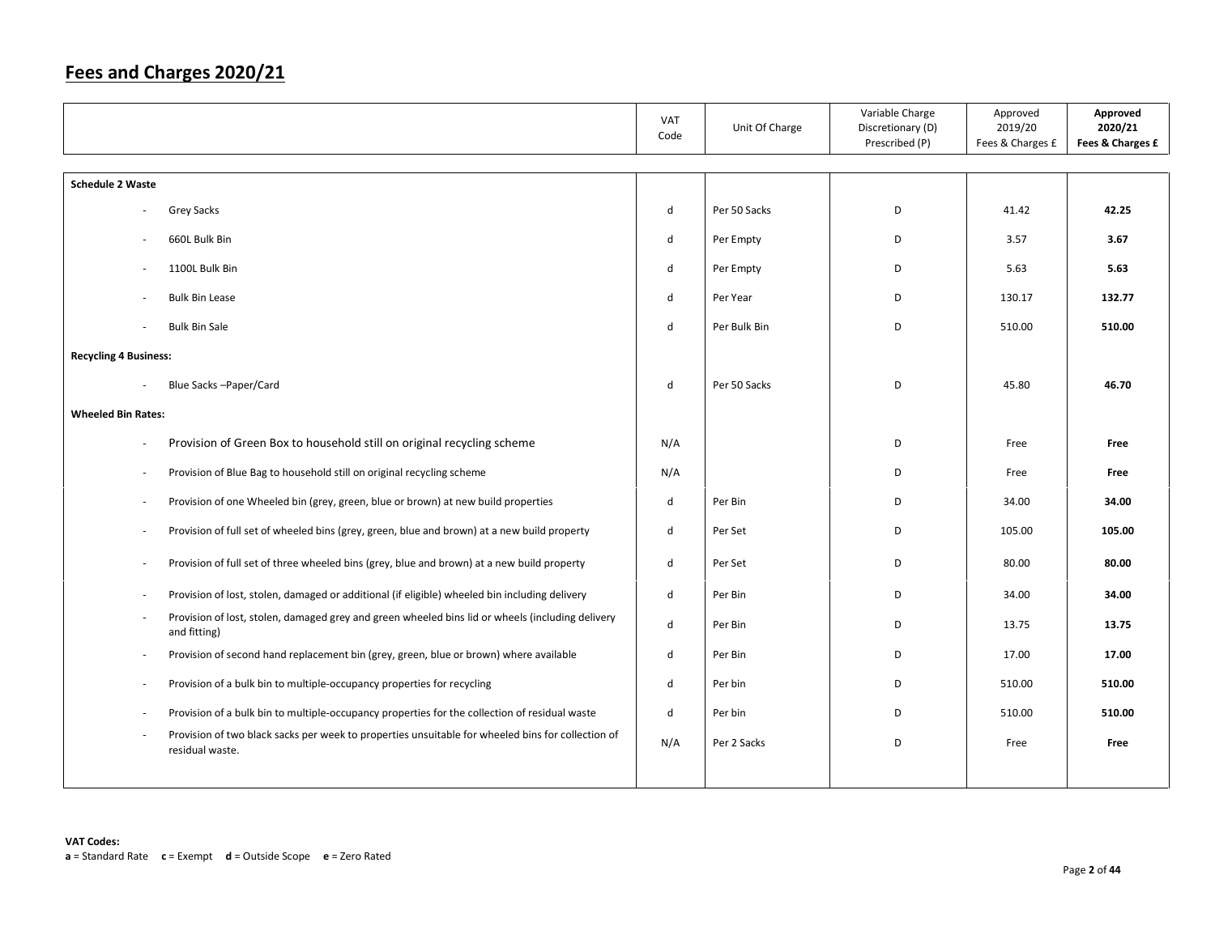|                              |                                                                                                                      | VAT<br>Code | Unit Of Charge | Variable Charge<br>Discretionary (D)<br>Prescribed (P) | Approved<br>2019/20<br>Fees & Charges £ | Approved<br>2020/21<br>Fees & Charges £ |
|------------------------------|----------------------------------------------------------------------------------------------------------------------|-------------|----------------|--------------------------------------------------------|-----------------------------------------|-----------------------------------------|
| <b>Schedule 2 Waste</b>      |                                                                                                                      |             |                |                                                        |                                         |                                         |
|                              | Grey Sacks                                                                                                           | d           | Per 50 Sacks   | D                                                      | 41.42                                   | 42.25                                   |
|                              |                                                                                                                      |             |                |                                                        |                                         |                                         |
|                              | 660L Bulk Bin                                                                                                        | d           | Per Empty      | D                                                      | 3.57                                    | 3.67                                    |
| $\overline{\phantom{a}}$     | 1100L Bulk Bin                                                                                                       | d           | Per Empty      | D                                                      | 5.63                                    | 5.63                                    |
|                              | <b>Bulk Bin Lease</b>                                                                                                | d           | Per Year       | D                                                      | 130.17                                  | 132.77                                  |
|                              | <b>Bulk Bin Sale</b>                                                                                                 | d           | Per Bulk Bin   | D                                                      | 510.00                                  | 510.00                                  |
| <b>Recycling 4 Business:</b> |                                                                                                                      |             |                |                                                        |                                         |                                         |
|                              | Blue Sacks-Paper/Card                                                                                                | d           | Per 50 Sacks   | D                                                      | 45.80                                   | 46.70                                   |
| <b>Wheeled Bin Rates:</b>    |                                                                                                                      |             |                |                                                        |                                         |                                         |
|                              |                                                                                                                      |             |                |                                                        |                                         |                                         |
| $\overline{\phantom{a}}$     | Provision of Green Box to household still on original recycling scheme                                               | N/A         |                | D                                                      | Free                                    | Free                                    |
| $\overline{\phantom{a}}$     | Provision of Blue Bag to household still on original recycling scheme                                                | N/A         |                | D                                                      | Free                                    | Free                                    |
|                              | Provision of one Wheeled bin (grey, green, blue or brown) at new build properties                                    | d           | Per Bin        | D                                                      | 34.00                                   | 34.00                                   |
| $\sim$                       | Provision of full set of wheeled bins (grey, green, blue and brown) at a new build property                          | d           | Per Set        | D                                                      | 105.00                                  | 105.00                                  |
| $\overline{\phantom{a}}$     | Provision of full set of three wheeled bins (grey, blue and brown) at a new build property                           | d           | Per Set        | D                                                      | 80.00                                   | 80.00                                   |
| $\overline{\phantom{a}}$     | Provision of lost, stolen, damaged or additional (if eligible) wheeled bin including delivery                        | d           | Per Bin        | D                                                      | 34.00                                   | 34.00                                   |
| $\sim$                       | Provision of lost, stolen, damaged grey and green wheeled bins lid or wheels (including delivery<br>and fitting)     | d           | Per Bin        | D                                                      | 13.75                                   | 13.75                                   |
| $\overline{\phantom{a}}$     | Provision of second hand replacement bin (grey, green, blue or brown) where available                                | d           | Per Bin        | D                                                      | 17.00                                   | 17.00                                   |
| ٠.                           | Provision of a bulk bin to multiple-occupancy properties for recycling                                               | d           | Per bin        | D                                                      | 510.00                                  | 510.00                                  |
| $\overline{\phantom{a}}$     | Provision of a bulk bin to multiple-occupancy properties for the collection of residual waste                        | d           | Per bin        | D                                                      | 510.00                                  | 510.00                                  |
|                              | Provision of two black sacks per week to properties unsuitable for wheeled bins for collection of<br>residual waste. | N/A         | Per 2 Sacks    | D                                                      | Free                                    | Free                                    |
|                              |                                                                                                                      |             |                |                                                        |                                         |                                         |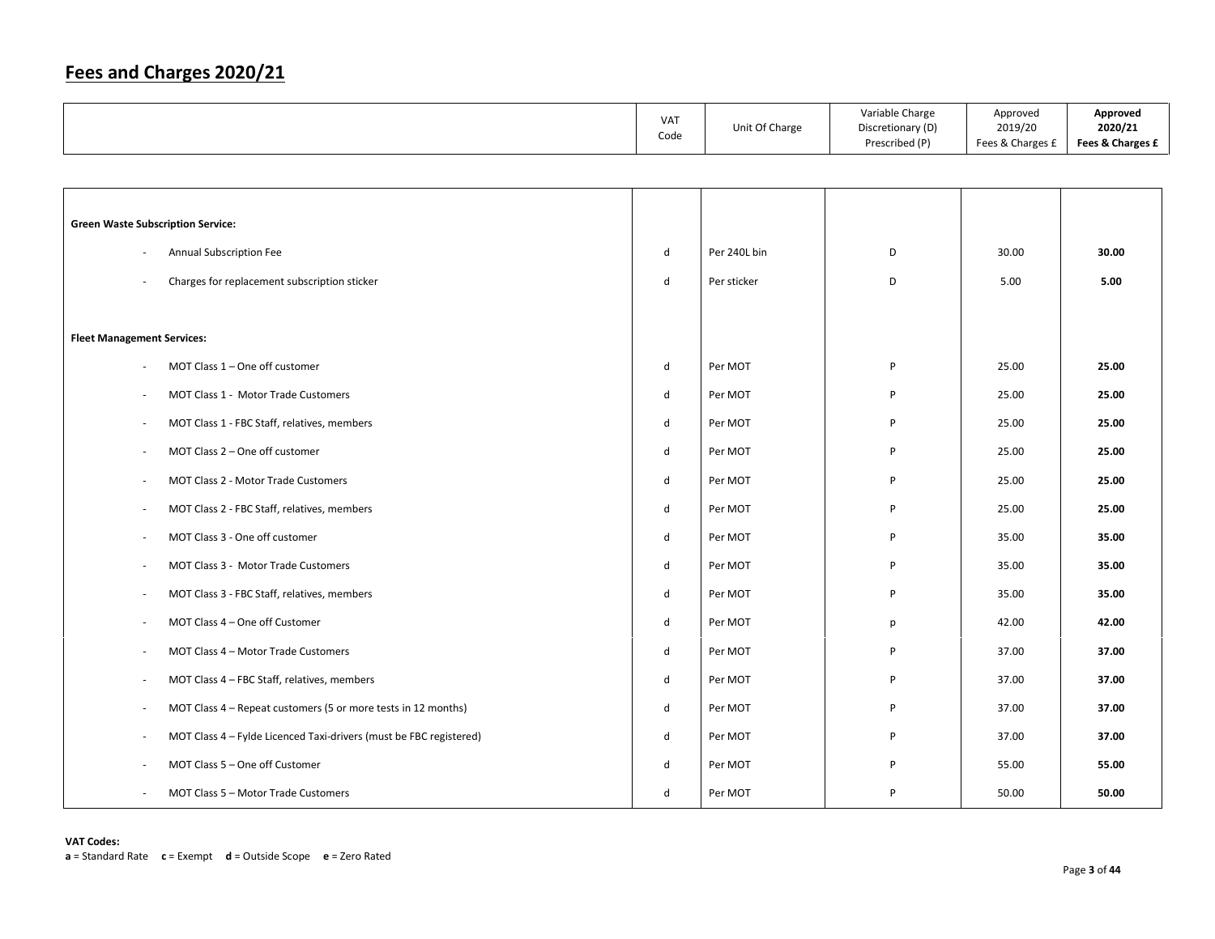|                                                                    | VAT<br>Code  | Unit Of Charge | Variable Charge<br>Discretionary (D)<br>Prescribed (P) | Approved<br>2019/20<br>Fees & Charges £ | Approved<br>2020/21<br>Fees & Charges £ |
|--------------------------------------------------------------------|--------------|----------------|--------------------------------------------------------|-----------------------------------------|-----------------------------------------|
|                                                                    |              |                |                                                        |                                         |                                         |
|                                                                    |              |                |                                                        |                                         |                                         |
| <b>Green Waste Subscription Service:</b>                           |              |                |                                                        |                                         |                                         |
| Annual Subscription Fee                                            | d            | Per 240L bin   | D                                                      | 30.00                                   | 30.00                                   |
| Charges for replacement subscription sticker                       | $\mathsf{d}$ | Per sticker    | D                                                      | 5.00                                    | 5.00                                    |
|                                                                    |              |                |                                                        |                                         |                                         |
| <b>Fleet Management Services:</b>                                  |              |                |                                                        |                                         |                                         |
| MOT Class $1 -$ One off customer                                   | d            | Per MOT        | P                                                      | 25.00                                   | 25.00                                   |
| MOT Class 1 - Motor Trade Customers                                | ${\sf d}$    | Per MOT        | P                                                      | 25.00                                   | 25.00                                   |
| MOT Class 1 - FBC Staff, relatives, members                        | d            | Per MOT        | P                                                      | 25.00                                   | 25.00                                   |
| MOT Class 2 - One off customer                                     | ${\sf d}$    | Per MOT        | P                                                      | 25.00                                   | 25.00                                   |
| MOT Class 2 - Motor Trade Customers                                | d            | Per MOT        | P                                                      | 25.00                                   | 25.00                                   |
| MOT Class 2 - FBC Staff, relatives, members                        | ${\sf d}$    | Per MOT        | P                                                      | 25.00                                   | 25.00                                   |
| MOT Class 3 - One off customer                                     | d            | Per MOT        | P                                                      | 35.00                                   | 35.00                                   |
| MOT Class 3 - Motor Trade Customers                                | $\mathsf{d}$ | Per MOT        | P                                                      | 35.00                                   | 35.00                                   |
| MOT Class 3 - FBC Staff, relatives, members                        | $\mathsf{d}$ | Per MOT        | P                                                      | 35.00                                   | 35.00                                   |
| MOT Class 4 - One off Customer                                     | $\mathsf{d}$ | Per MOT        | р                                                      | 42.00                                   | 42.00                                   |
| MOT Class 4 - Motor Trade Customers                                | $\mathsf{d}$ | Per MOT        | P                                                      | 37.00                                   | 37.00                                   |
| MOT Class 4 - FBC Staff, relatives, members                        | $\mathsf{d}$ | Per MOT        | P                                                      | 37.00                                   | 37.00                                   |
| MOT Class 4 - Repeat customers (5 or more tests in 12 months)      | ${\sf d}$    | Per MOT        | P                                                      | 37.00                                   | 37.00                                   |
| MOT Class 4 - Fylde Licenced Taxi-drivers (must be FBC registered) | d            | Per MOT        | P                                                      | 37.00                                   | 37.00                                   |
| MOT Class 5 - One off Customer                                     | $\mathsf{d}$ | Per MOT        | P                                                      | 55.00                                   | 55.00                                   |
| MOT Class 5 - Motor Trade Customers                                | d            | Per MOT        | P                                                      | 50.00                                   | 50.00                                   |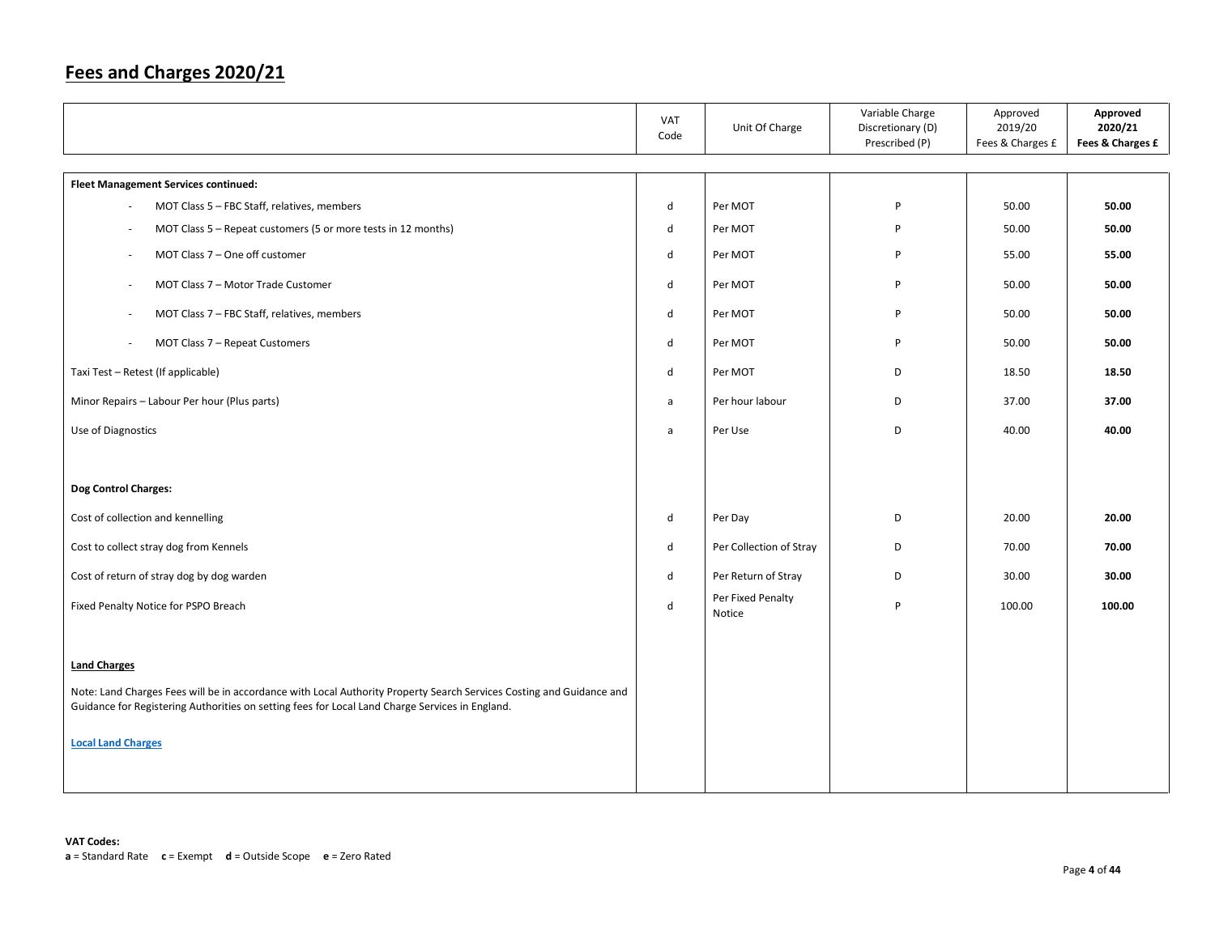|                                                                                                                                                                                                                         | VAT<br>Code | Unit Of Charge              | Variable Charge<br>Discretionary (D)<br>Prescribed (P) | Approved<br>2019/20<br>Fees & Charges £ | Approved<br>2020/21<br>Fees & Charges £ |
|-------------------------------------------------------------------------------------------------------------------------------------------------------------------------------------------------------------------------|-------------|-----------------------------|--------------------------------------------------------|-----------------------------------------|-----------------------------------------|
| <b>Fleet Management Services continued:</b>                                                                                                                                                                             |             |                             |                                                        |                                         |                                         |
| MOT Class 5 - FBC Staff, relatives, members                                                                                                                                                                             | d           | Per MOT                     | P                                                      | 50.00                                   | 50.00                                   |
| MOT Class 5 - Repeat customers (5 or more tests in 12 months)                                                                                                                                                           | d           | Per MOT                     | P                                                      | 50.00                                   | 50.00                                   |
| MOT Class 7 - One off customer                                                                                                                                                                                          | d           | Per MOT                     | P                                                      | 55.00                                   | 55.00                                   |
| MOT Class 7 - Motor Trade Customer                                                                                                                                                                                      | d           | Per MOT                     | P                                                      | 50.00                                   | 50.00                                   |
| MOT Class 7 - FBC Staff, relatives, members                                                                                                                                                                             | d           | Per MOT                     | P                                                      | 50.00                                   | 50.00                                   |
| MOT Class 7 - Repeat Customers                                                                                                                                                                                          | d           | Per MOT                     | P                                                      | 50.00                                   | 50.00                                   |
| Taxi Test - Retest (If applicable)                                                                                                                                                                                      | d           | Per MOT                     | D                                                      | 18.50                                   | 18.50                                   |
| Minor Repairs - Labour Per hour (Plus parts)                                                                                                                                                                            | a           | Per hour labour             | D                                                      | 37.00                                   | 37.00                                   |
| Use of Diagnostics                                                                                                                                                                                                      | a           | Per Use                     | D                                                      | 40.00                                   | 40.00                                   |
|                                                                                                                                                                                                                         |             |                             |                                                        |                                         |                                         |
| <b>Dog Control Charges:</b>                                                                                                                                                                                             |             |                             |                                                        |                                         |                                         |
| Cost of collection and kennelling                                                                                                                                                                                       | d           | Per Day                     | D                                                      | 20.00                                   | 20.00                                   |
| Cost to collect stray dog from Kennels                                                                                                                                                                                  | d           | Per Collection of Stray     | D                                                      | 70.00                                   | 70.00                                   |
| Cost of return of stray dog by dog warden                                                                                                                                                                               | d           | Per Return of Stray         | D                                                      | 30.00                                   | 30.00                                   |
| Fixed Penalty Notice for PSPO Breach                                                                                                                                                                                    | d           | Per Fixed Penalty<br>Notice | P                                                      | 100.00                                  | 100.00                                  |
|                                                                                                                                                                                                                         |             |                             |                                                        |                                         |                                         |
| <b>Land Charges</b>                                                                                                                                                                                                     |             |                             |                                                        |                                         |                                         |
| Note: Land Charges Fees will be in accordance with Local Authority Property Search Services Costing and Guidance and<br>Guidance for Registering Authorities on setting fees for Local Land Charge Services in England. |             |                             |                                                        |                                         |                                         |
| <b>Local Land Charges</b>                                                                                                                                                                                               |             |                             |                                                        |                                         |                                         |
|                                                                                                                                                                                                                         |             |                             |                                                        |                                         |                                         |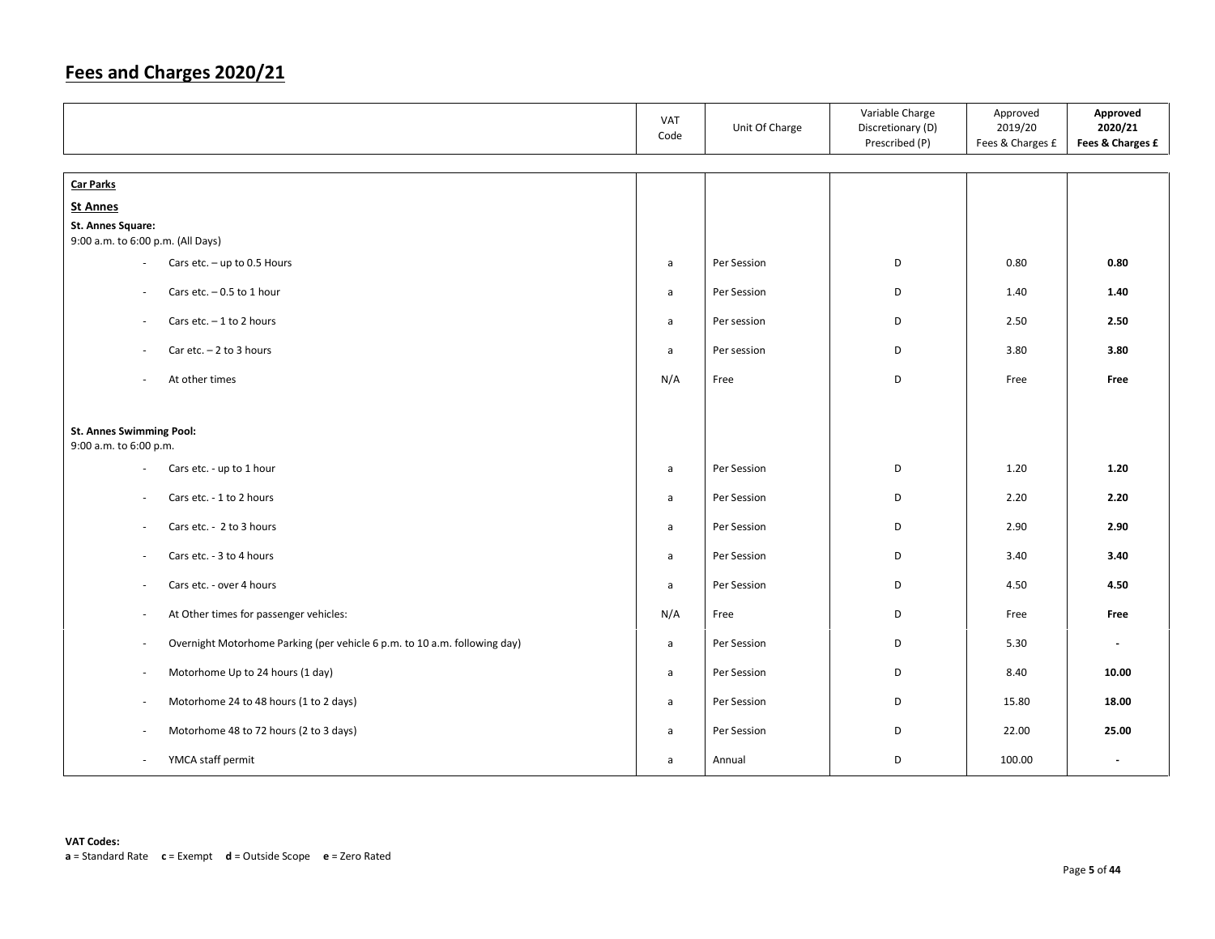|                                                                                                       | VAT<br>Code  | Unit Of Charge | Variable Charge<br>Discretionary (D)<br>Prescribed (P) | Approved<br>2019/20<br>Fees & Charges £ | Approved<br>2020/21<br>Fees & Charges £ |
|-------------------------------------------------------------------------------------------------------|--------------|----------------|--------------------------------------------------------|-----------------------------------------|-----------------------------------------|
| <b>Car Parks</b>                                                                                      |              |                |                                                        |                                         |                                         |
| <b>St Annes</b>                                                                                       |              |                |                                                        |                                         |                                         |
| <b>St. Annes Square:</b>                                                                              |              |                |                                                        |                                         |                                         |
| 9:00 a.m. to 6:00 p.m. (All Days)                                                                     |              |                |                                                        |                                         |                                         |
| Cars etc. $-$ up to 0.5 Hours<br>$\overline{\phantom{a}}$                                             | a            | Per Session    | D                                                      | 0.80                                    | 0.80                                    |
| Cars etc. $-0.5$ to 1 hour<br>$\overline{\phantom{a}}$                                                | a            | Per Session    | D                                                      | 1.40                                    | 1.40                                    |
| Cars etc. $-1$ to 2 hours<br>$\overline{\phantom{a}}$                                                 | a            | Per session    | D                                                      | 2.50                                    | 2.50                                    |
| Car etc. $-2$ to 3 hours<br>$\sim$                                                                    | a            | Per session    | D                                                      | 3.80                                    | 3.80                                    |
| At other times<br>÷                                                                                   | N/A          | Free           | D                                                      | Free                                    | Free                                    |
| St. Annes Swimming Pool:<br>9:00 a.m. to 6:00 p.m.                                                    |              |                |                                                        |                                         |                                         |
| Cars etc. - up to 1 hour<br>$\sim$                                                                    | a            | Per Session    | D                                                      | 1.20                                    | 1.20                                    |
| Cars etc. - 1 to 2 hours<br>$\sim$                                                                    | $\mathsf{a}$ | Per Session    | D                                                      | 2.20                                    | 2.20                                    |
| Cars etc. - 2 to 3 hours<br>÷                                                                         | a            | Per Session    | D                                                      | 2.90                                    | 2.90                                    |
| Cars etc. - 3 to 4 hours<br>$\overline{\phantom{a}}$                                                  | $\mathsf{a}$ | Per Session    | D                                                      | 3.40                                    | 3.40                                    |
| Cars etc. - over 4 hours<br>$\overline{\phantom{a}}$                                                  | $\mathsf{a}$ | Per Session    | D                                                      | 4.50                                    | 4.50                                    |
| At Other times for passenger vehicles:<br>$\bar{a}$                                                   | N/A          | Free           | D                                                      | Free                                    | Free                                    |
| Overnight Motorhome Parking (per vehicle 6 p.m. to 10 a.m. following day)<br>$\overline{\phantom{a}}$ | $\mathsf{a}$ | Per Session    | D                                                      | 5.30                                    | $\blacksquare$                          |
| Motorhome Up to 24 hours (1 day)<br>$\sim$                                                            | a            | Per Session    | D                                                      | 8.40                                    | 10.00                                   |
| Motorhome 24 to 48 hours (1 to 2 days)<br>$\sim$                                                      | a            | Per Session    | D                                                      | 15.80                                   | 18.00                                   |
| Motorhome 48 to 72 hours (2 to 3 days)<br>$\overline{\phantom{a}}$                                    | a            | Per Session    | D                                                      | 22.00                                   | 25.00                                   |
| YMCA staff permit<br>$\overline{\phantom{a}}$                                                         | $\mathsf{a}$ | Annual         | D                                                      | 100.00                                  | $\overline{\phantom{a}}$                |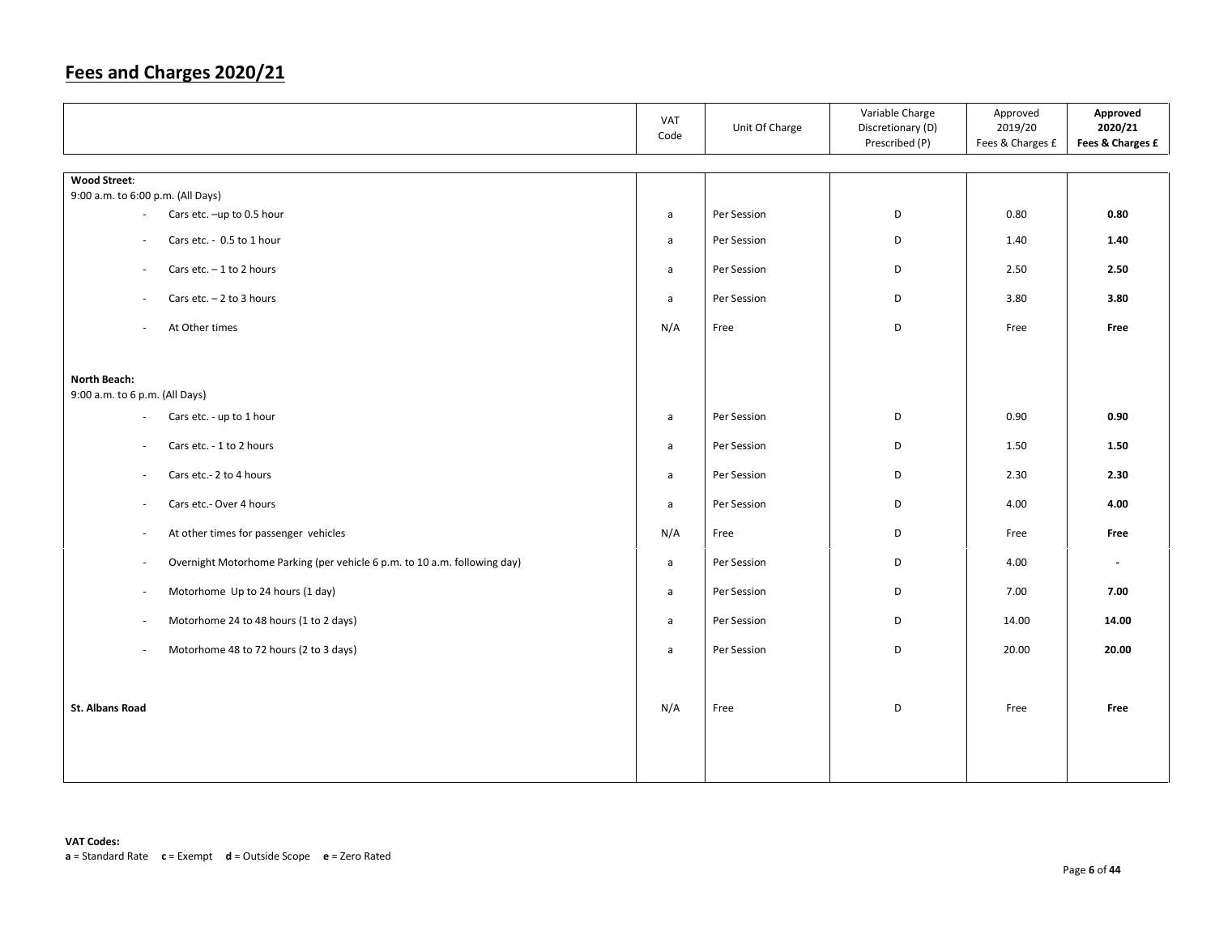|                                                                                     | VAT<br>Code  | Unit Of Charge | Variable Charge<br>Discretionary (D)<br>Prescribed (P) | Approved<br>2019/20<br>Fees & Charges £ | Approved<br>2020/21<br>Fees & Charges £ |
|-------------------------------------------------------------------------------------|--------------|----------------|--------------------------------------------------------|-----------------------------------------|-----------------------------------------|
| <b>Wood Street:</b>                                                                 |              |                |                                                        |                                         |                                         |
| 9:00 a.m. to 6:00 p.m. (All Days)                                                   |              |                |                                                        |                                         |                                         |
| Cars etc. -up to 0.5 hour<br>$\sim$                                                 | $\mathsf{a}$ | Per Session    | D                                                      | 0.80                                    | 0.80                                    |
| Cars etc. - 0.5 to 1 hour<br>$\sim$                                                 | $\mathsf{a}$ | Per Session    | D                                                      | 1.40                                    | 1.40                                    |
| Cars etc. $-1$ to 2 hours<br>$\overline{\phantom{a}}$                               | a            | Per Session    | D                                                      | 2.50                                    | 2.50                                    |
| Cars etc. $-2$ to 3 hours<br>$\sim$                                                 | $\mathsf{a}$ | Per Session    | D                                                      | 3.80                                    | 3.80                                    |
| At Other times                                                                      | N/A          | Free           | D                                                      | Free                                    | Free                                    |
|                                                                                     |              |                |                                                        |                                         |                                         |
| North Beach:<br>9:00 a.m. to 6 p.m. (All Days)                                      |              |                |                                                        |                                         |                                         |
| Cars etc. - up to 1 hour<br>$\overline{\phantom{a}}$                                | $\mathsf{a}$ | Per Session    | D                                                      | 0.90                                    | 0.90                                    |
| Cars etc. - 1 to 2 hours<br>$\sim$                                                  | $\mathsf{a}$ | Per Session    | D                                                      | 1.50                                    | 1.50                                    |
| Cars etc.- 2 to 4 hours<br>$\overline{\phantom{a}}$                                 | a            | Per Session    | D                                                      | 2.30                                    | 2.30                                    |
| Cars etc.- Over 4 hours<br>$\sim$                                                   | $\mathsf{a}$ | Per Session    | D                                                      | 4.00                                    | 4.00                                    |
| At other times for passenger vehicles<br>$\sim$                                     | N/A          | Free           | D                                                      | Free                                    | Free                                    |
| Overnight Motorhome Parking (per vehicle 6 p.m. to 10 a.m. following day)<br>$\sim$ | $\mathsf{a}$ | Per Session    | D                                                      | 4.00                                    | $\mathbb{Z}^+$                          |
| Motorhome Up to 24 hours (1 day)<br>$\overline{\phantom{a}}$                        | $\mathsf{a}$ | Per Session    | D                                                      | 7.00                                    | 7.00                                    |
| Motorhome 24 to 48 hours (1 to 2 days)<br>$\sim$                                    | $\mathsf{a}$ | Per Session    | D                                                      | 14.00                                   | 14.00                                   |
| Motorhome 48 to 72 hours (2 to 3 days)<br>$\sim$                                    | $\mathsf{a}$ | Per Session    | D                                                      | 20.00                                   | 20.00                                   |
|                                                                                     |              |                |                                                        |                                         |                                         |
| <b>St. Albans Road</b>                                                              | N/A          | Free           | D                                                      | Free                                    | Free                                    |
|                                                                                     |              |                |                                                        |                                         |                                         |
|                                                                                     |              |                |                                                        |                                         |                                         |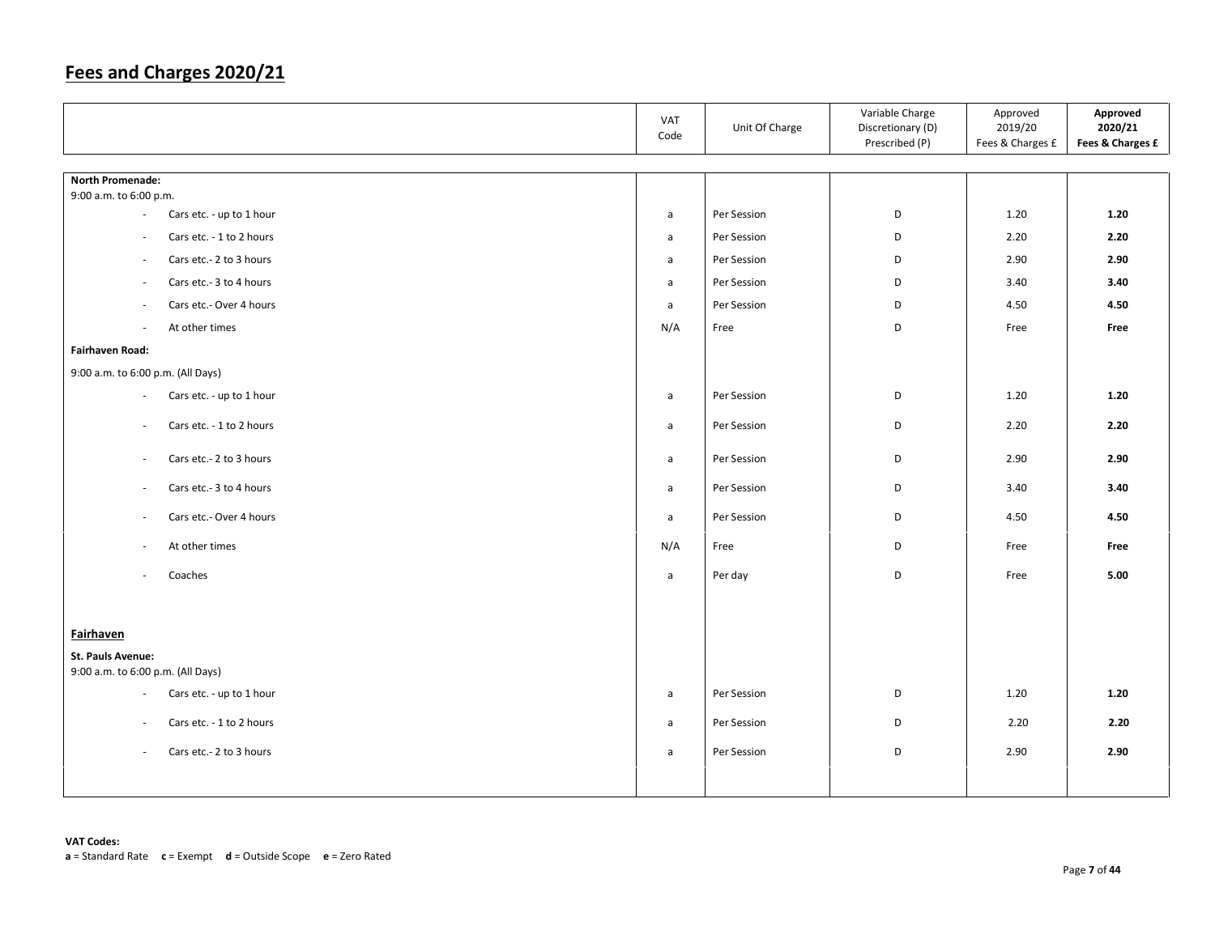|                                                      | VAT<br>Code  | Unit Of Charge | Variable Charge<br>Discretionary (D)<br>Prescribed (P) | Approved<br>2019/20<br>Fees & Charges £ | Approved<br>2020/21<br>Fees & Charges £ |
|------------------------------------------------------|--------------|----------------|--------------------------------------------------------|-----------------------------------------|-----------------------------------------|
|                                                      |              |                |                                                        |                                         |                                         |
| <b>North Promenade:</b><br>9:00 a.m. to 6:00 p.m.    |              |                |                                                        |                                         |                                         |
| Cars etc. - up to 1 hour<br>$\sim$                   | $\mathsf{a}$ | Per Session    | D                                                      | 1.20                                    | 1.20                                    |
| Cars etc. - 1 to 2 hours<br>$\sim$                   | a            | Per Session    | D                                                      | 2.20                                    | 2.20                                    |
| Cars etc.- 2 to 3 hours<br>$\overline{\phantom{a}}$  | $\mathsf{a}$ | Per Session    | D                                                      | 2.90                                    | 2.90                                    |
| Cars etc.- 3 to 4 hours<br>$\overline{\phantom{a}}$  | a            | Per Session    | D                                                      | 3.40                                    | 3.40                                    |
| Cars etc.- Over 4 hours<br>$\sim$                    | a            | Per Session    | D                                                      | 4.50                                    | 4.50                                    |
| At other times<br>$\sim$                             | N/A          | Free           | D                                                      | Free                                    | Free                                    |
| <b>Fairhaven Road:</b>                               |              |                |                                                        |                                         |                                         |
| 9:00 a.m. to 6:00 p.m. (All Days)                    |              |                |                                                        |                                         |                                         |
| Cars etc. - up to 1 hour<br>$\sim$                   | $\mathsf{a}$ | Per Session    | D                                                      | 1.20                                    | 1.20                                    |
| Cars etc. - 1 to 2 hours<br>$\sim$                   | $\mathsf{a}$ | Per Session    | D                                                      | 2.20                                    | 2.20                                    |
| Cars etc.- 2 to 3 hours<br>$\sim$                    | a            | Per Session    | D                                                      | 2.90                                    | 2.90                                    |
| Cars etc.- 3 to 4 hours<br>$\overline{\phantom{a}}$  | a            | Per Session    | D                                                      | 3.40                                    | 3.40                                    |
| Cars etc.- Over 4 hours<br>$\sim$                    | $\mathsf{a}$ | Per Session    | D                                                      | 4.50                                    | 4.50                                    |
| At other times<br>$\sim$                             | N/A          | Free           | D                                                      | Free                                    | Free                                    |
| Coaches<br>$\omega$                                  | $\mathsf{a}$ | Per day        | D                                                      | Free                                    | 5.00                                    |
|                                                      |              |                |                                                        |                                         |                                         |
| <b>Fairhaven</b>                                     |              |                |                                                        |                                         |                                         |
| St. Pauls Avenue:                                    |              |                |                                                        |                                         |                                         |
| 9:00 a.m. to 6:00 p.m. (All Days)                    |              |                |                                                        |                                         |                                         |
| Cars etc. - up to 1 hour<br>$\sim$                   | $\mathsf{a}$ | Per Session    | D                                                      | 1.20                                    | 1.20                                    |
| Cars etc. - 1 to 2 hours<br>$\overline{\phantom{a}}$ | a            | Per Session    | D                                                      | 2.20                                    | 2.20                                    |
| Cars etc.- 2 to 3 hours<br>$\sim$                    | a            | Per Session    | D                                                      | 2.90                                    | 2.90                                    |
|                                                      |              |                |                                                        |                                         |                                         |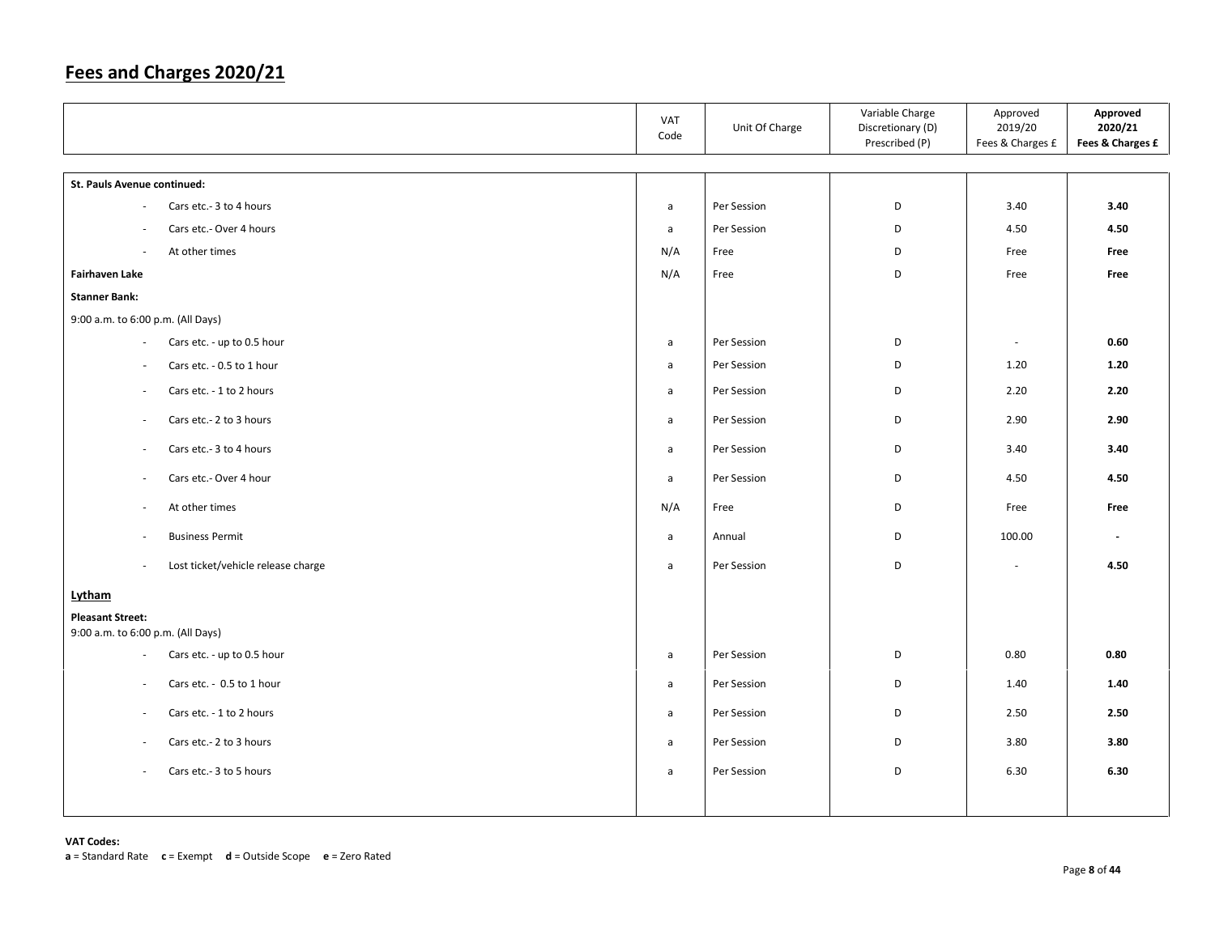|                                                                                             | VAT<br>Code  | Unit Of Charge | Variable Charge<br>Discretionary (D)<br>Prescribed (P) | Approved<br>2019/20<br>Fees & Charges £ | Approved<br>2020/21<br>Fees & Charges £ |
|---------------------------------------------------------------------------------------------|--------------|----------------|--------------------------------------------------------|-----------------------------------------|-----------------------------------------|
| St. Pauls Avenue continued:                                                                 |              |                |                                                        |                                         |                                         |
| Cars etc.- 3 to 4 hours<br>$\sim$                                                           | a            | Per Session    | D                                                      | 3.40                                    | 3.40                                    |
| Cars etc.- Over 4 hours<br>÷,                                                               | $\mathsf{a}$ | Per Session    | D                                                      | 4.50                                    | 4.50                                    |
| At other times<br>$\sim$                                                                    | N/A          | Free           | D                                                      | Free                                    | Free                                    |
| <b>Fairhaven Lake</b>                                                                       | N/A          | Free           | D                                                      | Free                                    | Free                                    |
| <b>Stanner Bank:</b>                                                                        |              |                |                                                        |                                         |                                         |
| 9:00 a.m. to 6:00 p.m. (All Days)                                                           |              |                |                                                        |                                         |                                         |
| Cars etc. - up to 0.5 hour<br>$\overline{\phantom{a}}$                                      | $\mathsf{a}$ | Per Session    | D                                                      | $\overline{\phantom{a}}$                | 0.60                                    |
| Cars etc. - 0.5 to 1 hour<br>$\overline{\phantom{a}}$                                       | a            | Per Session    | D                                                      | 1.20                                    | 1.20                                    |
| Cars etc. - 1 to 2 hours<br>$\sim$                                                          | $\mathsf{a}$ | Per Session    | D                                                      | 2.20                                    | 2.20                                    |
| Cars etc.- 2 to 3 hours<br>$\sim$                                                           | $\mathsf{a}$ | Per Session    | D                                                      | 2.90                                    | 2.90                                    |
| Cars etc.- 3 to 4 hours<br>$\overline{\phantom{a}}$                                         | a            | Per Session    | D                                                      | 3.40                                    | 3.40                                    |
| Cars etc.- Over 4 hour<br>$\sim$                                                            | a            | Per Session    | D                                                      | 4.50                                    | 4.50                                    |
| At other times<br>$\sim$                                                                    | N/A          | Free           | D                                                      | Free                                    | Free                                    |
| <b>Business Permit</b><br>$\bar{a}$                                                         | $\mathsf{a}$ | Annual         | D                                                      | 100.00                                  | $\sim$                                  |
| Lost ticket/vehicle release charge<br>$\sim$                                                | a            | Per Session    | D                                                      | $\sim$                                  | 4.50                                    |
| Lytham                                                                                      |              |                |                                                        |                                         |                                         |
| <b>Pleasant Street:</b>                                                                     |              |                |                                                        |                                         |                                         |
| 9:00 a.m. to 6:00 p.m. (All Days)<br>Cars etc. - up to 0.5 hour<br>$\overline{\phantom{a}}$ | $\mathsf{a}$ | Per Session    | D                                                      | 0.80                                    | 0.80                                    |
|                                                                                             |              |                |                                                        |                                         |                                         |
| Cars etc. - 0.5 to 1 hour<br>$\overline{\phantom{a}}$                                       | $\mathsf{a}$ | Per Session    | D                                                      | 1.40                                    | 1.40                                    |
| Cars etc. - 1 to 2 hours<br>$\sim$                                                          | $\mathsf{a}$ | Per Session    | D                                                      | 2.50                                    | 2.50                                    |
| Cars etc.- 2 to 3 hours<br>$\overline{\phantom{a}}$                                         | a            | Per Session    | D                                                      | 3.80                                    | 3.80                                    |
| Cars etc.- 3 to 5 hours<br>$\overline{\phantom{a}}$                                         | a            | Per Session    | D                                                      | 6.30                                    | 6.30                                    |
|                                                                                             |              |                |                                                        |                                         |                                         |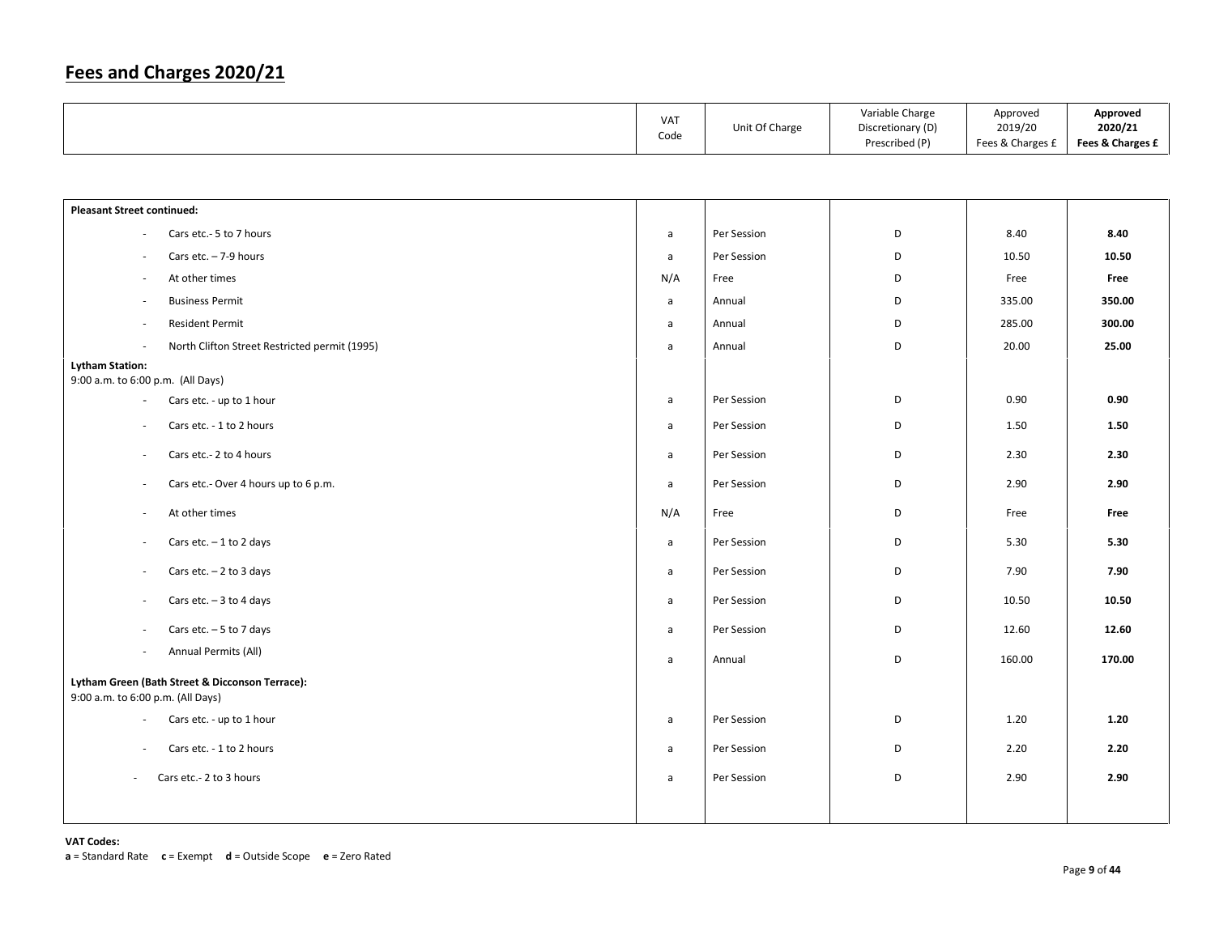|  | <b>VAT</b><br>Code | Unit Of Charge | Variable Charge<br>Discretionary (D)<br>Prescribed (P) | Approved<br>2019/20<br>Fees & Charges £ | Approved<br>2020/21<br>Fees & Charges £ |
|--|--------------------|----------------|--------------------------------------------------------|-----------------------------------------|-----------------------------------------|
|--|--------------------|----------------|--------------------------------------------------------|-----------------------------------------|-----------------------------------------|

| <b>Pleasant Street continued:</b> |                                                 |              |             |   |        |        |
|-----------------------------------|-------------------------------------------------|--------------|-------------|---|--------|--------|
| $\omega$                          | Cars etc.- 5 to 7 hours                         | a            | Per Session | D | 8.40   | 8.40   |
| $\overline{\phantom{a}}$          | Cars etc. $-7-9$ hours                          | a            | Per Session | D | 10.50  | 10.50  |
| $\overline{\phantom{a}}$          | At other times                                  | N/A          | Free        | D | Free   | Free   |
| $\sim$                            | <b>Business Permit</b>                          | a            | Annual      | D | 335.00 | 350.00 |
| $\sim$                            | <b>Resident Permit</b>                          | $\mathsf{a}$ | Annual      | D | 285.00 | 300.00 |
| $\sim$                            | North Clifton Street Restricted permit (1995)   | a            | Annual      | D | 20.00  | 25.00  |
| <b>Lytham Station:</b>            |                                                 |              |             |   |        |        |
| 9:00 a.m. to 6:00 p.m. (All Days) |                                                 |              |             |   |        |        |
| $\blacksquare$                    | Cars etc. - up to 1 hour                        | a            | Per Session | D | 0.90   | 0.90   |
| $\sim$                            | Cars etc. - 1 to 2 hours                        | a            | Per Session | D | 1.50   | 1.50   |
| $\overline{\phantom{a}}$          | Cars etc.- 2 to 4 hours                         | a            | Per Session | D | 2.30   | 2.30   |
| $\overline{\phantom{a}}$          | Cars etc.- Over 4 hours up to 6 p.m.            | a            | Per Session | D | 2.90   | 2.90   |
| $\sim$                            | At other times                                  | N/A          | Free        | D | Free   | Free   |
| $\overline{\phantom{a}}$          | Cars etc. $-1$ to 2 days                        | a            | Per Session | D | 5.30   | 5.30   |
| $\overline{\phantom{a}}$          | Cars etc. $-2$ to 3 days                        | a            | Per Session | D | 7.90   | 7.90   |
| $\overline{\phantom{a}}$          | Cars etc. $-3$ to 4 days                        | $\mathsf{a}$ | Per Session | D | 10.50  | 10.50  |
| $\overline{\phantom{a}}$          | Cars etc. $-5$ to 7 days                        | a            | Per Session | D | 12.60  | 12.60  |
| $\sim$                            | Annual Permits (All)                            | a            | Annual      | D | 160.00 | 170.00 |
|                                   | Lytham Green (Bath Street & Dicconson Terrace): |              |             |   |        |        |
| 9:00 a.m. to 6:00 p.m. (All Days) |                                                 |              |             |   |        |        |
| $\sim$                            | Cars etc. - up to 1 hour                        | a            | Per Session | D | 1.20   | 1.20   |
| $\overline{\phantom{a}}$          | Cars etc. - 1 to 2 hours                        | a            | Per Session | D | 2.20   | 2.20   |
| $\sim$                            | Cars etc.- 2 to 3 hours                         | a            | Per Session | D | 2.90   | 2.90   |
|                                   |                                                 |              |             |   |        |        |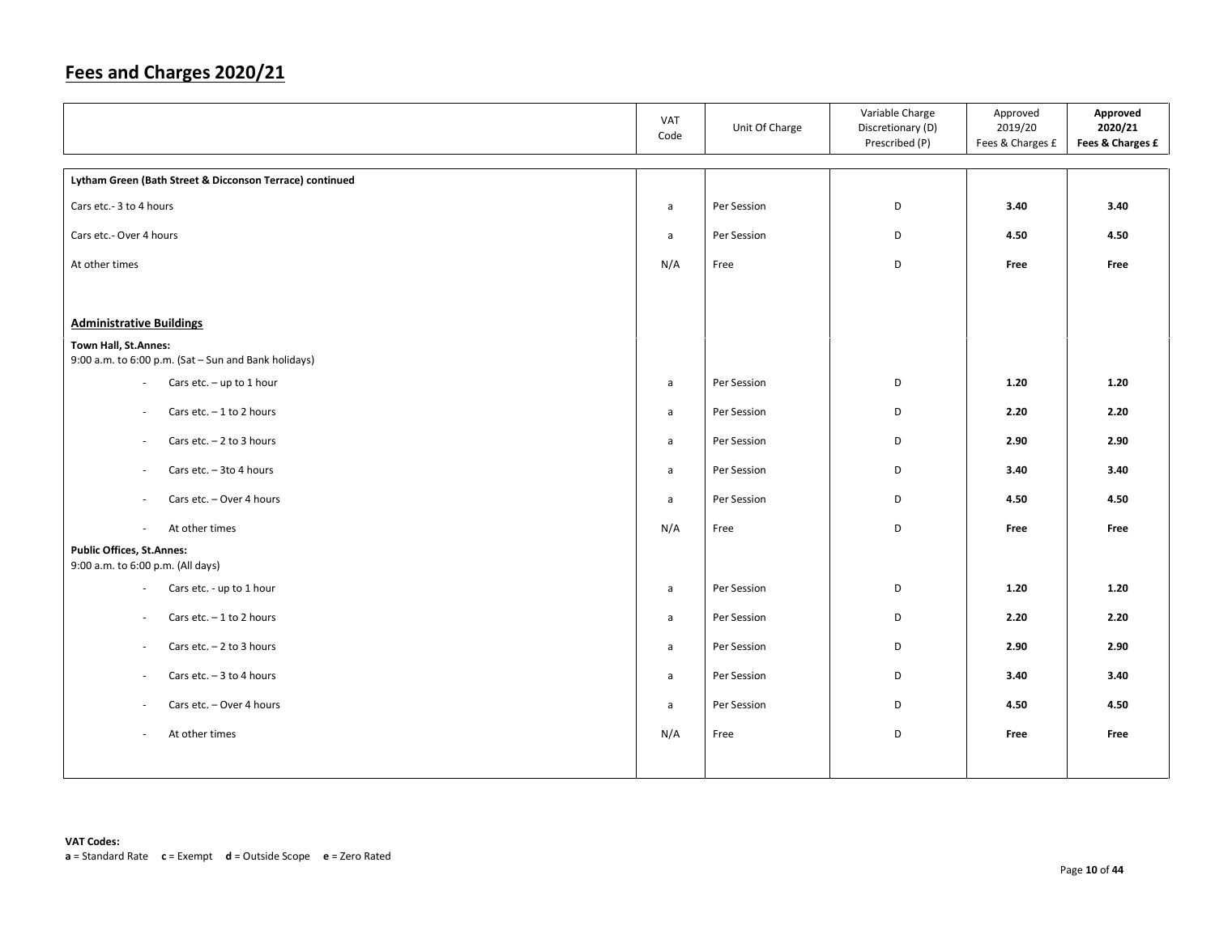|                                                          | <b>VAT</b><br>Code | Unit Of Charge | Variable Charge<br>Discretionary (D)<br>Prescribed (P) | Approved<br>2019/20<br>Fees & Charges £ | Approved<br>2020/21<br>Fees & Charges £ |
|----------------------------------------------------------|--------------------|----------------|--------------------------------------------------------|-----------------------------------------|-----------------------------------------|
| Lytham Green (Bath Street & Dicconson Terrace) continued |                    |                |                                                        |                                         |                                         |
| Cars etc.- 3 to 4 hours                                  | a                  | Per Session    | D                                                      | 3.40                                    | 3.40                                    |
| Cars etc.- Over 4 hours                                  | $\mathsf{a}$       | Per Session    | D                                                      | 4.50                                    | 4.50                                    |
| At other times                                           | N/A                | Free           | D                                                      | Free                                    | Free                                    |
|                                                          |                    |                |                                                        |                                         |                                         |
| <b>Administrative Buildings</b>                          |                    |                |                                                        |                                         |                                         |
| Town Hall, St.Annes:                                     |                    |                |                                                        |                                         |                                         |
| 9:00 a.m. to 6:00 p.m. (Sat - Sun and Bank holidays)     |                    |                |                                                        |                                         |                                         |
| Cars etc. $-$ up to 1 hour<br>$\overline{\phantom{a}}$   | $\mathsf{a}$       | Per Session    | D                                                      | 1.20                                    | 1.20                                    |
| Cars etc. $-1$ to 2 hours<br>$\overline{\phantom{a}}$    | a                  | Per Session    | D                                                      | 2.20                                    | 2.20                                    |
| Cars etc. $-2$ to 3 hours<br>$\overline{\phantom{a}}$    | a                  | Per Session    | D                                                      | 2.90                                    | 2.90                                    |
| Cars etc. $-3$ to 4 hours<br>$\overline{\phantom{a}}$    | a                  | Per Session    | D                                                      | 3.40                                    | 3.40                                    |
| Cars etc. - Over 4 hours<br>$\overline{\phantom{a}}$     | $\mathsf{a}$       | Per Session    | D                                                      | 4.50                                    | 4.50                                    |
| At other times<br>$\sim$                                 | N/A                | Free           | D                                                      | Free                                    | Free                                    |
| <b>Public Offices, St.Annes:</b>                         |                    |                |                                                        |                                         |                                         |
| 9:00 a.m. to 6:00 p.m. (All days)                        |                    |                |                                                        |                                         |                                         |
| Cars etc. - up to 1 hour<br>$\omega$                     | $\mathsf{a}$       | Per Session    | D                                                      | 1.20                                    | 1.20                                    |
| Cars etc. $-1$ to 2 hours<br>$\overline{\phantom{a}}$    | a                  | Per Session    | D                                                      | 2.20                                    | 2.20                                    |
| Cars etc. $-2$ to 3 hours<br>$\overline{\phantom{a}}$    | a                  | Per Session    | D                                                      | 2.90                                    | 2.90                                    |
| Cars etc. $-3$ to 4 hours<br>$\overline{\phantom{a}}$    | a                  | Per Session    | D                                                      | 3.40                                    | 3.40                                    |
| Cars etc. - Over 4 hours<br>$\overline{\phantom{a}}$     | a                  | Per Session    | D                                                      | 4.50                                    | 4.50                                    |
| At other times<br>$\overline{\phantom{a}}$               | N/A                | Free           | D                                                      | Free                                    | Free                                    |
|                                                          |                    |                |                                                        |                                         |                                         |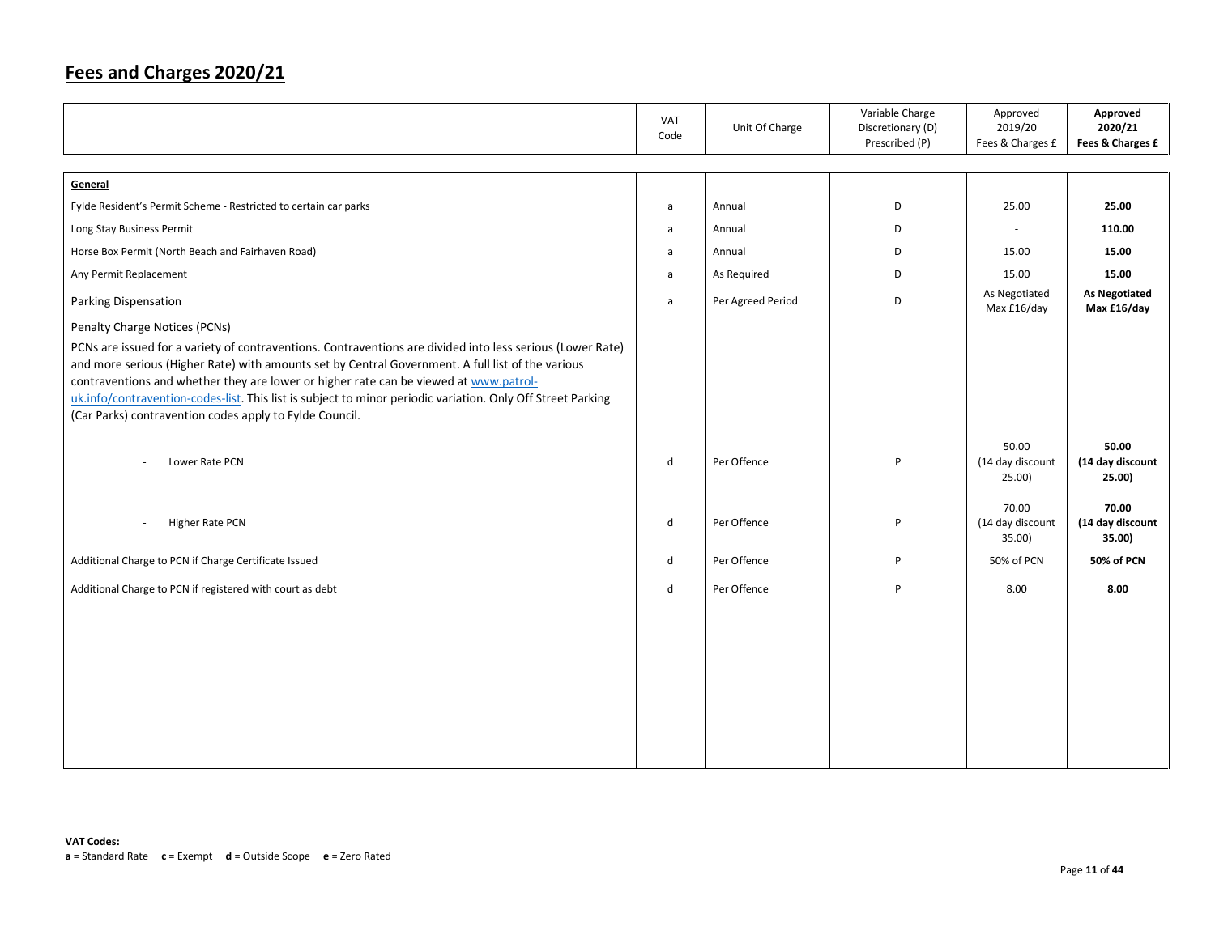|                                                                                                                                                                                                                                                                                                                                                                                                                                                                                    | VAT<br>Code  | Unit Of Charge    | Variable Charge<br>Discretionary (D)<br>Prescribed (P) | Approved<br>2019/20<br>Fees & Charges £ | Approved<br>2020/21<br>Fees & Charges £ |
|------------------------------------------------------------------------------------------------------------------------------------------------------------------------------------------------------------------------------------------------------------------------------------------------------------------------------------------------------------------------------------------------------------------------------------------------------------------------------------|--------------|-------------------|--------------------------------------------------------|-----------------------------------------|-----------------------------------------|
| General                                                                                                                                                                                                                                                                                                                                                                                                                                                                            |              |                   |                                                        |                                         |                                         |
| Fylde Resident's Permit Scheme - Restricted to certain car parks                                                                                                                                                                                                                                                                                                                                                                                                                   | a            | Annual            | D                                                      | 25.00                                   | 25.00                                   |
| Long Stay Business Permit                                                                                                                                                                                                                                                                                                                                                                                                                                                          | $\mathsf{a}$ | Annual            | D                                                      | $\overline{\phantom{a}}$                | 110.00                                  |
| Horse Box Permit (North Beach and Fairhaven Road)                                                                                                                                                                                                                                                                                                                                                                                                                                  | a            | Annual            | D                                                      | 15.00                                   | 15.00                                   |
| Any Permit Replacement                                                                                                                                                                                                                                                                                                                                                                                                                                                             | a            | As Required       | D                                                      | 15.00                                   | 15.00                                   |
| Parking Dispensation                                                                                                                                                                                                                                                                                                                                                                                                                                                               | a            | Per Agreed Period | D                                                      | As Negotiated<br>Max £16/day            | <b>As Negotiated</b><br>Max £16/day     |
| Penalty Charge Notices (PCNs)                                                                                                                                                                                                                                                                                                                                                                                                                                                      |              |                   |                                                        |                                         |                                         |
| PCNs are issued for a variety of contraventions. Contraventions are divided into less serious (Lower Rate)<br>and more serious (Higher Rate) with amounts set by Central Government. A full list of the various<br>contraventions and whether they are lower or higher rate can be viewed at www.patrol-<br>uk.info/contravention-codes-list. This list is subject to minor periodic variation. Only Off Street Parking<br>(Car Parks) contravention codes apply to Fylde Council. |              |                   |                                                        |                                         |                                         |
| Lower Rate PCN                                                                                                                                                                                                                                                                                                                                                                                                                                                                     | $\mathsf{d}$ | Per Offence       | P                                                      | 50.00<br>(14 day discount<br>25.00)     | 50.00<br>(14 day discount<br>25.00)     |
| Higher Rate PCN<br>$\overline{\phantom{a}}$                                                                                                                                                                                                                                                                                                                                                                                                                                        | d            | Per Offence       | P                                                      | 70.00<br>(14 day discount<br>35.00)     | 70.00<br>(14 day discount<br>35.00)     |
| Additional Charge to PCN if Charge Certificate Issued                                                                                                                                                                                                                                                                                                                                                                                                                              | d            | Per Offence       | P                                                      | 50% of PCN                              | 50% of PCN                              |
| Additional Charge to PCN if registered with court as debt                                                                                                                                                                                                                                                                                                                                                                                                                          | d            | Per Offence       | P                                                      | 8.00                                    | 8.00                                    |
|                                                                                                                                                                                                                                                                                                                                                                                                                                                                                    |              |                   |                                                        |                                         |                                         |
|                                                                                                                                                                                                                                                                                                                                                                                                                                                                                    |              |                   |                                                        |                                         |                                         |
|                                                                                                                                                                                                                                                                                                                                                                                                                                                                                    |              |                   |                                                        |                                         |                                         |
|                                                                                                                                                                                                                                                                                                                                                                                                                                                                                    |              |                   |                                                        |                                         |                                         |
|                                                                                                                                                                                                                                                                                                                                                                                                                                                                                    |              |                   |                                                        |                                         |                                         |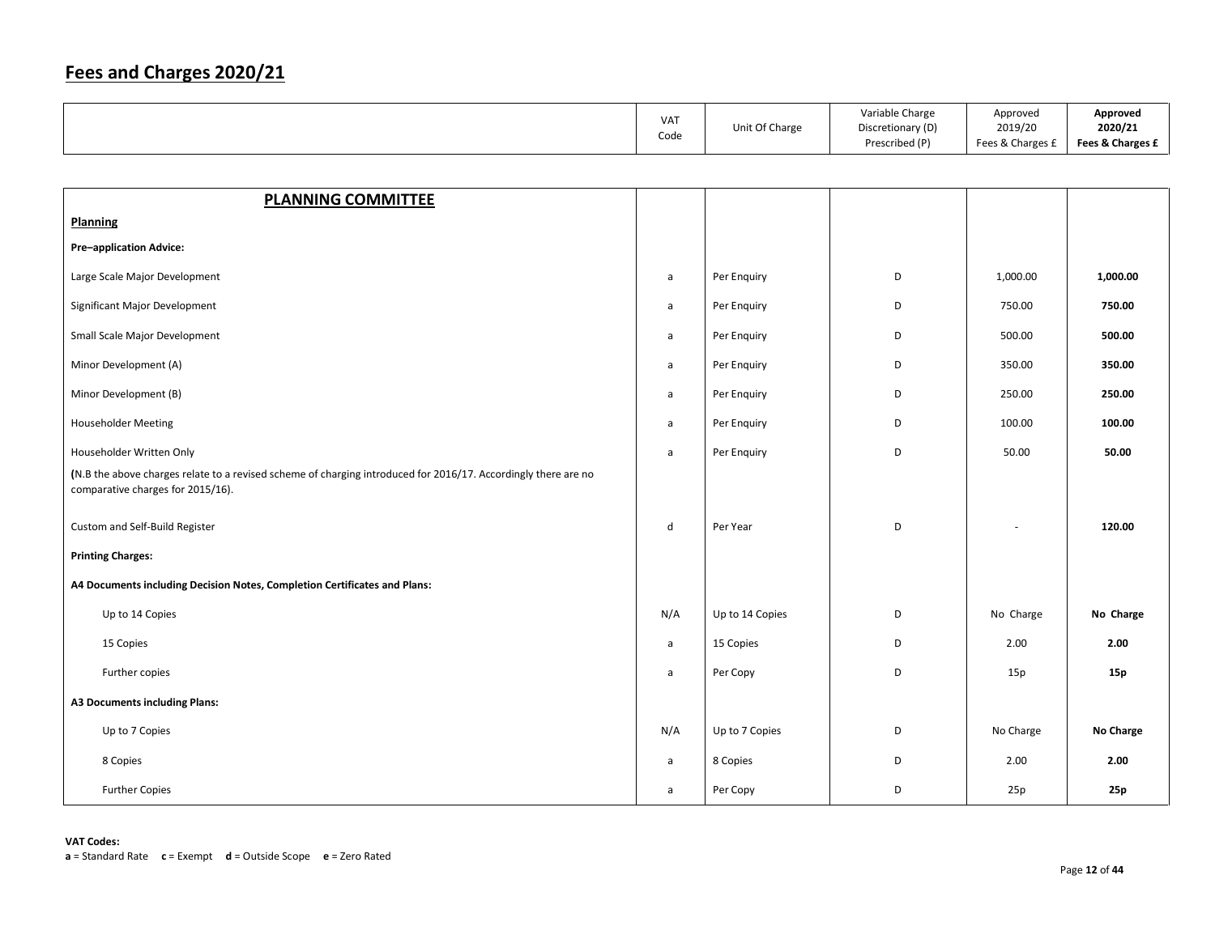|                                                                                                                                                     | <b>VAT</b><br>Code | Unit Of Charge | Variable Charge<br>Discretionary (D)<br>Prescribed (P) | Approved<br>2019/20<br>Fees & Charges £ | Approved<br>2020/21<br>Fees & Charges £ |
|-----------------------------------------------------------------------------------------------------------------------------------------------------|--------------------|----------------|--------------------------------------------------------|-----------------------------------------|-----------------------------------------|
|                                                                                                                                                     |                    |                |                                                        |                                         |                                         |
| <b>PLANNING COMMITTEE</b>                                                                                                                           |                    |                |                                                        |                                         |                                         |
| <b>Planning</b>                                                                                                                                     |                    |                |                                                        |                                         |                                         |
| <b>Pre-application Advice:</b>                                                                                                                      |                    |                |                                                        |                                         |                                         |
| Large Scale Major Development                                                                                                                       | a                  | Per Enquiry    | D                                                      | 1,000.00                                | 1,000.00                                |
| Significant Major Development                                                                                                                       | a                  | Per Enquiry    | D                                                      | 750.00                                  | 750.00                                  |
| Small Scale Major Development                                                                                                                       | a                  | Per Enquiry    | D                                                      | 500.00                                  | 500.00                                  |
| Minor Development (A)                                                                                                                               | a                  | Per Enquiry    | D                                                      | 350.00                                  | 350.00                                  |
| Minor Development (B)                                                                                                                               | a                  | Per Enquiry    | D                                                      | 250.00                                  | 250.00                                  |
| <b>Householder Meeting</b>                                                                                                                          | a                  | Per Enquiry    | D                                                      | 100.00                                  | 100.00                                  |
| Householder Written Only                                                                                                                            | a                  | Per Enquiry    | D                                                      | 50.00                                   | 50.00                                   |
| (N.B the above charges relate to a revised scheme of charging introduced for 2016/17. Accordingly there are no<br>comparative charges for 2015/16). |                    |                |                                                        |                                         |                                         |

Custom and Self-Build Register **the custom and Self-Build Register distribution of the Custom and Self-Build Register the control of the custom and Self-Build Register the control of the control of the control of the contr** 

#### Printing Charges:

| A4 Documents including Decision Notes, Completion Certificates and Plans: |     |                 |                          |                     |
|---------------------------------------------------------------------------|-----|-----------------|--------------------------|---------------------|
|                                                                           |     |                 |                          |                     |
| Up to 14 Copies                                                           | N/A | Up to 14 Copies | N <sub>0</sub><br>Charge | <b>No</b><br>Charge |

 15 Copiess a 15 Copies D 2.00 **2.00** Further copies **but a perform that the copy controlled the copy of the copy of the copy of the copy of the copy of the copy of the copy of the copy of the copy of the copy of the copy of the copy of the copy of the copy of** 

A3 Documents including Plans:

 Up to 7 Copiess and the set of the set of the N/A Dup to 7 Copies (No Charge No Charge No Charge No Charge No Charge No Charge No Charge No Charge No Charge No Charge No Charge No Charge No Charge No Charge No Charge No Charge No Charge

8 Copies and the set of the set of the set of the set of the set of the set of the set of the set of the set of the set of the set of the set of the set of the set of the set of the set of the set of the set of the set of

| Further Copies | Dor<br>CODV |  | 25 D | 25p |
|----------------|-------------|--|------|-----|
|----------------|-------------|--|------|-----|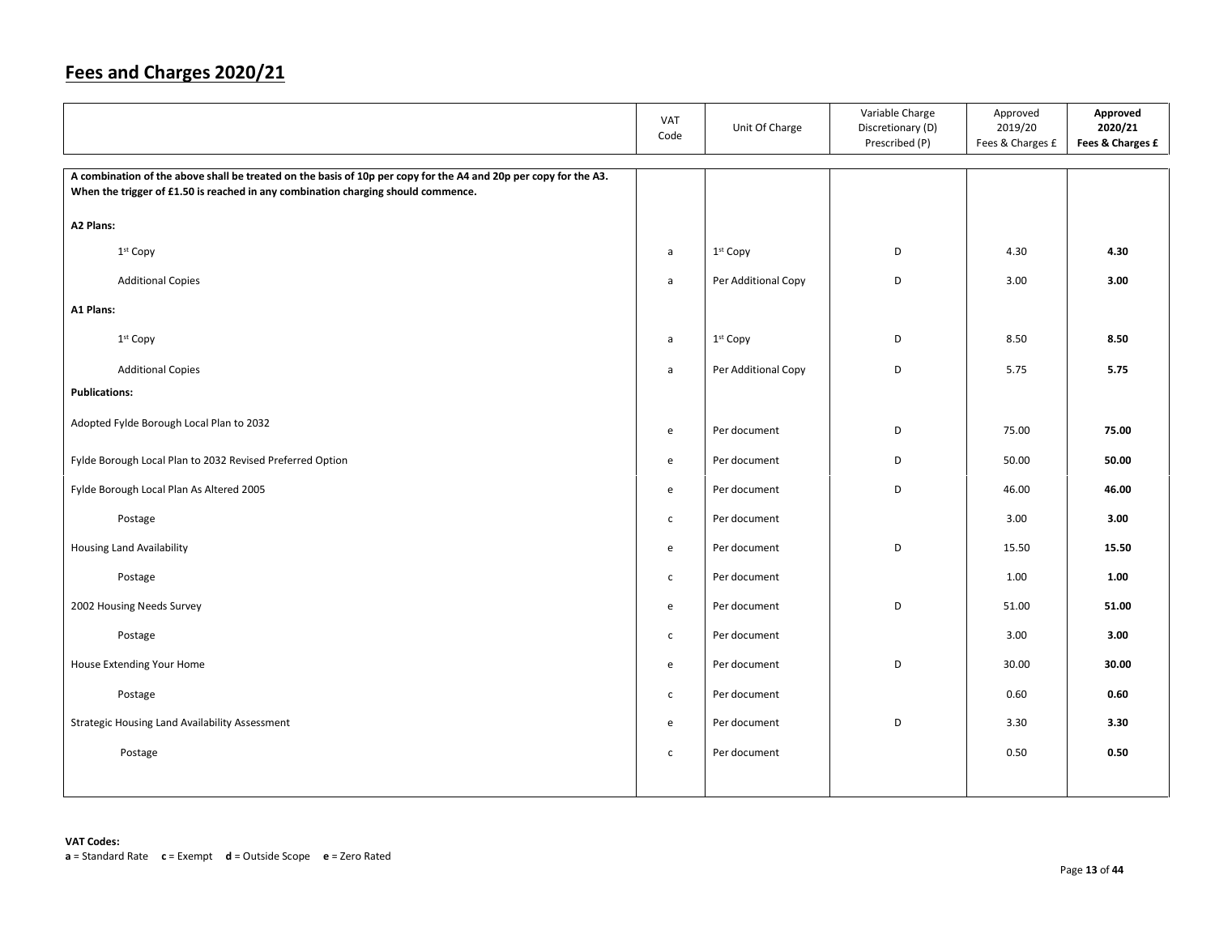|                                                                                                                                                                                                       | <b>VAT</b><br>Code | Unit Of Charge       | Variable Charge<br>Discretionary (D)<br>Prescribed (P) | Approved<br>2019/20<br>Fees & Charges £ | Approved<br>2020/21<br>Fees & Charges £ |
|-------------------------------------------------------------------------------------------------------------------------------------------------------------------------------------------------------|--------------------|----------------------|--------------------------------------------------------|-----------------------------------------|-----------------------------------------|
| A combination of the above shall be treated on the basis of 10p per copy for the A4 and 20p per copy for the A3.<br>When the trigger of £1.50 is reached in any combination charging should commence. |                    |                      |                                                        |                                         |                                         |
| A2 Plans:                                                                                                                                                                                             |                    |                      |                                                        |                                         |                                         |
| 1st Copy                                                                                                                                                                                              | a                  | 1st Copy             | D                                                      | 4.30                                    | 4.30                                    |
| <b>Additional Copies</b>                                                                                                                                                                              | a                  | Per Additional Copy  | D                                                      | 3.00                                    | 3.00                                    |
| A1 Plans:                                                                                                                                                                                             |                    |                      |                                                        |                                         |                                         |
| 1 <sup>st</sup> Copy                                                                                                                                                                                  | a                  | 1 <sup>st</sup> Copy | D                                                      | 8.50                                    | 8.50                                    |
| <b>Additional Copies</b>                                                                                                                                                                              | a                  | Per Additional Copy  | D                                                      | 5.75                                    | 5.75                                    |
| <b>Publications:</b>                                                                                                                                                                                  |                    |                      |                                                        |                                         |                                         |
| Adopted Fylde Borough Local Plan to 2032                                                                                                                                                              | e                  | Per document         | D                                                      | 75.00                                   | 75.00                                   |
| Fylde Borough Local Plan to 2032 Revised Preferred Option                                                                                                                                             | e                  | Per document         | D                                                      | 50.00                                   | 50.00                                   |
| Fylde Borough Local Plan As Altered 2005                                                                                                                                                              | e                  | Per document         | D                                                      | 46.00                                   | 46.00                                   |
| Postage                                                                                                                                                                                               | $\mathsf{C}$       | Per document         |                                                        | 3.00                                    | 3.00                                    |
| <b>Housing Land Availability</b>                                                                                                                                                                      | $\mathsf{e}$       | Per document         | D                                                      | 15.50                                   | 15.50                                   |
| Postage                                                                                                                                                                                               | $\mathsf{C}$       | Per document         |                                                        | 1.00                                    | 1.00                                    |
| 2002 Housing Needs Survey                                                                                                                                                                             | e                  | Per document         | D                                                      | 51.00                                   | 51.00                                   |
| Postage                                                                                                                                                                                               | $\mathsf{C}$       | Per document         |                                                        | 3.00                                    | 3.00                                    |
| House Extending Your Home                                                                                                                                                                             | $\mathsf{e}$       | Per document         | D                                                      | 30.00                                   | 30.00                                   |
| Postage                                                                                                                                                                                               | $\mathsf{c}$       | Per document         |                                                        | 0.60                                    | 0.60                                    |
| Strategic Housing Land Availability Assessment                                                                                                                                                        | e                  | Per document         | D                                                      | 3.30                                    | 3.30                                    |
| Postage                                                                                                                                                                                               | $\mathsf{C}$       | Per document         |                                                        | 0.50                                    | 0.50                                    |
|                                                                                                                                                                                                       |                    |                      |                                                        |                                         |                                         |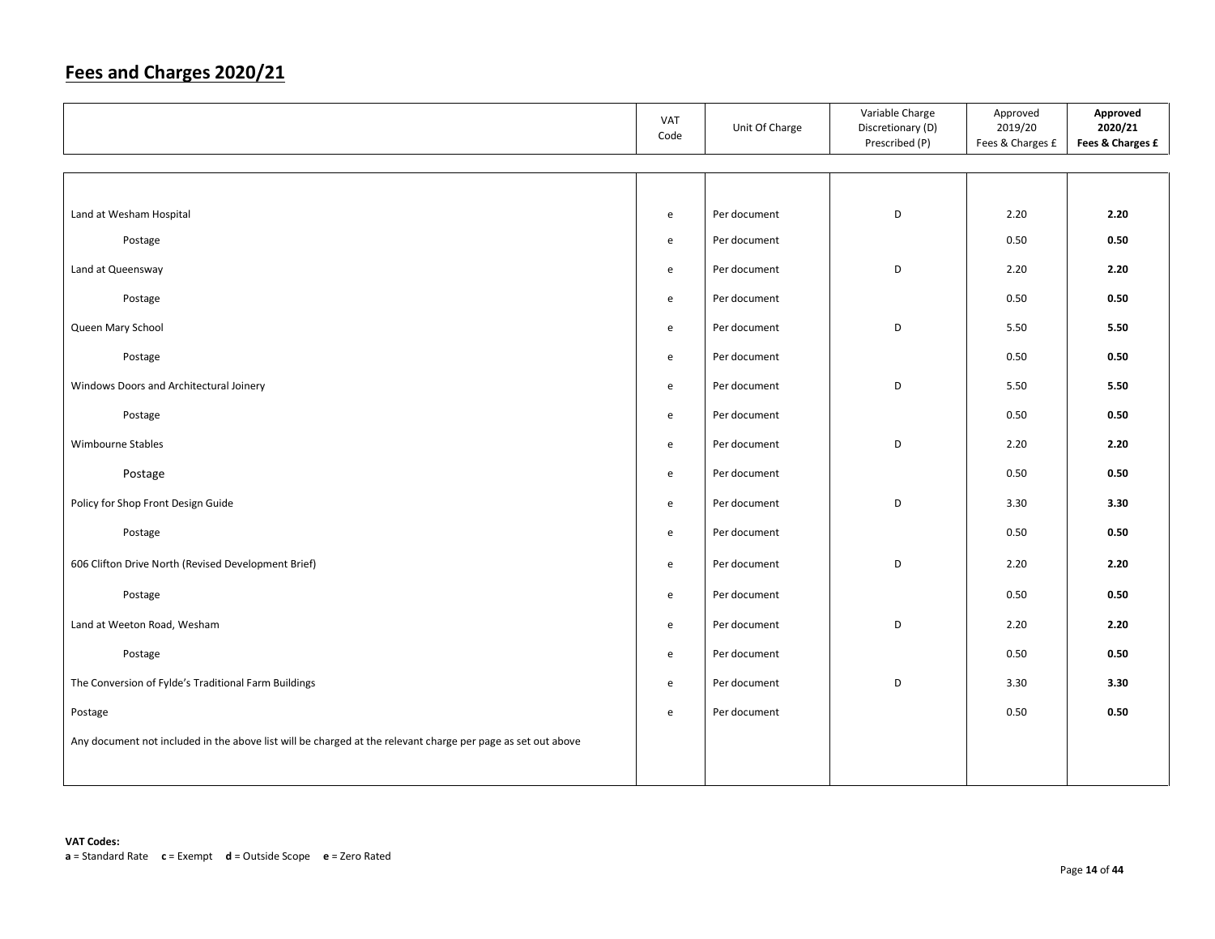|                                                                                                              | VAT<br>Code | Unit Of Charge | Variable Charge<br>Discretionary (D)<br>Prescribed (P) | Approved<br>2019/20<br>Fees & Charges £ | Approved<br>2020/21<br>Fees & Charges £ |
|--------------------------------------------------------------------------------------------------------------|-------------|----------------|--------------------------------------------------------|-----------------------------------------|-----------------------------------------|
|                                                                                                              |             |                |                                                        |                                         |                                         |
|                                                                                                              |             |                |                                                        |                                         |                                         |
| Land at Wesham Hospital                                                                                      | e           | Per document   | D                                                      | 2.20                                    | 2.20                                    |
| Postage                                                                                                      | e           | Per document   |                                                        | 0.50                                    | 0.50                                    |
| Land at Queensway                                                                                            | e           | Per document   | D                                                      | 2.20                                    | 2.20                                    |
| Postage                                                                                                      | e           | Per document   |                                                        | 0.50                                    | 0.50                                    |
| Queen Mary School                                                                                            | e           | Per document   | D                                                      | 5.50                                    | 5.50                                    |
| Postage                                                                                                      | e           | Per document   |                                                        | 0.50                                    | 0.50                                    |
| Windows Doors and Architectural Joinery                                                                      | e           | Per document   | D                                                      | 5.50                                    | 5.50                                    |
| Postage                                                                                                      | e           | Per document   |                                                        | 0.50                                    | 0.50                                    |
| Wimbourne Stables                                                                                            | e           | Per document   | D                                                      | 2.20                                    | 2.20                                    |
| Postage                                                                                                      | e           | Per document   |                                                        | 0.50                                    | 0.50                                    |
| Policy for Shop Front Design Guide                                                                           | e           | Per document   | D                                                      | 3.30                                    | 3.30                                    |
| Postage                                                                                                      | e           | Per document   |                                                        | 0.50                                    | 0.50                                    |
| 606 Clifton Drive North (Revised Development Brief)                                                          | e           | Per document   | D                                                      | 2.20                                    | 2.20                                    |
| Postage                                                                                                      | e           | Per document   |                                                        | 0.50                                    | 0.50                                    |
| Land at Weeton Road, Wesham                                                                                  | e           | Per document   | D                                                      | 2.20                                    | 2.20                                    |
| Postage                                                                                                      | e           | Per document   |                                                        | 0.50                                    | 0.50                                    |
| The Conversion of Fylde's Traditional Farm Buildings                                                         | e           | Per document   | D                                                      | 3.30                                    | 3.30                                    |
| Postage                                                                                                      | e           | Per document   |                                                        | 0.50                                    | 0.50                                    |
| Any document not included in the above list will be charged at the relevant charge per page as set out above |             |                |                                                        |                                         |                                         |
|                                                                                                              |             |                |                                                        |                                         |                                         |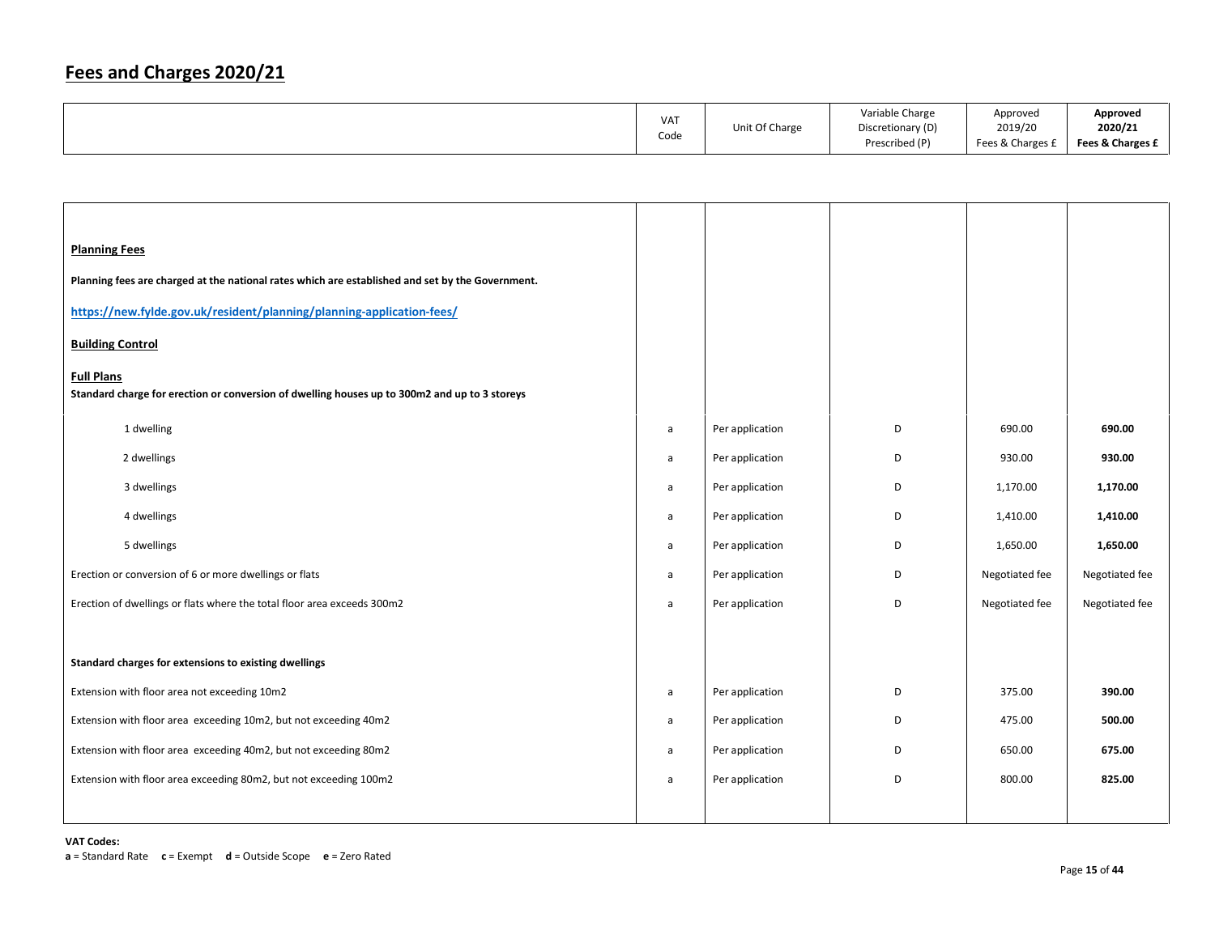|  | <b>VAT</b><br>Code | Unit Of Charge | Variable Charge<br>Discretionary (D)<br>Prescribed (P) | Approved<br>2019/20<br>Fees & Charges £ | Approved<br>2020/21<br>Fees & Charges £ |
|--|--------------------|----------------|--------------------------------------------------------|-----------------------------------------|-----------------------------------------|
|--|--------------------|----------------|--------------------------------------------------------|-----------------------------------------|-----------------------------------------|

| <b>Planning Fees</b>                                                                                               |   |                 |   |                |                |
|--------------------------------------------------------------------------------------------------------------------|---|-----------------|---|----------------|----------------|
| Planning fees are charged at the national rates which are established and set by the Government.                   |   |                 |   |                |                |
| https://new.fylde.gov.uk/resident/planning/planning-application-fees/                                              |   |                 |   |                |                |
| <b>Building Control</b>                                                                                            |   |                 |   |                |                |
| <b>Full Plans</b><br>Standard charge for erection or conversion of dwelling houses up to 300m2 and up to 3 storeys |   |                 |   |                |                |
| 1 dwelling                                                                                                         | a | Per application | D | 690.00         | 690.00         |
| 2 dwellings                                                                                                        | a | Per application | D | 930.00         | 930.00         |
| 3 dwellings                                                                                                        | a | Per application | D | 1,170.00       | 1,170.00       |
| 4 dwellings                                                                                                        | a | Per application | D | 1,410.00       | 1,410.00       |
| 5 dwellings                                                                                                        | a | Per application | D | 1,650.00       | 1,650.00       |
| Erection or conversion of 6 or more dwellings or flats                                                             | a | Per application | D | Negotiated fee | Negotiated fee |
| Erection of dwellings or flats where the total floor area exceeds 300m2                                            | a | Per application | D | Negotiated fee | Negotiated fee |
|                                                                                                                    |   |                 |   |                |                |
| Standard charges for extensions to existing dwellings                                                              |   |                 |   |                |                |
| Extension with floor area not exceeding 10m2                                                                       | a | Per application | D | 375.00         | 390.00         |
| Extension with floor area exceeding 10m2, but not exceeding 40m2                                                   | a | Per application | D | 475.00         | 500.00         |
| Extension with floor area exceeding 40m2, but not exceeding 80m2                                                   | a | Per application | D | 650.00         | 675.00         |
| Extension with floor area exceeding 80m2, but not exceeding 100m2                                                  | a | Per application | D | 800.00         | 825.00         |
|                                                                                                                    |   |                 |   |                |                |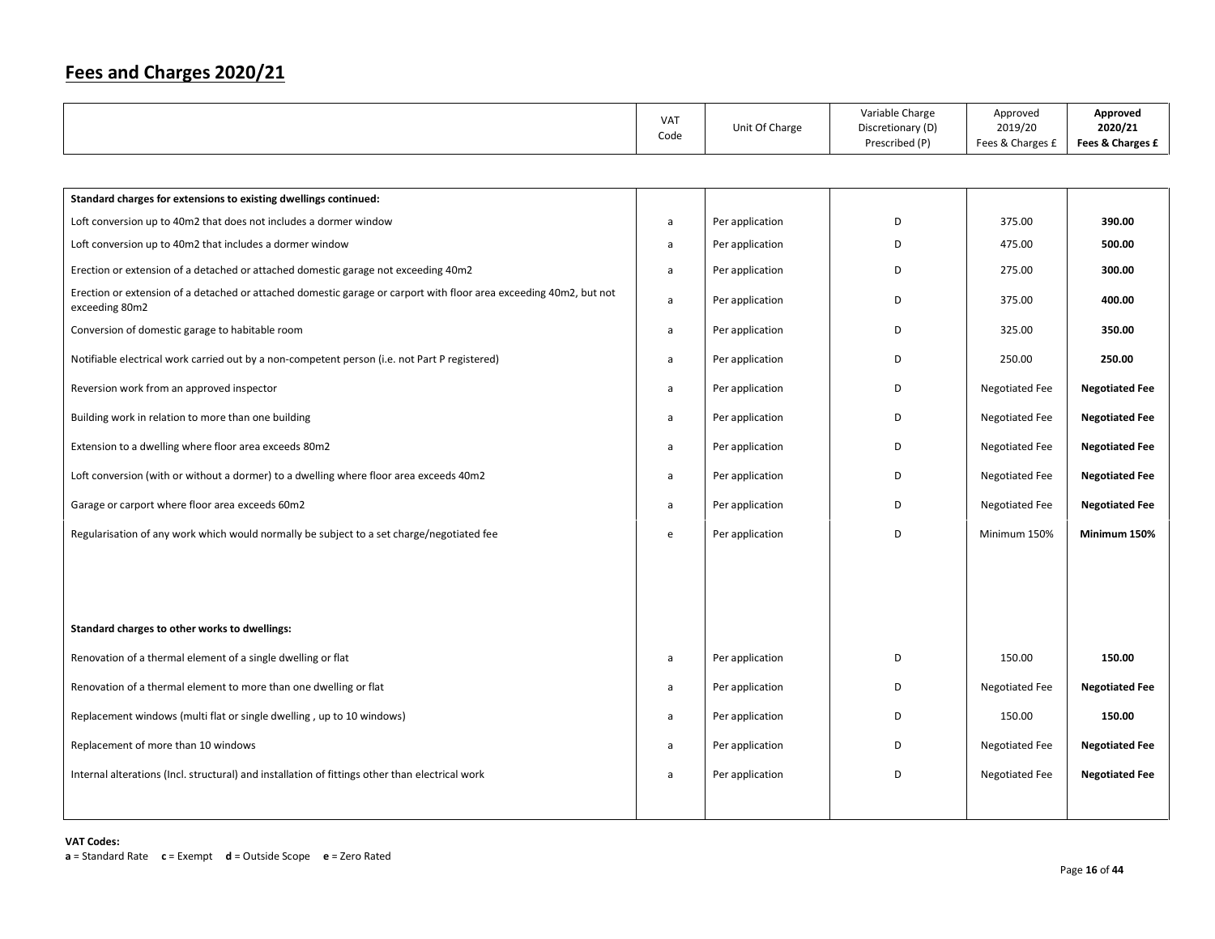|                                                                                                                                      | <b>VAT</b><br>Code                | Unit Of Charge  | Variable Charge<br>Discretionary (D)<br>Prescribed (P) | Approved<br>2019/20<br>Fees & Charges £ | Approved<br>2020/21<br>Fees & Charges £ |
|--------------------------------------------------------------------------------------------------------------------------------------|-----------------------------------|-----------------|--------------------------------------------------------|-----------------------------------------|-----------------------------------------|
|                                                                                                                                      |                                   |                 |                                                        |                                         |                                         |
| Standard charges for extensions to existing dwellings continued:                                                                     |                                   |                 |                                                        |                                         |                                         |
| Loft conversion up to 40m2 that does not includes a dormer window                                                                    | $\mathsf{a}$                      | Per application | D                                                      | 375.00                                  | 390.00                                  |
| Loft conversion up to 40m2 that includes a dormer window                                                                             | a                                 | Per application | D                                                      | 475.00                                  | 500.00                                  |
| Erection or extension of a detached or attached domestic garage not exceeding 40m2                                                   | a                                 | Per application | D                                                      | 275.00                                  | 300.00                                  |
| Erection or extension of a detached or attached domestic garage or carport with floor area exceeding 40m2, but not<br>exceeding 80m2 | a                                 | Per application | D                                                      | 375.00                                  | 400.00                                  |
| Conversion of domestic garage to habitable room                                                                                      | a                                 | Per application | D                                                      | 325.00                                  | 350.00                                  |
| Notifiable electrical work carried out by a non-competent person (i.e. not Part P registered)                                        | a                                 | Per application | D                                                      | 250.00                                  | 250.00                                  |
| Reversion work from an approved inspector                                                                                            | a                                 | Per application | D                                                      | <b>Negotiated Fee</b>                   | <b>Negotiated Fee</b>                   |
| Building work in relation to more than one building                                                                                  | a                                 | Per application | D                                                      | <b>Negotiated Fee</b>                   | <b>Negotiated Fee</b>                   |
| Extension to a dwelling where floor area exceeds 80m2                                                                                | a                                 | Per application | D                                                      | <b>Negotiated Fee</b>                   | <b>Negotiated Fee</b>                   |
| Loft conversion (with or without a dormer) to a dwelling where floor area exceeds 40m2                                               | a                                 | Per application | D                                                      | <b>Negotiated Fee</b>                   | <b>Negotiated Fee</b>                   |
| Garage or carport where floor area exceeds 60m2                                                                                      | $\mathsf{a}$                      | Per application | D                                                      | <b>Negotiated Fee</b>                   | <b>Negotiated Fee</b>                   |
| Regularisation of any work which would normally be subject to a set charge/negotiated fee                                            | $\mathsf{e}% _{t}\left( t\right)$ | Per application | D                                                      | Minimum 150%                            | Minimum 150%                            |
|                                                                                                                                      |                                   |                 |                                                        |                                         |                                         |
|                                                                                                                                      |                                   |                 |                                                        |                                         |                                         |
| Standard charges to other works to dwellings:                                                                                        |                                   |                 |                                                        |                                         |                                         |
| Renovation of a thermal element of a single dwelling or flat                                                                         | a                                 | Per application | D                                                      | 150.00                                  | 150.00                                  |
| Renovation of a thermal element to more than one dwelling or flat                                                                    | a                                 | Per application | D                                                      | <b>Negotiated Fee</b>                   | <b>Negotiated Fee</b>                   |
| Replacement windows (multi flat or single dwelling, up to 10 windows)                                                                | a                                 | Per application | D                                                      | 150.00                                  | 150.00                                  |
| Replacement of more than 10 windows                                                                                                  | a                                 | Per application | D                                                      | Negotiated Fee                          | <b>Negotiated Fee</b>                   |
| Internal alterations (Incl. structural) and installation of fittings other than electrical work                                      | a                                 | Per application | D                                                      | <b>Negotiated Fee</b>                   | <b>Negotiated Fee</b>                   |
|                                                                                                                                      |                                   |                 |                                                        |                                         |                                         |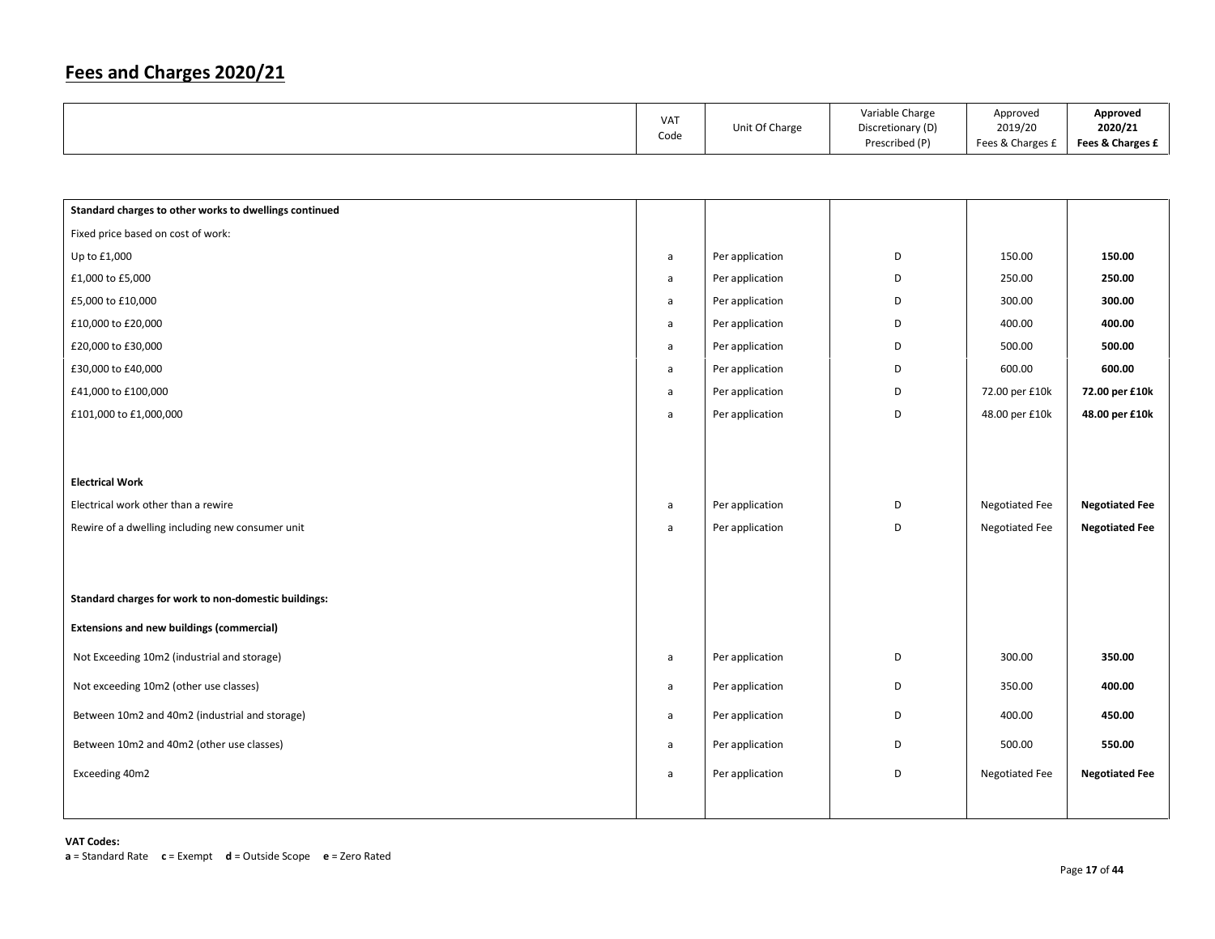| <b>VAT</b><br>Code | Unit Of Charge | Variable Charge<br>Discretionary (D)<br>Prescribed (P) | Approved<br>2019/20<br>Fees & Charges £ | Approved<br>2020/21<br>Fees & Charges £ |
|--------------------|----------------|--------------------------------------------------------|-----------------------------------------|-----------------------------------------|
|                    |                |                                                        |                                         |                                         |

| Standard charges to other works to dwellings continued |              |                 |   |                       |                       |
|--------------------------------------------------------|--------------|-----------------|---|-----------------------|-----------------------|
| Fixed price based on cost of work:                     |              |                 |   |                       |                       |
| Up to £1,000                                           | a            | Per application | D | 150.00                | 150.00                |
| £1,000 to £5,000                                       | a            | Per application | D | 250.00                | 250.00                |
| £5,000 to £10,000                                      | a            | Per application | D | 300.00                | 300.00                |
| £10,000 to £20,000                                     | a            | Per application | D | 400.00                | 400.00                |
| £20,000 to £30,000                                     | $\mathsf{a}$ | Per application | D | 500.00                | 500.00                |
| £30,000 to £40,000                                     | $\mathsf{a}$ | Per application | D | 600.00                | 600.00                |
| £41,000 to £100,000                                    | $\mathsf{a}$ | Per application | D | 72.00 per £10k        | 72.00 per £10k        |
| £101,000 to £1,000,000                                 | $\mathsf{a}$ | Per application | D | 48.00 per £10k        | 48.00 per £10k        |
|                                                        |              |                 |   |                       |                       |
|                                                        |              |                 |   |                       |                       |
| <b>Electrical Work</b>                                 |              |                 |   |                       |                       |
| Electrical work other than a rewire                    | $\mathsf{a}$ | Per application | D | Negotiated Fee        | <b>Negotiated Fee</b> |
| Rewire of a dwelling including new consumer unit       | a            | Per application | D | <b>Negotiated Fee</b> | <b>Negotiated Fee</b> |
|                                                        |              |                 |   |                       |                       |
|                                                        |              |                 |   |                       |                       |
| Standard charges for work to non-domestic buildings:   |              |                 |   |                       |                       |
| <b>Extensions and new buildings (commercial)</b>       |              |                 |   |                       |                       |
| Not Exceeding 10m2 (industrial and storage)            | a            | Per application | D | 300.00                | 350.00                |
| Not exceeding 10m2 (other use classes)                 | a            | Per application | D | 350.00                | 400.00                |
| Between 10m2 and 40m2 (industrial and storage)         | a            | Per application | D | 400.00                | 450.00                |
| Between 10m2 and 40m2 (other use classes)              | a            | Per application | D | 500.00                | 550.00                |
| Exceeding 40m2                                         | a            | Per application | D | <b>Negotiated Fee</b> | <b>Negotiated Fee</b> |
|                                                        |              |                 |   |                       |                       |
|                                                        |              |                 |   |                       |                       |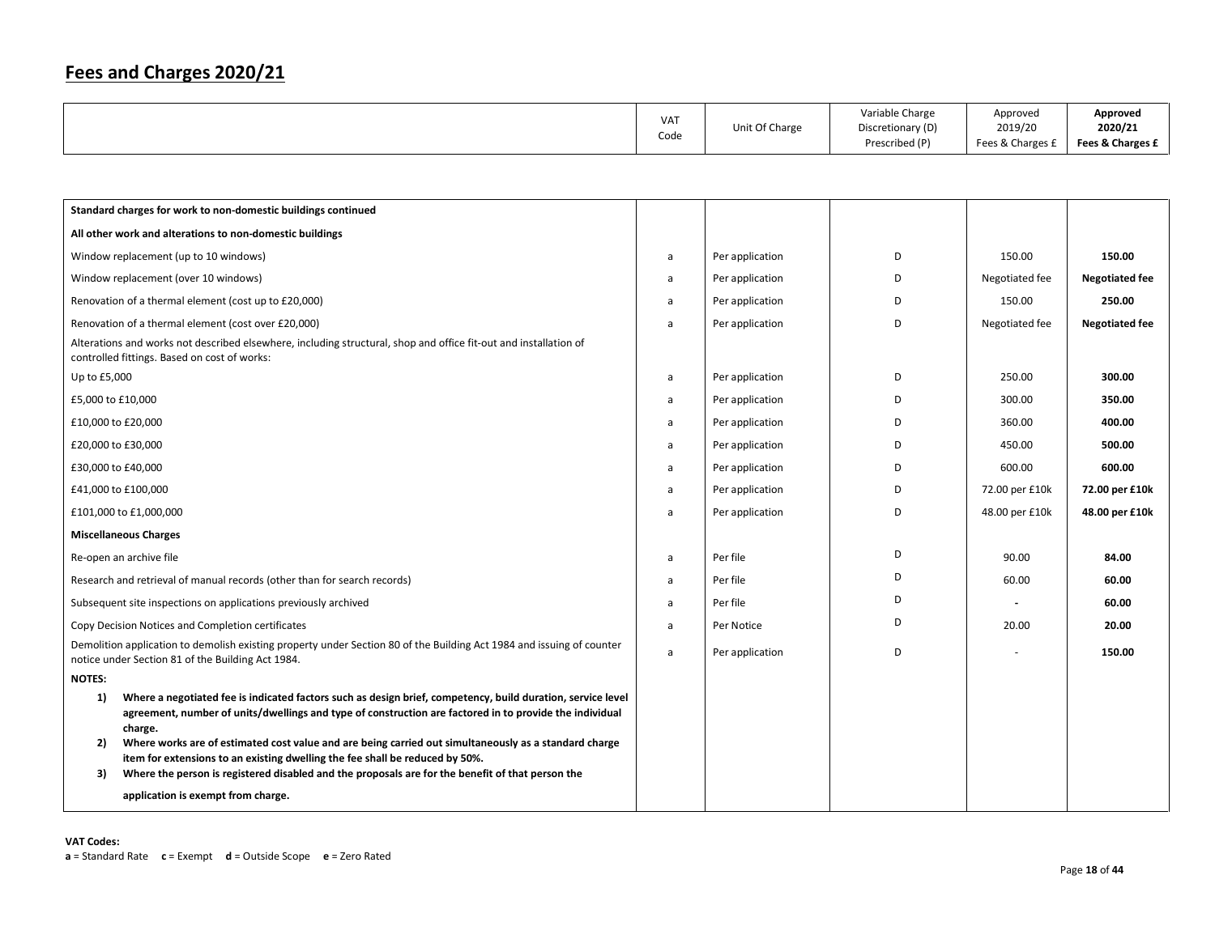|  | <b>VAT</b><br>Code | Unit Of Charge | Variable Charge<br>Discretionary (D)<br>Prescribed (P) | Approved<br>2019/20<br>Fees & Charges £ | Approved<br>2020/21<br>Fees & Charges £ |
|--|--------------------|----------------|--------------------------------------------------------|-----------------------------------------|-----------------------------------------|
|--|--------------------|----------------|--------------------------------------------------------|-----------------------------------------|-----------------------------------------|

|                   | Standard charges for work to non-domestic buildings continued                                                                                                                                                                                                                             |   |                 |   |                |                       |
|-------------------|-------------------------------------------------------------------------------------------------------------------------------------------------------------------------------------------------------------------------------------------------------------------------------------------|---|-----------------|---|----------------|-----------------------|
|                   | All other work and alterations to non-domestic buildings                                                                                                                                                                                                                                  |   |                 |   |                |                       |
|                   | Window replacement (up to 10 windows)                                                                                                                                                                                                                                                     | a | Per application | D | 150.00         | 150.00                |
|                   | Window replacement (over 10 windows)                                                                                                                                                                                                                                                      | a | Per application | D | Negotiated fee | <b>Negotiated fee</b> |
|                   | Renovation of a thermal element (cost up to £20,000)                                                                                                                                                                                                                                      | a | Per application | D | 150.00         | 250.00                |
|                   | Renovation of a thermal element (cost over £20,000)                                                                                                                                                                                                                                       | a | Per application | D | Negotiated fee | <b>Negotiated fee</b> |
|                   | Alterations and works not described elsewhere, including structural, shop and office fit-out and installation of<br>controlled fittings. Based on cost of works:                                                                                                                          |   |                 |   |                |                       |
| Up to £5,000      |                                                                                                                                                                                                                                                                                           | a | Per application | D | 250.00         | 300.00                |
| £5,000 to £10,000 |                                                                                                                                                                                                                                                                                           | a | Per application | D | 300.00         | 350.00                |
|                   | £10,000 to £20,000                                                                                                                                                                                                                                                                        | a | Per application | D | 360.00         | 400.00                |
|                   | £20,000 to £30,000                                                                                                                                                                                                                                                                        | a | Per application | D | 450.00         | 500.00                |
|                   | £30,000 to £40,000                                                                                                                                                                                                                                                                        | a | Per application | D | 600.00         | 600.00                |
|                   | £41,000 to £100,000                                                                                                                                                                                                                                                                       | a | Per application | D | 72.00 per £10k | 72.00 per £10k        |
|                   | £101,000 to £1,000,000                                                                                                                                                                                                                                                                    | a | Per application | D | 48.00 per £10k | 48.00 per £10k        |
|                   | <b>Miscellaneous Charges</b>                                                                                                                                                                                                                                                              |   |                 |   |                |                       |
|                   | Re-open an archive file                                                                                                                                                                                                                                                                   | a | Per file        | D | 90.00          | 84.00                 |
|                   | Research and retrieval of manual records (other than for search records)                                                                                                                                                                                                                  | a | Per file        | D | 60.00          | 60.00                 |
|                   | Subsequent site inspections on applications previously archived                                                                                                                                                                                                                           | a | Per file        | D |                | 60.00                 |
|                   | Copy Decision Notices and Completion certificates                                                                                                                                                                                                                                         | a | Per Notice      | D | 20.00          | 20.00                 |
|                   | Demolition application to demolish existing property under Section 80 of the Building Act 1984 and issuing of counter<br>notice under Section 81 of the Building Act 1984.                                                                                                                | a | Per application | D |                | 150.00                |
| <b>NOTES:</b>     |                                                                                                                                                                                                                                                                                           |   |                 |   |                |                       |
| 1)                | Where a negotiated fee is indicated factors such as design brief, competency, build duration, service level<br>agreement, number of units/dwellings and type of construction are factored in to provide the individual<br>charge.                                                         |   |                 |   |                |                       |
| 2)<br>3)          | Where works are of estimated cost value and are being carried out simultaneously as a standard charge<br>item for extensions to an existing dwelling the fee shall be reduced by 50%.<br>Where the person is registered disabled and the proposals are for the benefit of that person the |   |                 |   |                |                       |
|                   | application is exempt from charge.                                                                                                                                                                                                                                                        |   |                 |   |                |                       |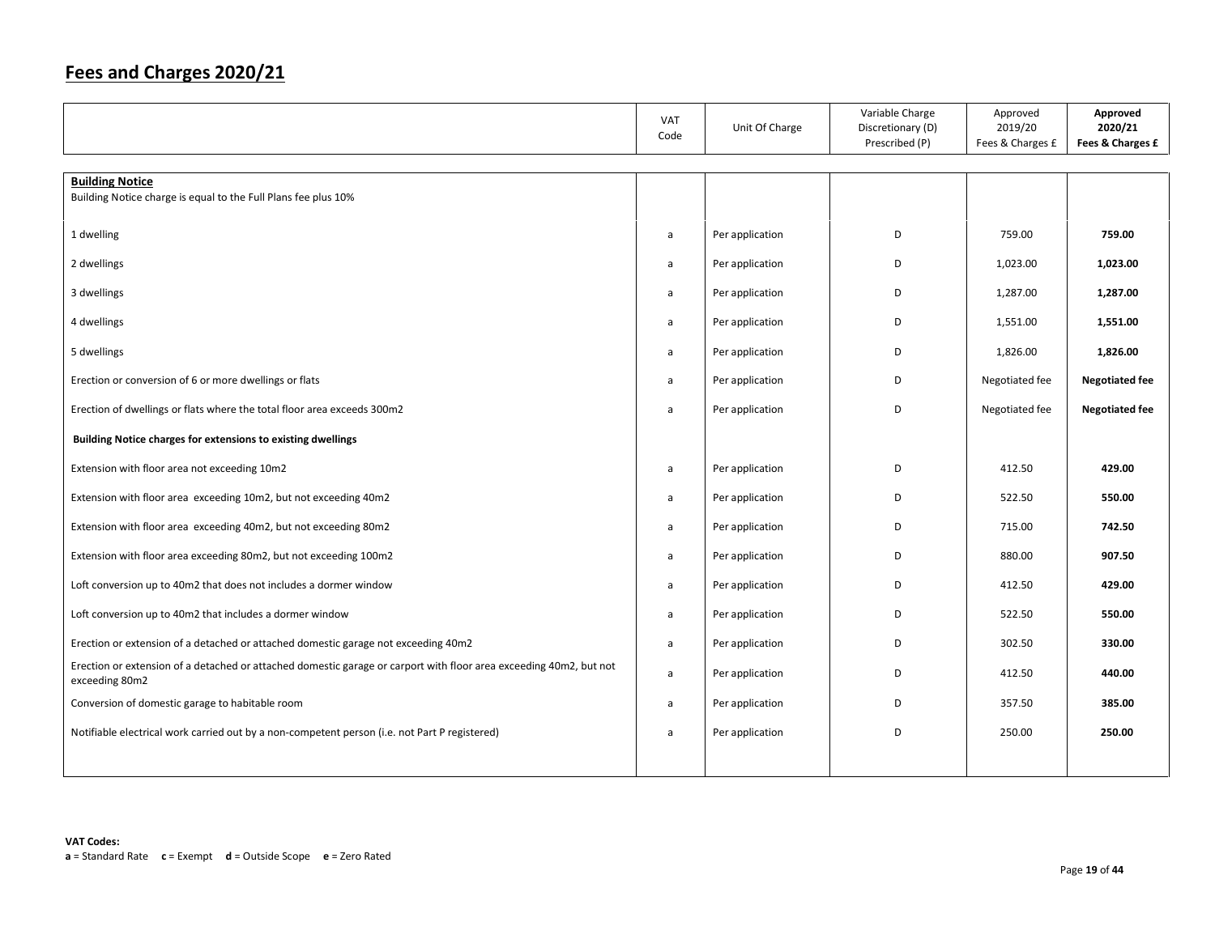|                                                                                                                                      | VAT<br>Code  | Unit Of Charge  | Variable Charge<br>Discretionary (D)<br>Prescribed (P) | Approved<br>2019/20<br>Fees & Charges £ | Approved<br>2020/21<br>Fees & Charges £ |
|--------------------------------------------------------------------------------------------------------------------------------------|--------------|-----------------|--------------------------------------------------------|-----------------------------------------|-----------------------------------------|
| <b>Building Notice</b>                                                                                                               |              |                 |                                                        |                                         |                                         |
| Building Notice charge is equal to the Full Plans fee plus 10%                                                                       |              |                 |                                                        |                                         |                                         |
|                                                                                                                                      |              |                 |                                                        |                                         |                                         |
| 1 dwelling                                                                                                                           | a            | Per application | D                                                      | 759.00                                  | 759.00                                  |
| 2 dwellings                                                                                                                          | a            | Per application | D                                                      | 1,023.00                                | 1,023.00                                |
| 3 dwellings                                                                                                                          | a            | Per application | D                                                      | 1,287.00                                | 1,287.00                                |
| 4 dwellings                                                                                                                          | a            | Per application | D                                                      | 1,551.00                                | 1,551.00                                |
| 5 dwellings                                                                                                                          | a            | Per application | D                                                      | 1,826.00                                | 1,826.00                                |
| Erection or conversion of 6 or more dwellings or flats                                                                               | a            | Per application | D                                                      | Negotiated fee                          | <b>Negotiated fee</b>                   |
| Erection of dwellings or flats where the total floor area exceeds 300m2                                                              | a            | Per application | D                                                      | Negotiated fee                          | <b>Negotiated fee</b>                   |
| Building Notice charges for extensions to existing dwellings                                                                         |              |                 |                                                        |                                         |                                         |
| Extension with floor area not exceeding 10m2                                                                                         | a            | Per application | D                                                      | 412.50                                  | 429.00                                  |
| Extension with floor area exceeding 10m2, but not exceeding 40m2                                                                     | a            | Per application | D                                                      | 522.50                                  | 550.00                                  |
| Extension with floor area exceeding 40m2, but not exceeding 80m2                                                                     | a            | Per application | D                                                      | 715.00                                  | 742.50                                  |
| Extension with floor area exceeding 80m2, but not exceeding 100m2                                                                    | a            | Per application | D                                                      | 880.00                                  | 907.50                                  |
| Loft conversion up to 40m2 that does not includes a dormer window                                                                    | $\mathsf{a}$ | Per application | D                                                      | 412.50                                  | 429.00                                  |
| Loft conversion up to 40m2 that includes a dormer window                                                                             | a            | Per application | D                                                      | 522.50                                  | 550.00                                  |
| Erection or extension of a detached or attached domestic garage not exceeding 40m2                                                   | $\mathsf{a}$ | Per application | D                                                      | 302.50                                  | 330.00                                  |
| Erection or extension of a detached or attached domestic garage or carport with floor area exceeding 40m2, but not<br>exceeding 80m2 | $\mathsf{a}$ | Per application | D                                                      | 412.50                                  | 440.00                                  |
| Conversion of domestic garage to habitable room                                                                                      | $\mathsf{a}$ | Per application | D                                                      | 357.50                                  | 385.00                                  |
| Notifiable electrical work carried out by a non-competent person (i.e. not Part P registered)                                        | a            | Per application | D                                                      | 250.00                                  | 250.00                                  |
|                                                                                                                                      |              |                 |                                                        |                                         |                                         |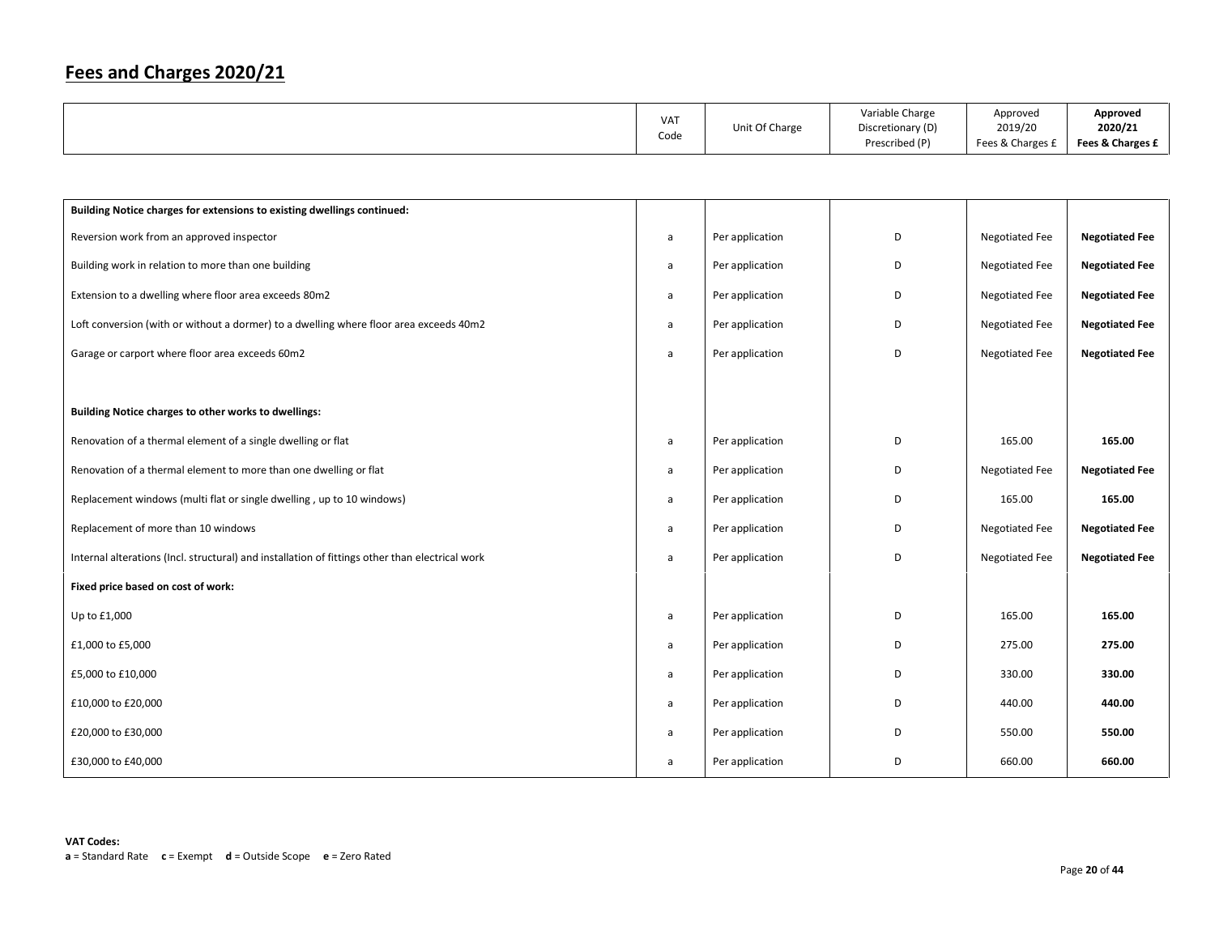|  | VA <sub>1</sub><br>Code | Unit Of Charge | Variable Charge<br>Discretionary (D)<br>Prescribed (P) | Approved<br>2019/20<br>Fees & Charges £ | Approved<br>2020/21<br>Fees & Charges £ |
|--|-------------------------|----------------|--------------------------------------------------------|-----------------------------------------|-----------------------------------------|
|--|-------------------------|----------------|--------------------------------------------------------|-----------------------------------------|-----------------------------------------|

| Building Notice charges for extensions to existing dwellings continued:                         |   |                 |   |                       |                       |
|-------------------------------------------------------------------------------------------------|---|-----------------|---|-----------------------|-----------------------|
| Reversion work from an approved inspector                                                       | a | Per application | D | Negotiated Fee        | <b>Negotiated Fee</b> |
| Building work in relation to more than one building                                             | a | Per application | D | Negotiated Fee        | <b>Negotiated Fee</b> |
| Extension to a dwelling where floor area exceeds 80m2                                           | a | Per application | D | <b>Negotiated Fee</b> | <b>Negotiated Fee</b> |
| Loft conversion (with or without a dormer) to a dwelling where floor area exceeds 40m2          | a | Per application | D | <b>Negotiated Fee</b> | <b>Negotiated Fee</b> |
| Garage or carport where floor area exceeds 60m2                                                 | a | Per application | D | <b>Negotiated Fee</b> | <b>Negotiated Fee</b> |
|                                                                                                 |   |                 |   |                       |                       |
| Building Notice charges to other works to dwellings:                                            |   |                 |   |                       |                       |
| Renovation of a thermal element of a single dwelling or flat                                    | a | Per application | D | 165.00                | 165.00                |
| Renovation of a thermal element to more than one dwelling or flat                               | a | Per application | D | <b>Negotiated Fee</b> | <b>Negotiated Fee</b> |
| Replacement windows (multi flat or single dwelling, up to 10 windows)                           | a | Per application | D | 165.00                | 165.00                |
| Replacement of more than 10 windows                                                             | a | Per application | D | <b>Negotiated Fee</b> | <b>Negotiated Fee</b> |
| Internal alterations (Incl. structural) and installation of fittings other than electrical work | a | Per application | D | <b>Negotiated Fee</b> | <b>Negotiated Fee</b> |
| Fixed price based on cost of work:                                                              |   |                 |   |                       |                       |
| Up to £1,000                                                                                    | a | Per application | D | 165.00                | 165.00                |
| £1,000 to £5,000                                                                                | a | Per application | D | 275.00                | 275.00                |
| £5,000 to £10,000                                                                               | a | Per application | D | 330.00                | 330.00                |
| £10,000 to £20,000                                                                              | a | Per application | D | 440.00                | 440.00                |
| £20,000 to £30,000                                                                              | a | Per application | D | 550.00                | 550.00                |
| £30,000 to £40,000                                                                              | a | Per application | D | 660.00                | 660.00                |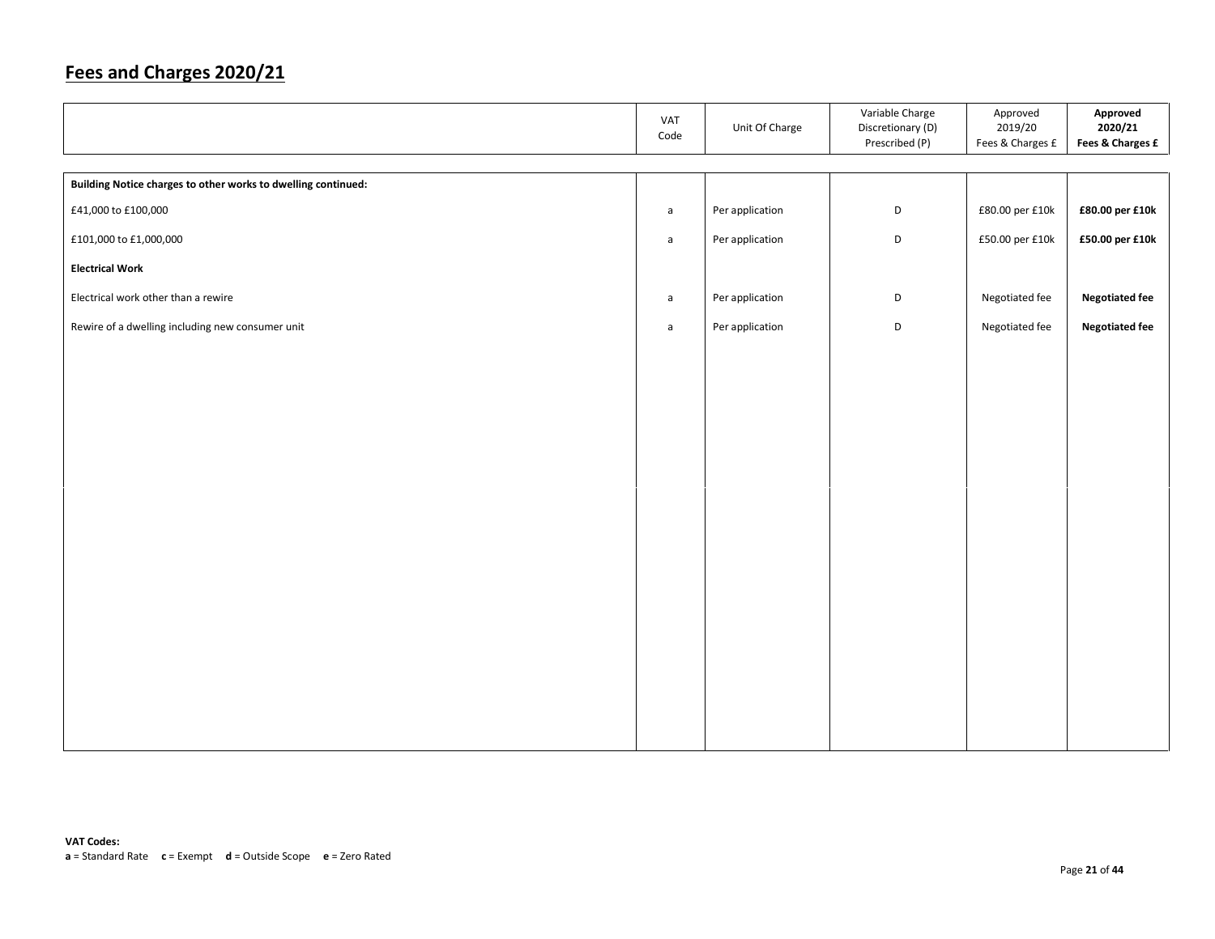|                                                               | VAT<br>Code  | Unit Of Charge  | Variable Charge<br>Discretionary (D)<br>Prescribed (P) | Approved<br>2019/20<br>Fees & Charges £ | Approved<br>2020/21<br>Fees & Charges £ |
|---------------------------------------------------------------|--------------|-----------------|--------------------------------------------------------|-----------------------------------------|-----------------------------------------|
|                                                               |              |                 |                                                        |                                         |                                         |
| Building Notice charges to other works to dwelling continued: |              |                 |                                                        |                                         |                                         |
| £41,000 to £100,000                                           | $\mathsf{a}$ | Per application | D                                                      | £80.00 per £10k                         | £80.00 per £10k                         |
| £101,000 to £1,000,000                                        | $\mathsf{a}$ | Per application | D                                                      | £50.00 per £10k                         | £50.00 per £10k                         |
| <b>Electrical Work</b>                                        |              |                 |                                                        |                                         |                                         |
| Electrical work other than a rewire                           | $\mathsf{a}$ | Per application | D                                                      | Negotiated fee                          | <b>Negotiated fee</b>                   |
| Rewire of a dwelling including new consumer unit              | $\mathsf{a}$ | Per application | D                                                      | Negotiated fee                          | <b>Negotiated fee</b>                   |
|                                                               |              |                 |                                                        |                                         |                                         |
|                                                               |              |                 |                                                        |                                         |                                         |
|                                                               |              |                 |                                                        |                                         |                                         |
|                                                               |              |                 |                                                        |                                         |                                         |
|                                                               |              |                 |                                                        |                                         |                                         |
|                                                               |              |                 |                                                        |                                         |                                         |
|                                                               |              |                 |                                                        |                                         |                                         |
|                                                               |              |                 |                                                        |                                         |                                         |
|                                                               |              |                 |                                                        |                                         |                                         |
|                                                               |              |                 |                                                        |                                         |                                         |
|                                                               |              |                 |                                                        |                                         |                                         |
|                                                               |              |                 |                                                        |                                         |                                         |
|                                                               |              |                 |                                                        |                                         |                                         |
|                                                               |              |                 |                                                        |                                         |                                         |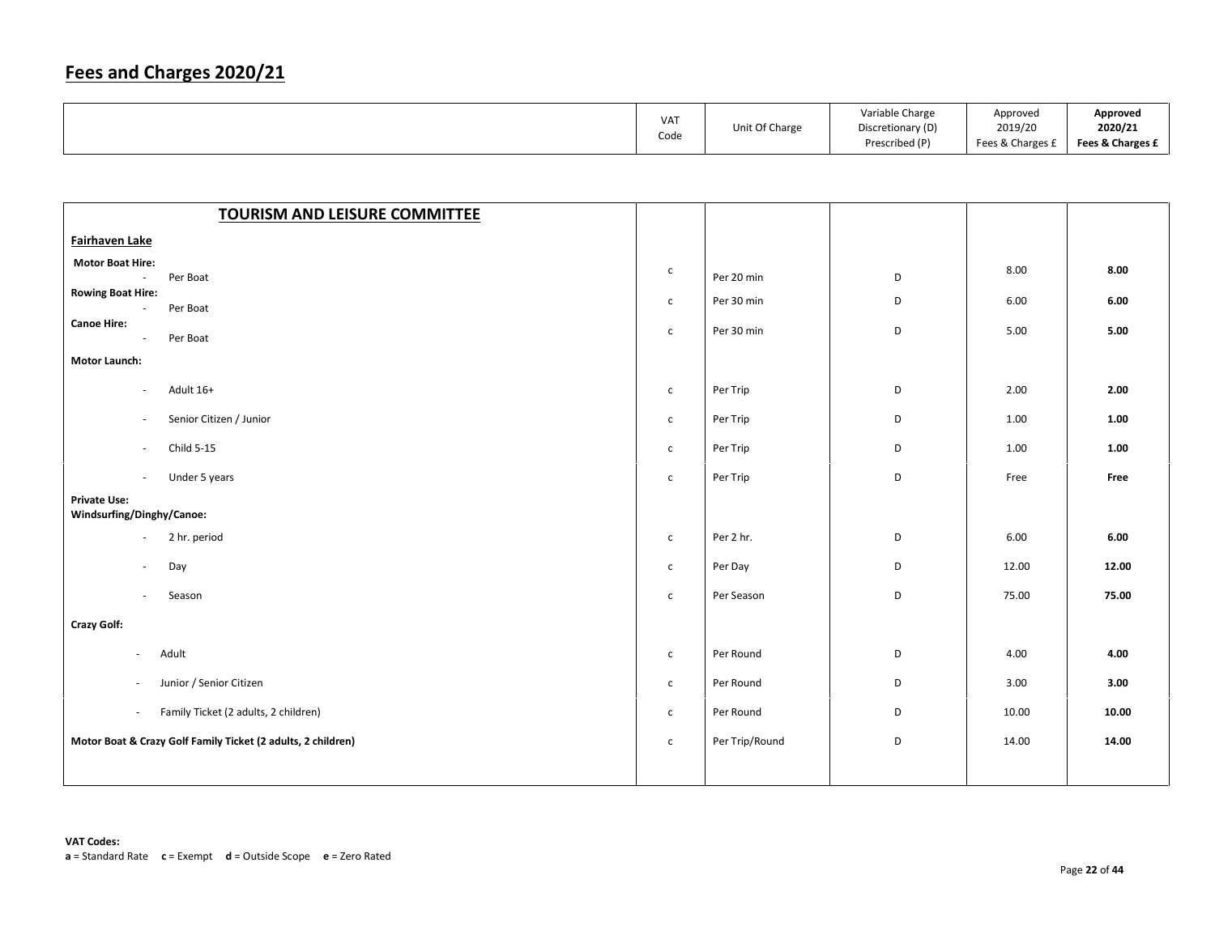|  | <b>VAT</b><br>Code | Unit Of Charge | Variable Charge<br>Discretionary (D)<br>Prescribed (P) | Approved<br>2019/20<br>Fees & Charges £ | Approved<br>2020/21<br>Fees & Charges £ |
|--|--------------------|----------------|--------------------------------------------------------|-----------------------------------------|-----------------------------------------|
|--|--------------------|----------------|--------------------------------------------------------|-----------------------------------------|-----------------------------------------|

| <b>TOURISM AND LEISURE COMMITTEE</b>                                         |              |                |   |       |       |
|------------------------------------------------------------------------------|--------------|----------------|---|-------|-------|
| Fairhaven Lake                                                               |              |                |   |       |       |
| <b>Motor Boat Hire:</b><br>Per Boat<br>$\sim$                                | $\mathsf{C}$ | Per 20 min     | D | 8.00  | 8.00  |
| <b>Rowing Boat Hire:</b><br>Per Boat<br>$\blacksquare$<br><b>Canoe Hire:</b> | $\mathsf{C}$ | Per 30 min     | D | 6.00  | 6.00  |
| Per Boat<br>$\overline{\phantom{a}}$                                         | $\mathsf{C}$ | Per 30 min     | D | 5.00  | 5.00  |
| <b>Motor Launch:</b>                                                         |              |                |   |       |       |
| Adult 16+<br>$\sim$                                                          | $\mathsf{C}$ | Per Trip       | D | 2.00  | 2.00  |
| Senior Citizen / Junior<br>$\blacksquare$                                    | $\mathsf{C}$ | Per Trip       | D | 1.00  | 1.00  |
| Child 5-15<br>$\overline{\phantom{a}}$                                       | $\mathsf{C}$ | Per Trip       | D | 1.00  | 1.00  |
| Under 5 years<br>$\mathcal{L}_{\mathcal{A}}$                                 | $\mathsf{C}$ | Per Trip       | D | Free  | Free  |
| <b>Private Use:</b><br>Windsurfing/Dinghy/Canoe:                             |              |                |   |       |       |
| 2 hr. period<br>$\overline{\phantom{a}}$                                     | $\mathsf{C}$ | Per 2 hr.      | D | 6.00  | 6.00  |
| Day<br>$\overline{\phantom{a}}$                                              | $\mathsf{C}$ | Per Day        | D | 12.00 | 12.00 |
| Season<br>$\omega$                                                           | $\mathsf{C}$ | Per Season     | D | 75.00 | 75.00 |
| <b>Crazy Golf:</b>                                                           |              |                |   |       |       |
| Adult<br>$\sim$                                                              | $\mathsf{C}$ | Per Round      | D | 4.00  | 4.00  |
| Junior / Senior Citizen<br>$\sim$                                            | $\mathsf{C}$ | Per Round      | D | 3.00  | 3.00  |
| Family Ticket (2 adults, 2 children)<br>$\sim$                               | $\mathsf{C}$ | Per Round      | D | 10.00 | 10.00 |
| Motor Boat & Crazy Golf Family Ticket (2 adults, 2 children)                 | $\mathsf{C}$ | Per Trip/Round | D | 14.00 | 14.00 |
|                                                                              |              |                |   |       |       |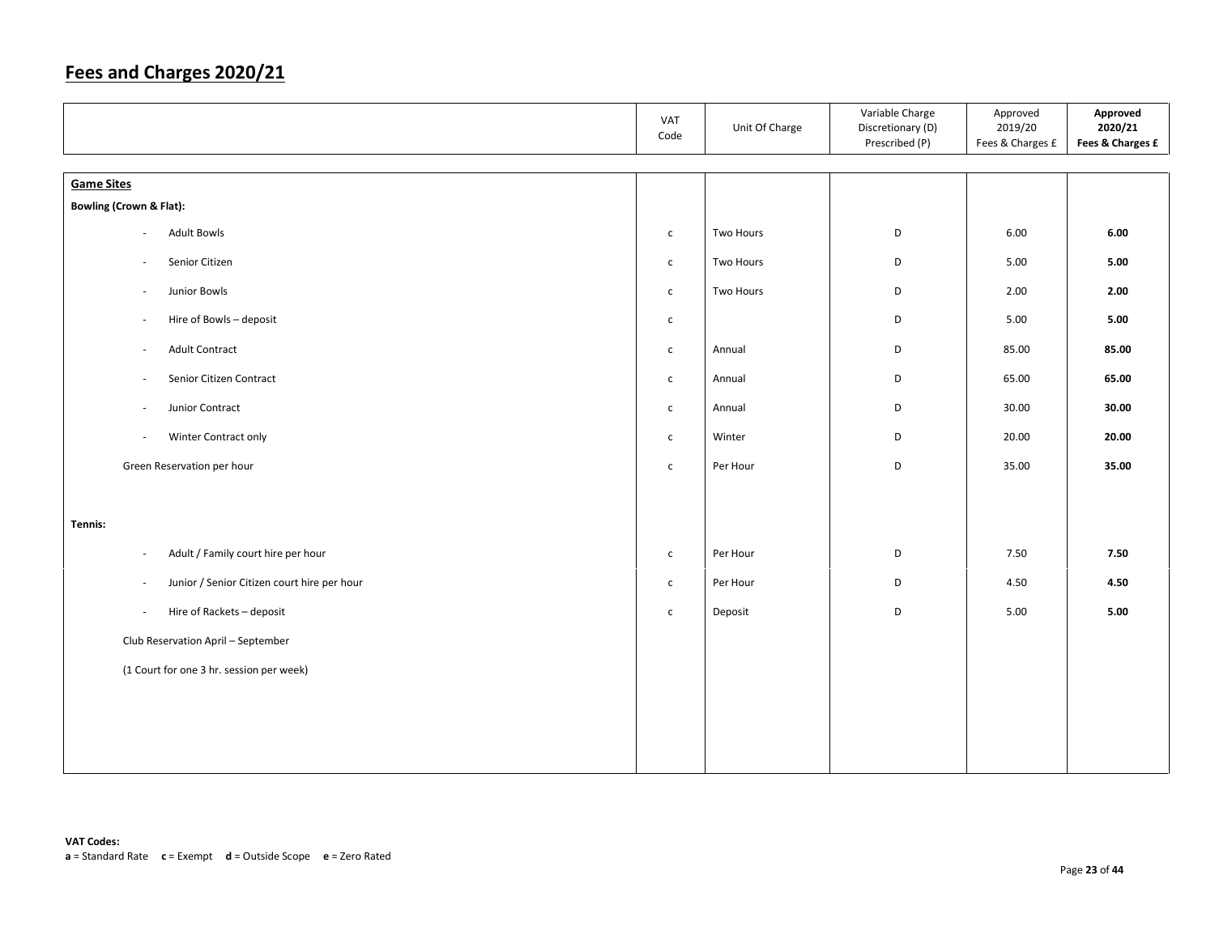|                                                                         | VAT<br>Code  | Unit Of Charge | Variable Charge<br>Discretionary (D)<br>Prescribed (P) | Approved<br>2019/20<br>Fees & Charges £ | Approved<br>2020/21<br>Fees & Charges £ |
|-------------------------------------------------------------------------|--------------|----------------|--------------------------------------------------------|-----------------------------------------|-----------------------------------------|
| <b>Game Sites</b>                                                       |              |                |                                                        |                                         |                                         |
| <b>Bowling (Crown &amp; Flat):</b>                                      |              |                |                                                        |                                         |                                         |
| <b>Adult Bowls</b><br>$\overline{\phantom{a}}$                          | $\mathsf{C}$ | Two Hours      | D                                                      | 6.00                                    | 6.00                                    |
|                                                                         |              |                |                                                        |                                         |                                         |
| Senior Citizen<br>$\sim$                                                | $\mathsf{C}$ | Two Hours      | D                                                      | 5.00                                    | 5.00                                    |
| Junior Bowls<br>$\sim$                                                  | $\mathsf{C}$ | Two Hours      | D                                                      | 2.00                                    | 2.00                                    |
| Hire of Bowls - deposit<br>$\overline{\phantom{a}}$                     | $\mathsf{C}$ |                | D                                                      | 5.00                                    | 5.00                                    |
| Adult Contract<br>$\overline{\phantom{a}}$                              | $\mathsf{C}$ | Annual         | D                                                      | 85.00                                   | 85.00                                   |
| Senior Citizen Contract<br>$\overline{\phantom{a}}$                     | $\mathsf{C}$ | Annual         | D                                                      | 65.00                                   | 65.00                                   |
| Junior Contract<br>$\overline{\phantom{a}}$                             | $\mathsf{C}$ | Annual         | D                                                      | 30.00                                   | 30.00                                   |
| Winter Contract only<br>$\overline{\phantom{a}}$                        | $\mathsf{C}$ | Winter         | D                                                      | 20.00                                   | 20.00                                   |
| Green Reservation per hour                                              | $\mathsf{C}$ | Per Hour       | D                                                      | 35.00                                   | 35.00                                   |
|                                                                         |              |                |                                                        |                                         |                                         |
| Tennis:                                                                 |              |                |                                                        |                                         |                                         |
| Adult / Family court hire per hour<br>$\overline{\phantom{a}}$          | $\mathsf{C}$ | Per Hour       | D                                                      | 7.50                                    | 7.50                                    |
| Junior / Senior Citizen court hire per hour<br>$\overline{\phantom{a}}$ | $\mathsf{C}$ | Per Hour       | D                                                      | 4.50                                    | 4.50                                    |
| Hire of Rackets - deposit<br>$\overline{\phantom{a}}$                   | $\mathsf{C}$ | Deposit        | D                                                      | 5.00                                    | 5.00                                    |
| Club Reservation April - September                                      |              |                |                                                        |                                         |                                         |
| (1 Court for one 3 hr. session per week)                                |              |                |                                                        |                                         |                                         |
|                                                                         |              |                |                                                        |                                         |                                         |
|                                                                         |              |                |                                                        |                                         |                                         |
|                                                                         |              |                |                                                        |                                         |                                         |
|                                                                         |              |                |                                                        |                                         |                                         |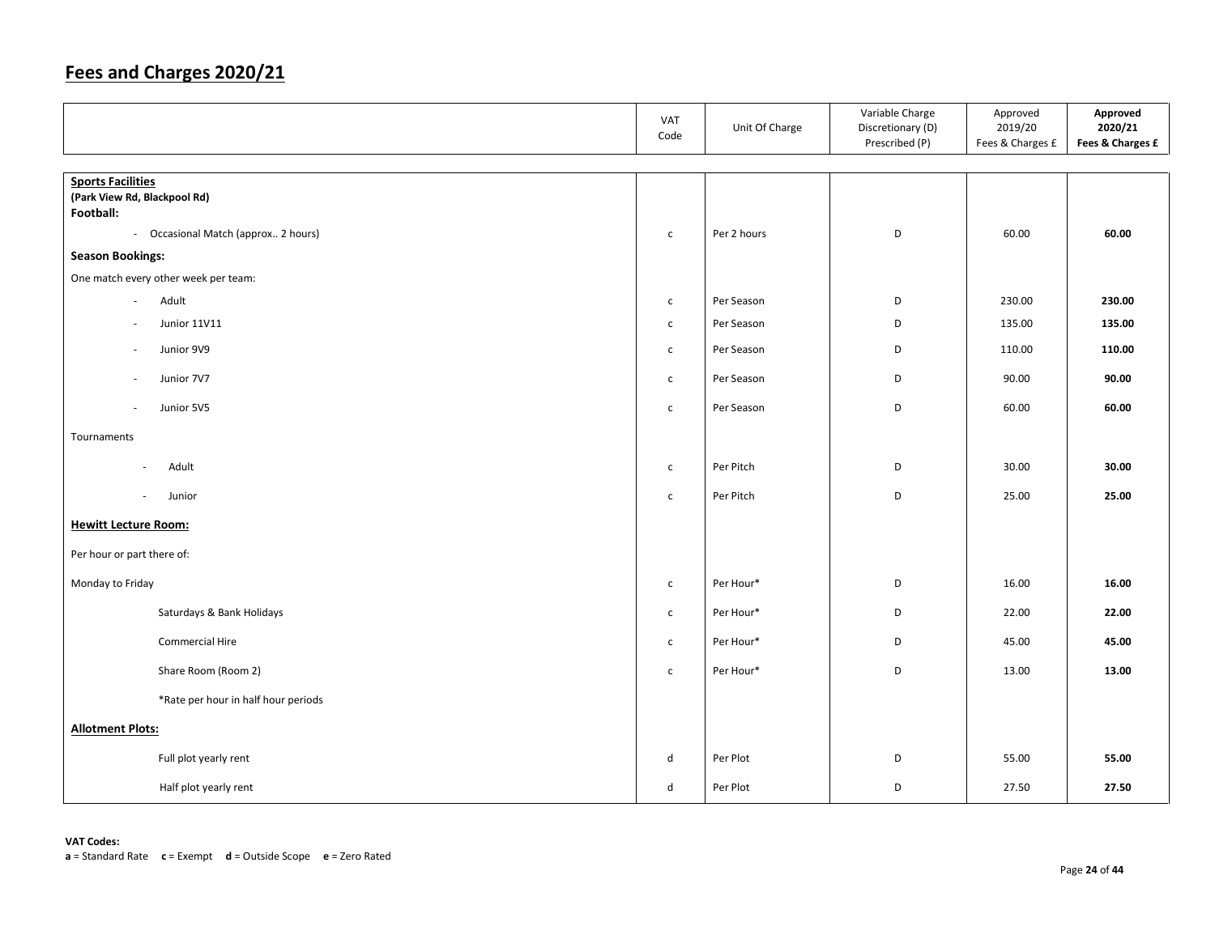|                                                          | VAT<br>Code  | Unit Of Charge | Variable Charge<br>Discretionary (D)<br>Prescribed (P) | Approved<br>2019/20<br>Fees & Charges £ | Approved<br>2020/21<br>Fees & Charges £ |
|----------------------------------------------------------|--------------|----------------|--------------------------------------------------------|-----------------------------------------|-----------------------------------------|
|                                                          |              |                |                                                        |                                         |                                         |
| <b>Sports Facilities</b><br>(Park View Rd, Blackpool Rd) |              |                |                                                        |                                         |                                         |
| Football:                                                |              |                |                                                        |                                         |                                         |
| - Occasional Match (approx 2 hours)                      | $\mathsf{C}$ | Per 2 hours    | D                                                      | 60.00                                   | 60.00                                   |
| <b>Season Bookings:</b>                                  |              |                |                                                        |                                         |                                         |
| One match every other week per team:                     |              |                |                                                        |                                         |                                         |
| Adult<br>$\sim$                                          | $\mathsf{C}$ | Per Season     | D                                                      | 230.00                                  | 230.00                                  |
| <b>Junior 11V11</b>                                      | $\mathsf{C}$ | Per Season     | D                                                      | 135.00                                  | 135.00                                  |
| Junior 9V9                                               | c            | Per Season     | D                                                      | 110.00                                  | 110.00                                  |
| Junior 7V7<br>$\overline{\phantom{a}}$                   | $\mathsf{C}$ | Per Season     | D                                                      | 90.00                                   | 90.00                                   |
| Junior 5V5<br>$\overline{\phantom{a}}$                   | $\mathsf{C}$ | Per Season     | D                                                      | 60.00                                   | 60.00                                   |
| Tournaments                                              |              |                |                                                        |                                         |                                         |
| Adult<br>$\sim$                                          | $\mathsf{C}$ | Per Pitch      | D                                                      | 30.00                                   | 30.00                                   |
| Junior<br>$\bar{a}$                                      | $\mathsf{C}$ | Per Pitch      | D                                                      | 25.00                                   | 25.00                                   |
| <b>Hewitt Lecture Room:</b>                              |              |                |                                                        |                                         |                                         |
| Per hour or part there of:                               |              |                |                                                        |                                         |                                         |
| Monday to Friday                                         | $\mathsf{C}$ | Per Hour*      | D                                                      | 16.00                                   | 16.00                                   |
| Saturdays & Bank Holidays                                | $\mathsf{C}$ | Per Hour*      | D                                                      | 22.00                                   | 22.00                                   |
| Commercial Hire                                          | $\mathsf{C}$ | Per Hour*      | D                                                      | 45.00                                   | 45.00                                   |
| Share Room (Room 2)                                      | $\mathsf{C}$ | Per Hour*      | D                                                      | 13.00                                   | 13.00                                   |
| *Rate per hour in half hour periods                      |              |                |                                                        |                                         |                                         |
| <b>Allotment Plots:</b>                                  |              |                |                                                        |                                         |                                         |
| Full plot yearly rent                                    | d            | Per Plot       | D                                                      | 55.00                                   | 55.00                                   |
| Half plot yearly rent                                    | d            | Per Plot       | D                                                      | 27.50                                   | 27.50                                   |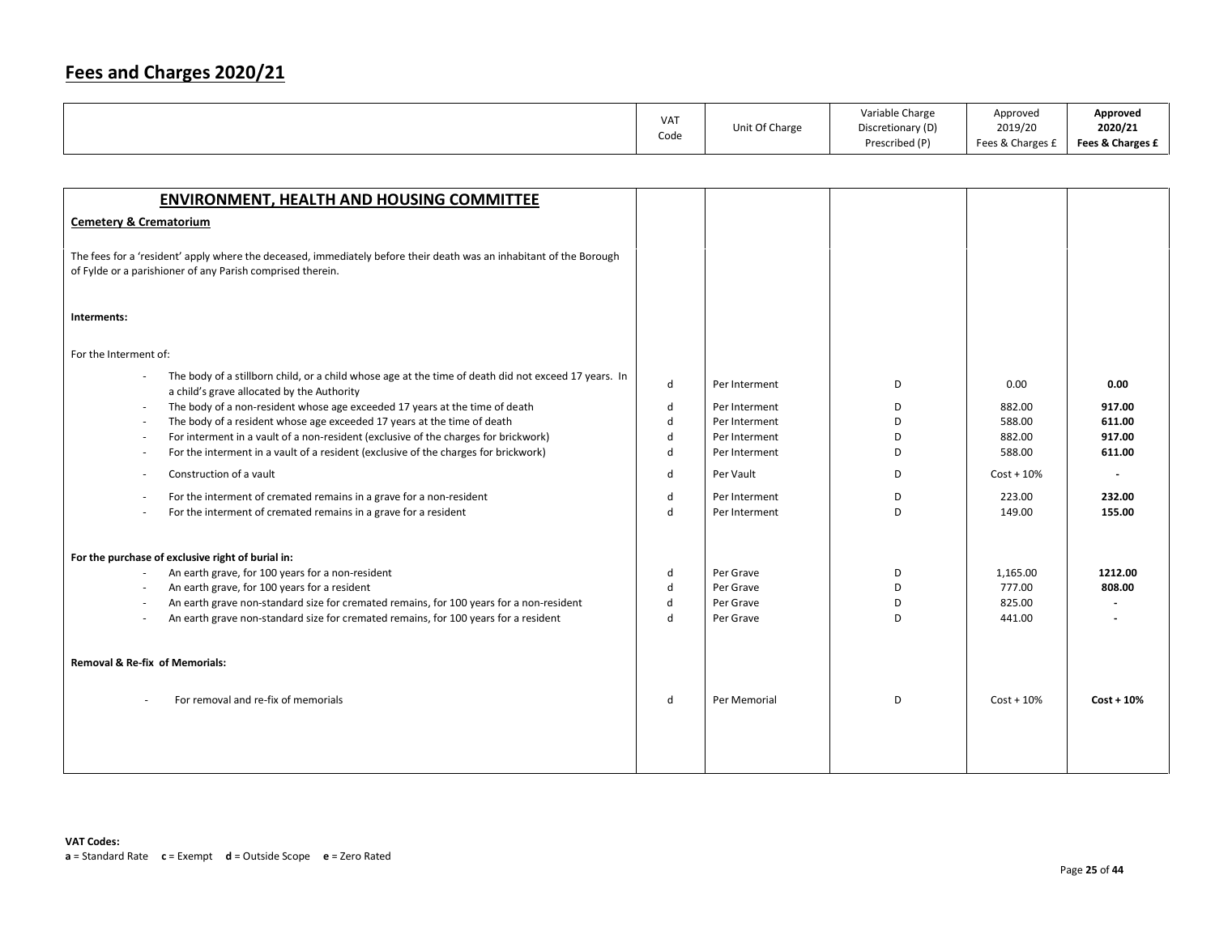|  | VA <sub>1</sub><br>Code | Unit Of Charge | Variable Charge<br>Discretionary (D)<br>Prescribed (P) | Approved<br>2019/20<br>Fees & Charges £ | Approved<br>2020/21<br>Fees & Charges £ |
|--|-------------------------|----------------|--------------------------------------------------------|-----------------------------------------|-----------------------------------------|
|--|-------------------------|----------------|--------------------------------------------------------|-----------------------------------------|-----------------------------------------|

| <b>ENVIRONMENT, HEALTH AND HOUSING COMMITTEE</b>                                                                                                                                  |              |               |   |               |              |
|-----------------------------------------------------------------------------------------------------------------------------------------------------------------------------------|--------------|---------------|---|---------------|--------------|
| <b>Cemetery &amp; Crematorium</b>                                                                                                                                                 |              |               |   |               |              |
| The fees for a 'resident' apply where the deceased, immediately before their death was an inhabitant of the Borough<br>of Fylde or a parishioner of any Parish comprised therein. |              |               |   |               |              |
| Interments:                                                                                                                                                                       |              |               |   |               |              |
| For the Interment of:                                                                                                                                                             |              |               |   |               |              |
| The body of a stillborn child, or a child whose age at the time of death did not exceed 17 years. In<br>a child's grave allocated by the Authority                                | d            | Per Interment | D | 0.00          | 0.00         |
| The body of a non-resident whose age exceeded 17 years at the time of death<br>÷,                                                                                                 | d            | Per Interment | D | 882.00        | 917.00       |
| The body of a resident whose age exceeded 17 years at the time of death<br>$\overline{\phantom{a}}$                                                                               | d            | Per Interment | D | 588.00        | 611.00       |
| For interment in a vault of a non-resident (exclusive of the charges for brickwork)<br>$\overline{\phantom{a}}$                                                                   | d            | Per Interment | D | 882.00        | 917.00       |
| For the interment in a vault of a resident (exclusive of the charges for brickwork)<br>$\overline{\phantom{a}}$                                                                   | d            | Per Interment | D | 588.00        | 611.00       |
| Construction of a vault                                                                                                                                                           | d            | Per Vault     | D | $Cost + 10\%$ |              |
| For the interment of cremated remains in a grave for a non-resident<br>$\overline{\phantom{a}}$                                                                                   | d            | Per Interment | D | 223.00        | 232.00       |
| For the interment of cremated remains in a grave for a resident                                                                                                                   | $\mathsf{d}$ | Per Interment | D | 149.00        | 155.00       |
| For the purchase of exclusive right of burial in:                                                                                                                                 |              |               |   |               |              |
| An earth grave, for 100 years for a non-resident<br>$\overline{\phantom{a}}$                                                                                                      | d            | Per Grave     | D | 1,165.00      | 1212.00      |
| An earth grave, for 100 years for a resident<br>$\overline{\phantom{a}}$                                                                                                          | d            | Per Grave     | D | 777.00        | 808.00       |
| An earth grave non-standard size for cremated remains, for 100 years for a non-resident<br>×,                                                                                     | d            | Per Grave     | D | 825.00        |              |
| An earth grave non-standard size for cremated remains, for 100 years for a resident<br>×,                                                                                         | $\mathsf{d}$ | Per Grave     | D | 441.00        |              |
|                                                                                                                                                                                   |              |               |   |               |              |
| <b>Removal &amp; Re-fix of Memorials:</b>                                                                                                                                         |              |               |   |               |              |
| For removal and re-fix of memorials                                                                                                                                               | d            | Per Memorial  | D | $Cost + 10%$  | $Cost + 10%$ |
|                                                                                                                                                                                   |              |               |   |               |              |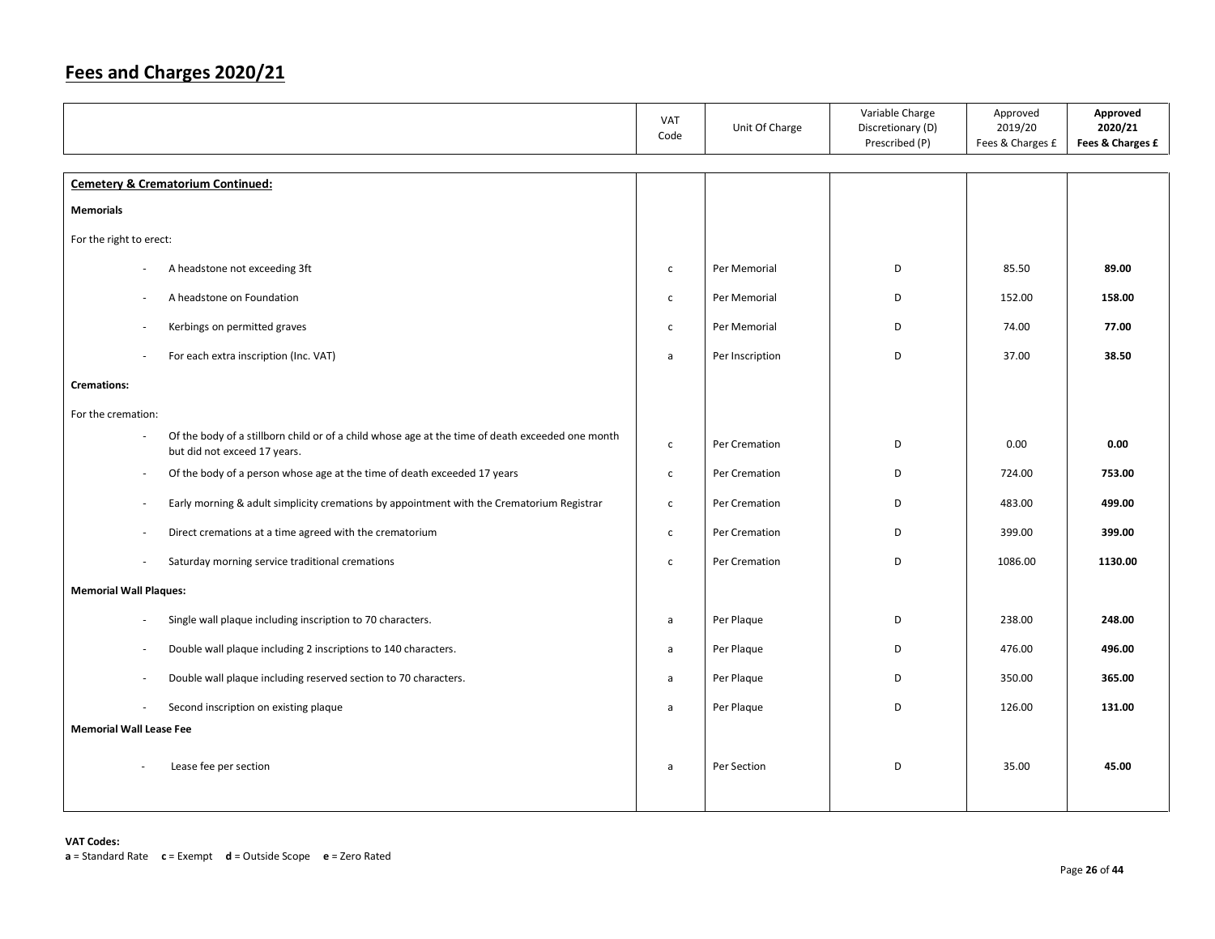|                                                                                                                                  | VAT<br>Code    | Unit Of Charge  | Variable Charge<br>Discretionary (D)<br>Prescribed (P) | Approved<br>2019/20<br>Fees & Charges £ | Approved<br>2020/21<br>Fees & Charges £ |
|----------------------------------------------------------------------------------------------------------------------------------|----------------|-----------------|--------------------------------------------------------|-----------------------------------------|-----------------------------------------|
| <b>Cemetery &amp; Crematorium Continued:</b>                                                                                     |                |                 |                                                        |                                         |                                         |
| <b>Memorials</b>                                                                                                                 |                |                 |                                                        |                                         |                                         |
| For the right to erect:                                                                                                          |                |                 |                                                        |                                         |                                         |
| A headstone not exceeding 3ft                                                                                                    | $\mathsf{C}$   | Per Memorial    | D                                                      | 85.50                                   | 89.00                                   |
| A headstone on Foundation<br>×,                                                                                                  | $\mathsf{C}^-$ | Per Memorial    | D                                                      | 152.00                                  | 158.00                                  |
| Kerbings on permitted graves                                                                                                     | $\mathsf{C}$   | Per Memorial    | D                                                      | 74.00                                   | 77.00                                   |
| For each extra inscription (Inc. VAT)                                                                                            | a              | Per Inscription | D                                                      | 37.00                                   | 38.50                                   |
| <b>Cremations:</b>                                                                                                               |                |                 |                                                        |                                         |                                         |
| For the cremation:                                                                                                               |                |                 |                                                        |                                         |                                         |
| Of the body of a stillborn child or of a child whose age at the time of death exceeded one month<br>but did not exceed 17 years. | $\mathsf{C}$   | Per Cremation   | D                                                      | 0.00                                    | 0.00                                    |
| Of the body of a person whose age at the time of death exceeded 17 years<br>÷,                                                   | $\mathsf{C}$   | Per Cremation   | D                                                      | 724.00                                  | 753.00                                  |
| Early morning & adult simplicity cremations by appointment with the Crematorium Registrar<br>$\sim$                              | $\mathsf{C}^-$ | Per Cremation   | D                                                      | 483.00                                  | 499.00                                  |
| Direct cremations at a time agreed with the crematorium<br>×,                                                                    | $\mathsf{C}$   | Per Cremation   | D                                                      | 399.00                                  | 399.00                                  |
| Saturday morning service traditional cremations<br>$\overline{\phantom{a}}$                                                      | $\mathsf{C}$   | Per Cremation   | D                                                      | 1086.00                                 | 1130.00                                 |
| <b>Memorial Wall Plaques:</b>                                                                                                    |                |                 |                                                        |                                         |                                         |
| Single wall plaque including inscription to 70 characters.<br>÷,                                                                 | a              | Per Plaque      | D                                                      | 238.00                                  | 248.00                                  |
| Double wall plaque including 2 inscriptions to 140 characters.<br>$\sim$                                                         | a              | Per Plaque      | D                                                      | 476.00                                  | 496.00                                  |
| Double wall plaque including reserved section to 70 characters.<br>×,                                                            | a              | Per Plaque      | D                                                      | 350.00                                  | 365.00                                  |
| Second inscription on existing plaque                                                                                            | a              | Per Plaque      | D                                                      | 126.00                                  | 131.00                                  |
| <b>Memorial Wall Lease Fee</b>                                                                                                   |                |                 |                                                        |                                         |                                         |
| Lease fee per section                                                                                                            | a              | Per Section     | D                                                      | 35.00                                   | 45.00                                   |
|                                                                                                                                  |                |                 |                                                        |                                         |                                         |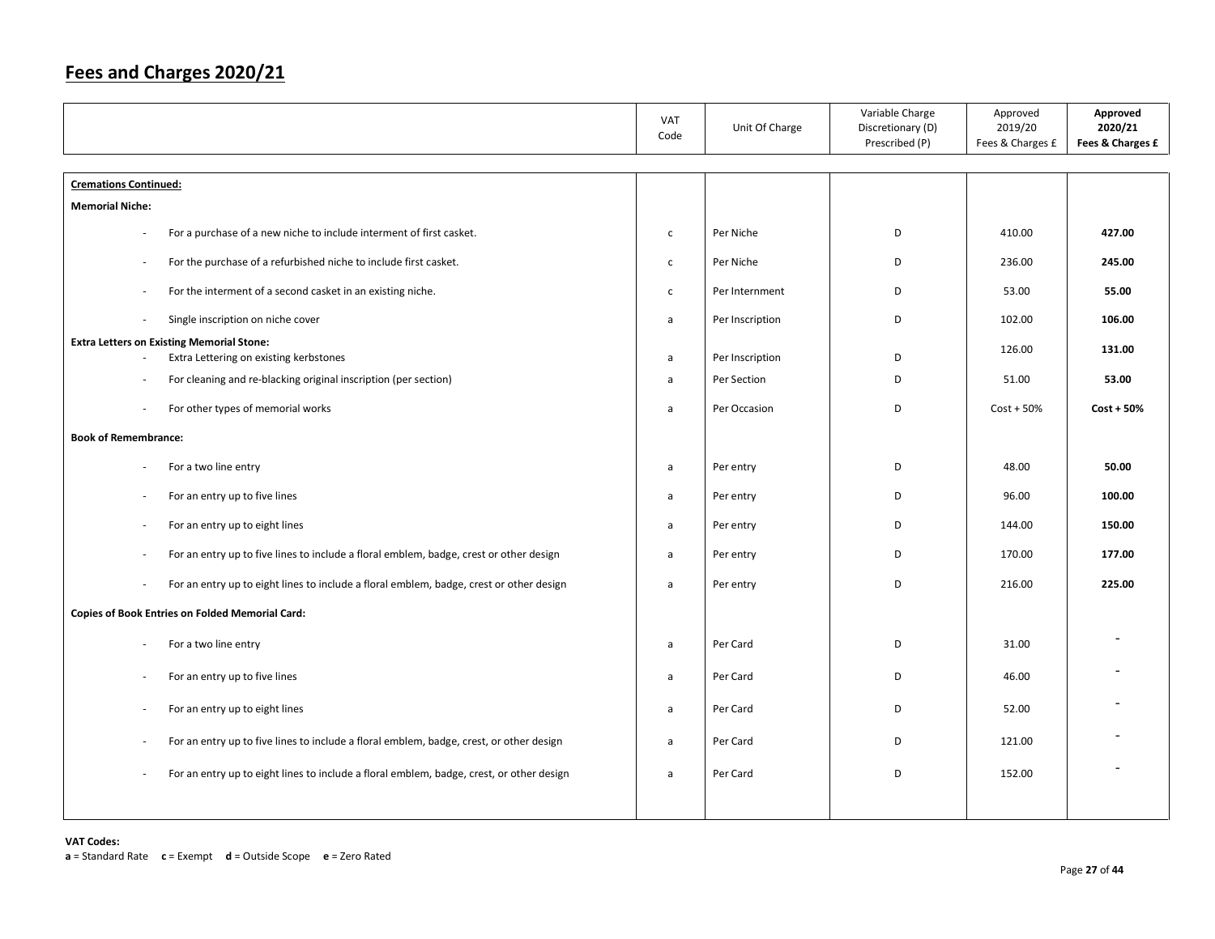|                                                                                                                      | VAT<br>Code  | Unit Of Charge  | Variable Charge<br>Discretionary (D)<br>Prescribed (P) | Approved<br>2019/20<br>Fees & Charges £ | Approved<br>2020/21<br>Fees & Charges £ |
|----------------------------------------------------------------------------------------------------------------------|--------------|-----------------|--------------------------------------------------------|-----------------------------------------|-----------------------------------------|
| <b>Cremations Continued:</b>                                                                                         |              |                 |                                                        |                                         |                                         |
| <b>Memorial Niche:</b>                                                                                               |              |                 |                                                        |                                         |                                         |
| For a purchase of a new niche to include interment of first casket.<br>$\sim$                                        | $\mathsf{C}$ | Per Niche       | D                                                      | 410.00                                  | 427.00                                  |
| For the purchase of a refurbished niche to include first casket.<br>$\sim$                                           | $\mathsf{C}$ | Per Niche       | D                                                      | 236.00                                  | 245.00                                  |
| For the interment of a second casket in an existing niche.<br>$\sim$                                                 | $\mathsf{C}$ | Per Internment  | D                                                      | 53.00                                   | 55.00                                   |
| Single inscription on niche cover<br>$\sim$                                                                          | $\mathsf{a}$ | Per Inscription | D                                                      | 102.00                                  | 106.00                                  |
| <b>Extra Letters on Existing Memorial Stone:</b><br>Extra Lettering on existing kerbstones                           | a            | Per Inscription | D                                                      | 126.00                                  | 131.00                                  |
| For cleaning and re-blacking original inscription (per section)                                                      | $\mathsf{a}$ | Per Section     | D                                                      | 51.00                                   | 53.00                                   |
| For other types of memorial works<br>÷,                                                                              | a            | Per Occasion    | D                                                      | $Cost + 50%$                            | $Cost + 50%$                            |
| <b>Book of Remembrance:</b>                                                                                          |              |                 |                                                        |                                         |                                         |
| For a two line entry                                                                                                 | a            | Per entry       | D                                                      | 48.00                                   | 50.00                                   |
| For an entry up to five lines<br>$\bar{a}$                                                                           | $\mathsf{a}$ | Per entry       | D                                                      | 96.00                                   | 100.00                                  |
| For an entry up to eight lines<br>$\overline{\phantom{a}}$                                                           | $\mathsf{a}$ | Per entry       | D                                                      | 144.00                                  | 150.00                                  |
| For an entry up to five lines to include a floral emblem, badge, crest or other design<br>÷,                         | a            | Per entry       | D                                                      | 170.00                                  | 177.00                                  |
| For an entry up to eight lines to include a floral emblem, badge, crest or other design<br>$\bar{a}$                 | a            | Per entry       | D                                                      | 216.00                                  | 225.00                                  |
| <b>Copies of Book Entries on Folded Memorial Card:</b>                                                               |              |                 |                                                        |                                         |                                         |
| For a two line entry<br>$\bar{a}$                                                                                    | $\mathsf{a}$ | Per Card        | D                                                      | 31.00                                   |                                         |
| For an entry up to five lines<br>÷,                                                                                  | a            | Per Card        | D                                                      | 46.00                                   |                                         |
| For an entry up to eight lines                                                                                       | a            | Per Card        | D                                                      | 52.00                                   |                                         |
| For an entry up to five lines to include a floral emblem, badge, crest, or other design<br>×.                        | a            | Per Card        | D                                                      | 121.00                                  |                                         |
| For an entry up to eight lines to include a floral emblem, badge, crest, or other design<br>$\overline{\phantom{a}}$ | a            | Per Card        | D                                                      | 152.00                                  |                                         |
|                                                                                                                      |              |                 |                                                        |                                         |                                         |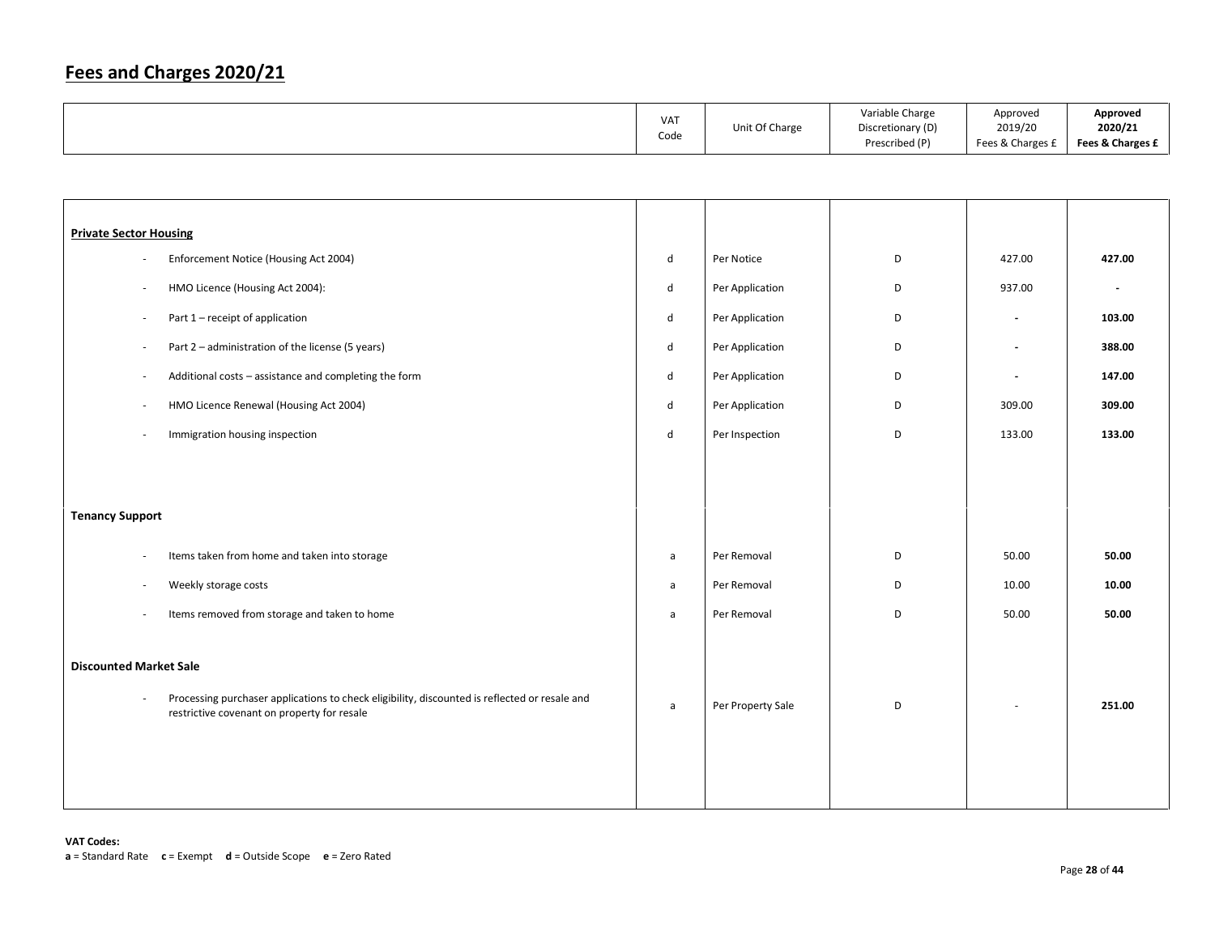|  | <b>VAT</b><br>Code | Unit Of Charge | Variable Charge<br>Discretionary (D)<br>Prescribed (P) | Approved<br>2019/20<br>Fees & Charges £ | Approved<br>2020/21<br>Fees & Charges £ |
|--|--------------------|----------------|--------------------------------------------------------|-----------------------------------------|-----------------------------------------|
|--|--------------------|----------------|--------------------------------------------------------|-----------------------------------------|-----------------------------------------|

| <b>Private Sector Housing</b> |                                                                                                                                              |              |                   |   |                          |                          |
|-------------------------------|----------------------------------------------------------------------------------------------------------------------------------------------|--------------|-------------------|---|--------------------------|--------------------------|
| ×.                            | Enforcement Notice (Housing Act 2004)                                                                                                        | d            | Per Notice        | D | 427.00                   | 427.00                   |
| $\overline{\phantom{a}}$      | HMO Licence (Housing Act 2004):                                                                                                              | d            | Per Application   | D | 937.00                   | $\overline{\phantom{a}}$ |
| $\overline{\phantom{a}}$      | Part 1 - receipt of application                                                                                                              | d            | Per Application   | D | $\overline{\phantom{a}}$ | 103.00                   |
| $\sim$                        | Part 2 - administration of the license (5 years)                                                                                             | d            | Per Application   | D | $\overline{\phantom{a}}$ | 388.00                   |
| $\overline{\phantom{a}}$      | Additional costs - assistance and completing the form                                                                                        | d            | Per Application   | D | $\overline{\phantom{a}}$ | 147.00                   |
| $\overline{\phantom{a}}$      | HMO Licence Renewal (Housing Act 2004)                                                                                                       | d            | Per Application   | D | 309.00                   | 309.00                   |
| $\overline{\phantom{a}}$      | Immigration housing inspection                                                                                                               | d            | Per Inspection    | D | 133.00                   | 133.00                   |
|                               |                                                                                                                                              |              |                   |   |                          |                          |
|                               |                                                                                                                                              |              |                   |   |                          |                          |
| <b>Tenancy Support</b>        |                                                                                                                                              |              |                   |   |                          |                          |
| $\overline{\phantom{a}}$      | Items taken from home and taken into storage                                                                                                 | $\mathsf{a}$ | Per Removal       | D | 50.00                    | 50.00                    |
| $\sim$                        | Weekly storage costs                                                                                                                         | a            | Per Removal       | D | 10.00                    | 10.00                    |
| $\overline{\phantom{a}}$      | Items removed from storage and taken to home                                                                                                 | a            | Per Removal       | D | 50.00                    | 50.00                    |
|                               |                                                                                                                                              |              |                   |   |                          |                          |
| <b>Discounted Market Sale</b> |                                                                                                                                              |              |                   |   |                          |                          |
| $\sim$                        | Processing purchaser applications to check eligibility, discounted is reflected or resale and<br>restrictive covenant on property for resale | a            | Per Property Sale | D |                          | 251.00                   |
|                               |                                                                                                                                              |              |                   |   |                          |                          |
|                               |                                                                                                                                              |              |                   |   |                          |                          |
|                               |                                                                                                                                              |              |                   |   |                          |                          |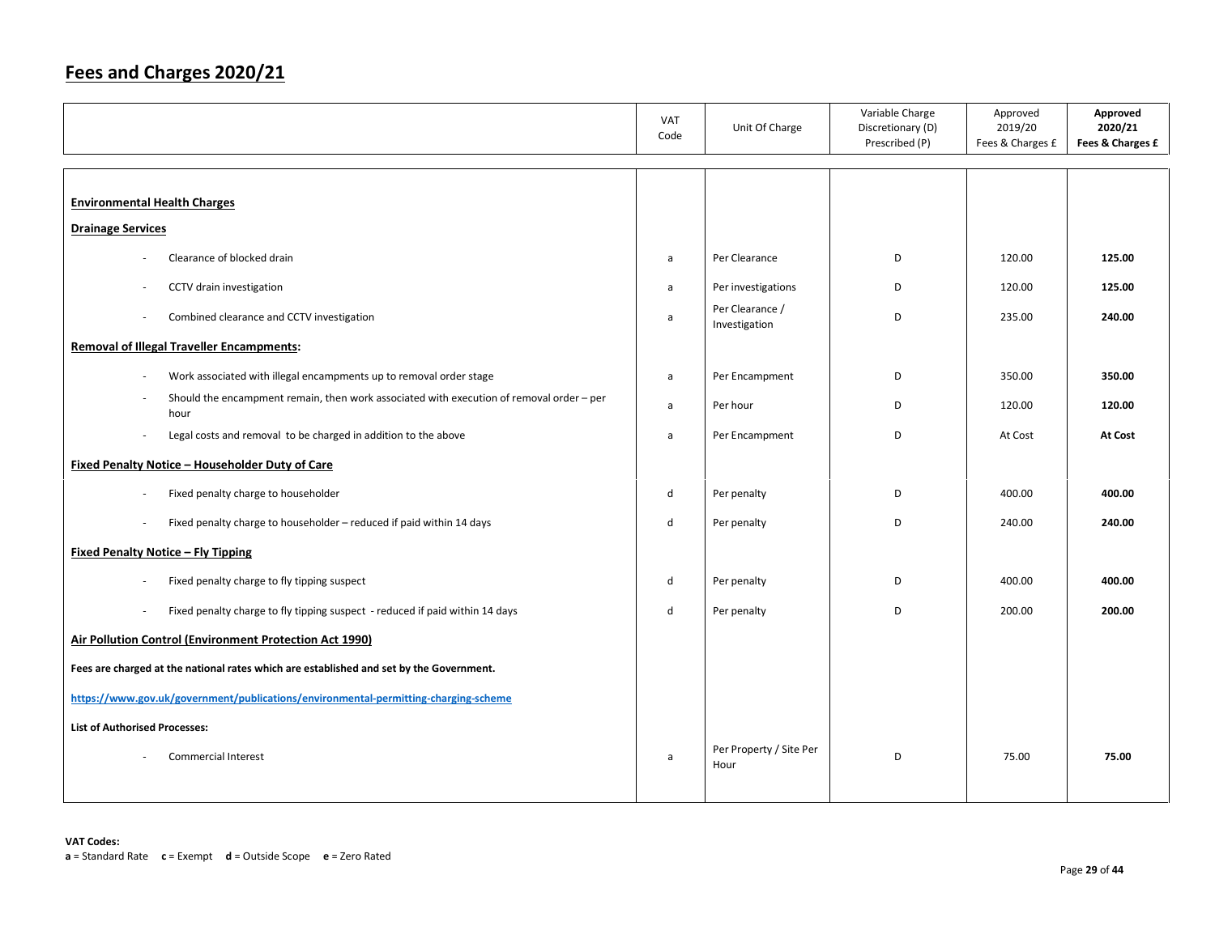|                                                                                                  | VAT<br>Code  | Unit Of Charge                   | Variable Charge<br>Discretionary (D)<br>Prescribed (P) | Approved<br>2019/20<br>Fees & Charges £ | Approved<br>2020/21<br>Fees & Charges £ |
|--------------------------------------------------------------------------------------------------|--------------|----------------------------------|--------------------------------------------------------|-----------------------------------------|-----------------------------------------|
|                                                                                                  |              |                                  |                                                        |                                         |                                         |
| <b>Environmental Health Charges</b>                                                              |              |                                  |                                                        |                                         |                                         |
| <b>Drainage Services</b>                                                                         |              |                                  |                                                        |                                         |                                         |
| Clearance of blocked drain                                                                       | a            | Per Clearance                    | D                                                      | 120.00                                  | 125.00                                  |
| CCTV drain investigation                                                                         | a            | Per investigations               | D                                                      | 120.00                                  | 125.00                                  |
| Combined clearance and CCTV investigation<br>$\sim$                                              | a            | Per Clearance /<br>Investigation | D                                                      | 235.00                                  | 240.00                                  |
| <b>Removal of Illegal Traveller Encampments:</b>                                                 |              |                                  |                                                        |                                         |                                         |
| Work associated with illegal encampments up to removal order stage<br>×.                         | $\mathsf{a}$ | Per Encampment                   | D                                                      | 350.00                                  | 350.00                                  |
| Should the encampment remain, then work associated with execution of removal order - per<br>hour | a            | Per hour                         | D                                                      | 120.00                                  | 120.00                                  |
| Legal costs and removal to be charged in addition to the above<br>÷,                             | a            | Per Encampment                   | D                                                      | At Cost                                 | <b>At Cost</b>                          |
| <b>Fixed Penalty Notice - Householder Duty of Care</b>                                           |              |                                  |                                                        |                                         |                                         |
| Fixed penalty charge to householder<br>÷,                                                        | d            | Per penalty                      | D                                                      | 400.00                                  | 400.00                                  |
| Fixed penalty charge to householder - reduced if paid within 14 days<br>$\sim$                   | d            | Per penalty                      | D                                                      | 240.00                                  | 240.00                                  |
| <b>Fixed Penalty Notice - Fly Tipping</b>                                                        |              |                                  |                                                        |                                         |                                         |
| Fixed penalty charge to fly tipping suspect                                                      | d            | Per penalty                      | D                                                      | 400.00                                  | 400.00                                  |
| Fixed penalty charge to fly tipping suspect - reduced if paid within 14 days<br>$\bar{a}$        | d            | Per penalty                      | D                                                      | 200.00                                  | 200.00                                  |
| <b>Air Pollution Control (Environment Protection Act 1990)</b>                                   |              |                                  |                                                        |                                         |                                         |
| Fees are charged at the national rates which are established and set by the Government.          |              |                                  |                                                        |                                         |                                         |
| https://www.gov.uk/government/publications/environmental-permitting-charging-scheme              |              |                                  |                                                        |                                         |                                         |
| <b>List of Authorised Processes:</b>                                                             |              |                                  |                                                        |                                         |                                         |
| <b>Commercial Interest</b>                                                                       | a            | Per Property / Site Per<br>Hour  | D                                                      | 75.00                                   | 75.00                                   |
|                                                                                                  |              |                                  |                                                        |                                         |                                         |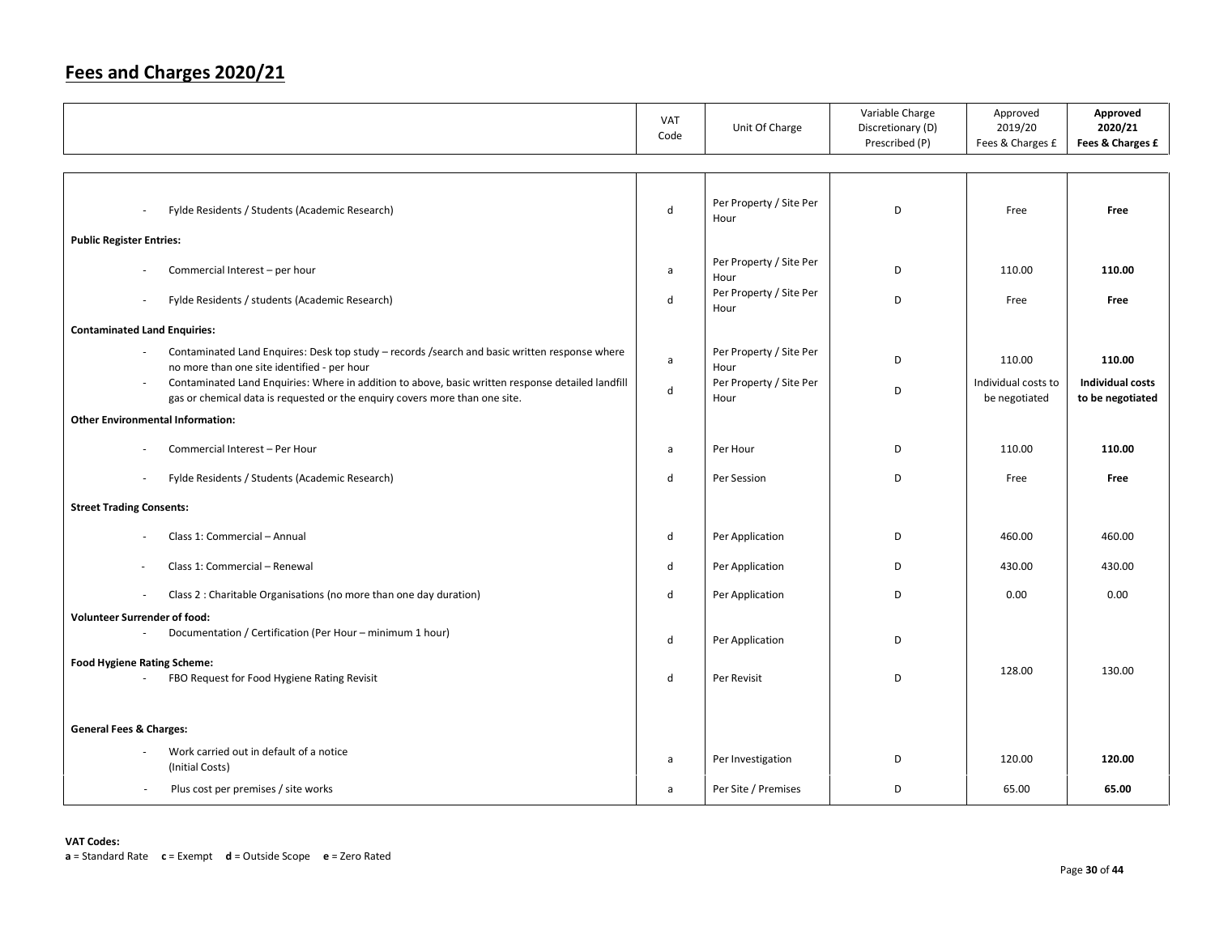|                                                                                                                                                                                            | <b>VAT</b><br>Code | Unit Of Charge                  | Variable Charge<br>Discretionary (D)<br>Prescribed (P) | Approved<br>2019/20<br>Fees & Charges £ | Approved<br>2020/21<br>Fees & Charges £     |
|--------------------------------------------------------------------------------------------------------------------------------------------------------------------------------------------|--------------------|---------------------------------|--------------------------------------------------------|-----------------------------------------|---------------------------------------------|
|                                                                                                                                                                                            |                    |                                 |                                                        |                                         |                                             |
| Fylde Residents / Students (Academic Research)<br>$\overline{\phantom{a}}$                                                                                                                 | $\sf d$            | Per Property / Site Per<br>Hour | D                                                      | Free                                    | Free                                        |
| <b>Public Register Entries:</b>                                                                                                                                                            |                    |                                 |                                                        |                                         |                                             |
| Commercial Interest - per hour                                                                                                                                                             | a                  | Per Property / Site Per<br>Hour | D                                                      | 110.00                                  | 110.00                                      |
| Fylde Residents / students (Academic Research)<br>$\sim$                                                                                                                                   | d                  | Per Property / Site Per<br>Hour | D                                                      | Free                                    | Free                                        |
| <b>Contaminated Land Enquiries:</b>                                                                                                                                                        |                    |                                 |                                                        |                                         |                                             |
| Contaminated Land Enquires: Desk top study - records /search and basic written response where<br>no more than one site identified - per hour                                               | $\mathsf{a}$       | Per Property / Site Per<br>Hour | D                                                      | 110.00                                  | 110.00                                      |
| Contaminated Land Enquiries: Where in addition to above, basic written response detailed landfill<br>$\sim$<br>gas or chemical data is requested or the enquiry covers more than one site. | $\mathsf{d}$       | Per Property / Site Per<br>Hour | D                                                      | Individual costs to<br>be negotiated    | <b>Individual costs</b><br>to be negotiated |
| <b>Other Environmental Information:</b>                                                                                                                                                    |                    |                                 |                                                        |                                         |                                             |
| Commercial Interest - Per Hour                                                                                                                                                             | a                  | Per Hour                        | D                                                      | 110.00                                  | 110.00                                      |
| Fylde Residents / Students (Academic Research)<br>$\overline{\phantom{a}}$                                                                                                                 | d                  | Per Session                     | D                                                      | Free                                    | Free                                        |
| <b>Street Trading Consents:</b>                                                                                                                                                            |                    |                                 |                                                        |                                         |                                             |
| Class 1: Commercial - Annual                                                                                                                                                               | d                  | Per Application                 | D                                                      | 460.00                                  | 460.00                                      |
| Class 1: Commercial - Renewal                                                                                                                                                              | d                  | Per Application                 | D                                                      | 430.00                                  | 430.00                                      |
| Class 2 : Charitable Organisations (no more than one day duration)<br>$\sim$                                                                                                               | d                  | Per Application                 | D                                                      | 0.00                                    | 0.00                                        |
| <b>Volunteer Surrender of food:</b>                                                                                                                                                        |                    |                                 |                                                        |                                         |                                             |
| Documentation / Certification (Per Hour - minimum 1 hour)                                                                                                                                  | d                  | Per Application                 | D                                                      |                                         |                                             |
| <b>Food Hygiene Rating Scheme:</b><br>FBO Request for Food Hygiene Rating Revisit                                                                                                          | d                  | Per Revisit                     | D                                                      | 128.00                                  | 130.00                                      |
|                                                                                                                                                                                            |                    |                                 |                                                        |                                         |                                             |
| <b>General Fees &amp; Charges:</b>                                                                                                                                                         |                    |                                 |                                                        |                                         |                                             |
| Work carried out in default of a notice<br>(Initial Costs)                                                                                                                                 | a                  | Per Investigation               | D                                                      | 120.00                                  | 120.00                                      |
| Plus cost per premises / site works<br>$\sim$                                                                                                                                              | a                  | Per Site / Premises             | D                                                      | 65.00                                   | 65.00                                       |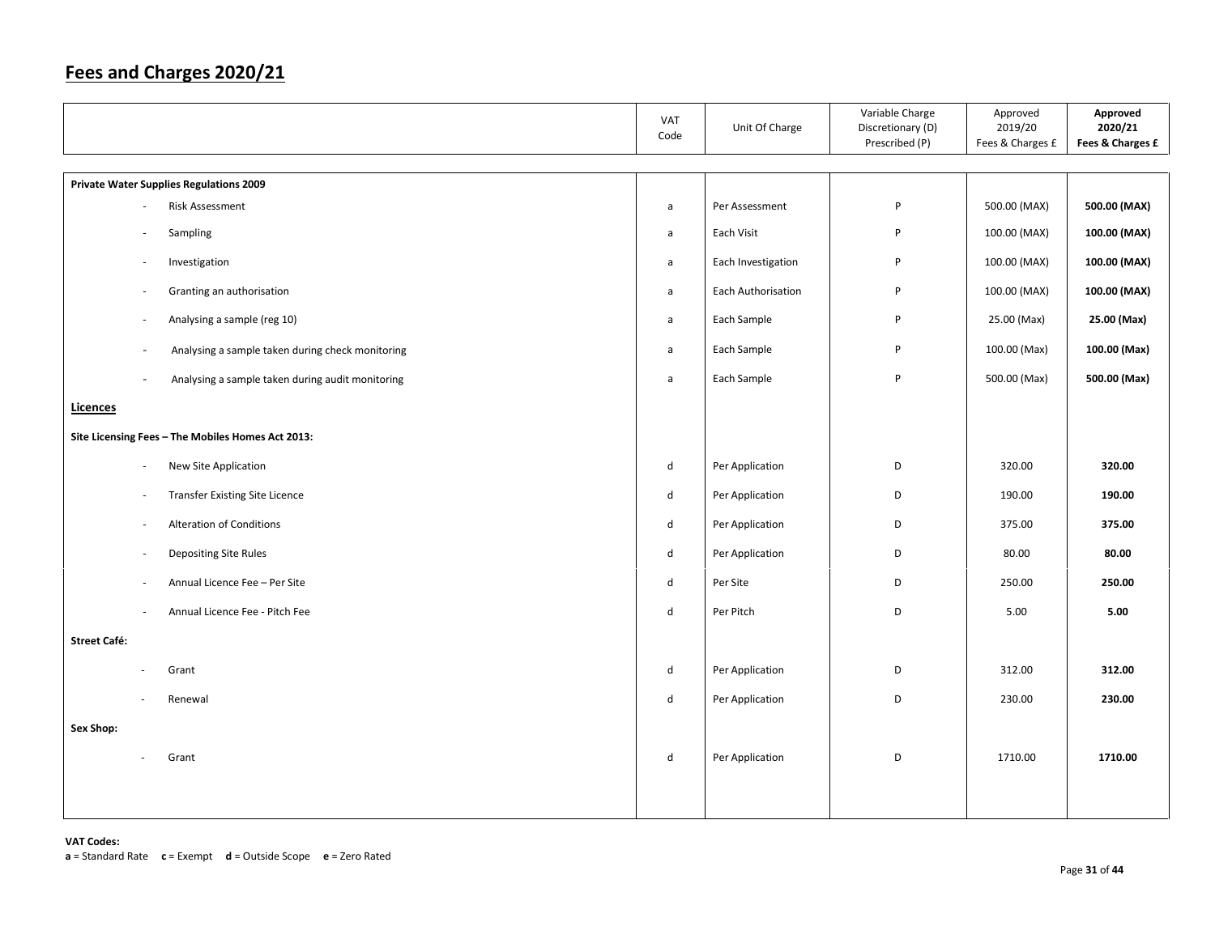|                          |                                                   | VAT<br>Code                 | Unit Of Charge     | Variable Charge<br>Discretionary (D)<br>Prescribed (P) | Approved<br>2019/20<br>Fees & Charges £ | Approved<br>2020/21<br>Fees & Charges £ |
|--------------------------|---------------------------------------------------|-----------------------------|--------------------|--------------------------------------------------------|-----------------------------------------|-----------------------------------------|
|                          | <b>Private Water Supplies Regulations 2009</b>    |                             |                    |                                                        |                                         |                                         |
| $\overline{a}$           | Risk Assessment                                   | a                           | Per Assessment     | P                                                      | 500.00 (MAX)                            | 500.00 (MAX)                            |
| $\sim$                   | Sampling                                          | $\mathsf{a}$                | Each Visit         | P                                                      | 100.00 (MAX)                            | 100.00 (MAX)                            |
| $\overline{\phantom{a}}$ | Investigation                                     | $\mathsf{a}$                | Each Investigation | P                                                      | 100.00 (MAX)                            | 100.00 (MAX)                            |
| $\sim$                   | Granting an authorisation                         | $\mathsf{a}$                | Each Authorisation | P                                                      | 100.00 (MAX)                            | 100.00 (MAX)                            |
| $\sim$                   | Analysing a sample (reg 10)                       | $\mathsf{a}$                | Each Sample        | P                                                      | 25.00 (Max)                             | 25.00 (Max)                             |
| $\overline{\phantom{a}}$ | Analysing a sample taken during check monitoring  | $\mathsf{a}$                | Each Sample        | P                                                      | 100.00 (Max)                            | 100.00 (Max)                            |
| $\overline{\phantom{a}}$ | Analysing a sample taken during audit monitoring  | $\mathsf{a}$                | Each Sample        | P                                                      | 500.00 (Max)                            | 500.00 (Max)                            |
| Licences                 |                                                   |                             |                    |                                                        |                                         |                                         |
|                          | Site Licensing Fees - The Mobiles Homes Act 2013: |                             |                    |                                                        |                                         |                                         |
| $\sim$                   | New Site Application                              | d                           | Per Application    | D                                                      | 320.00                                  | 320.00                                  |
| $\overline{\phantom{a}}$ | <b>Transfer Existing Site Licence</b>             | $\mathsf{d}$                | Per Application    | D                                                      | 190.00                                  | 190.00                                  |
| $\overline{\phantom{a}}$ | <b>Alteration of Conditions</b>                   | ${\sf d}$                   | Per Application    | D                                                      | 375.00                                  | 375.00                                  |
| ÷,                       | Depositing Site Rules                             | $\operatorname{\mathsf{d}}$ | Per Application    | D                                                      | 80.00                                   | 80.00                                   |
| ÷,                       | Annual Licence Fee - Per Site                     | $\sf d$                     | Per Site           | D                                                      | 250.00                                  | 250.00                                  |
| ×,                       | Annual Licence Fee - Pitch Fee                    | $\mathsf{d}$                | Per Pitch          | D                                                      | 5.00                                    | 5.00                                    |
| <b>Street Café:</b>      |                                                   |                             |                    |                                                        |                                         |                                         |
|                          | Grant                                             | ${\sf d}$                   | Per Application    | D                                                      | 312.00                                  | 312.00                                  |
|                          | Renewal                                           | $\sf d$                     | Per Application    | D                                                      | 230.00                                  | 230.00                                  |
| Sex Shop:                |                                                   |                             |                    |                                                        |                                         |                                         |
|                          | Grant                                             | $\operatorname{\mathsf{d}}$ | Per Application    | D                                                      | 1710.00                                 | 1710.00                                 |
|                          |                                                   |                             |                    |                                                        |                                         |                                         |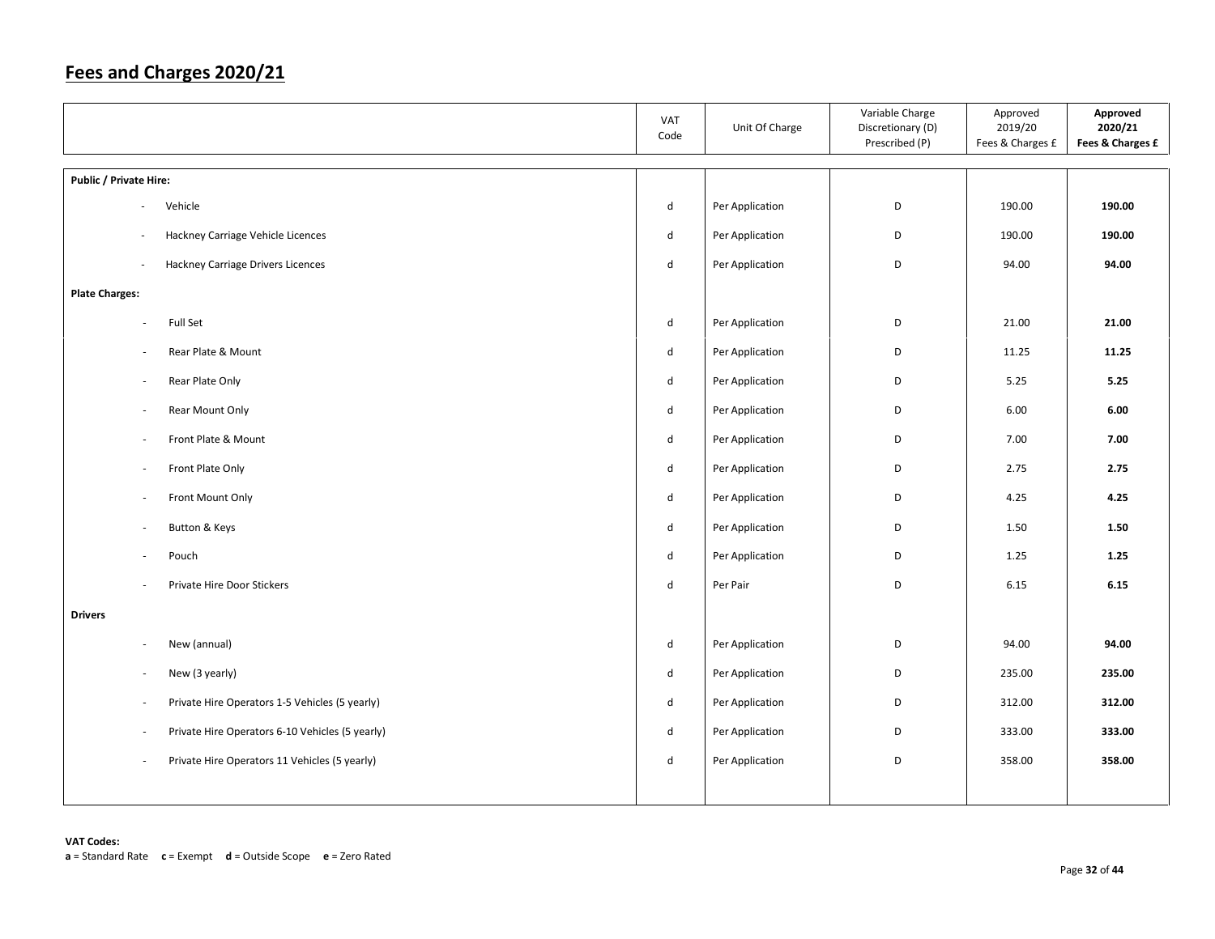|                                                                            | VAT<br>Code                 | Unit Of Charge  | Variable Charge<br>Discretionary (D)<br>Prescribed (P) | Approved<br>2019/20<br>Fees & Charges £ | Approved<br>2020/21<br>Fees & Charges £ |
|----------------------------------------------------------------------------|-----------------------------|-----------------|--------------------------------------------------------|-----------------------------------------|-----------------------------------------|
| Public / Private Hire:                                                     |                             |                 |                                                        |                                         |                                         |
| Vehicle<br>$\overline{\phantom{a}}$                                        | d                           | Per Application | D                                                      | 190.00                                  | 190.00                                  |
| Hackney Carriage Vehicle Licences<br>÷,                                    | d                           | Per Application | D                                                      | 190.00                                  | 190.00                                  |
| Hackney Carriage Drivers Licences<br>÷,                                    | d                           | Per Application | D                                                      | 94.00                                   | 94.00                                   |
| <b>Plate Charges:</b>                                                      |                             |                 |                                                        |                                         |                                         |
| Full Set<br>$\bar{a}$                                                      | d                           | Per Application | D                                                      | 21.00                                   | 21.00                                   |
| Rear Plate & Mount<br>$\overline{\phantom{a}}$                             | d                           | Per Application | D                                                      | 11.25                                   | 11.25                                   |
| Rear Plate Only<br>$\overline{\phantom{a}}$                                | $\operatorname{\mathsf{d}}$ | Per Application | D                                                      | 5.25                                    | 5.25                                    |
| Rear Mount Only<br>$\sim$                                                  | d                           | Per Application | D                                                      | 6.00                                    | 6.00                                    |
| Front Plate & Mount<br>$\overline{\phantom{a}}$                            | d                           | Per Application | D                                                      | 7.00                                    | 7.00                                    |
| Front Plate Only<br>$\sim$                                                 | d                           | Per Application | D                                                      | 2.75                                    | 2.75                                    |
| Front Mount Only<br>$\overline{\phantom{a}}$                               | d                           | Per Application | D                                                      | 4.25                                    | 4.25                                    |
| Button & Keys<br>$\overline{\phantom{a}}$                                  | d                           | Per Application | D                                                      | 1.50                                    | 1.50                                    |
| Pouch<br>$\bar{a}$                                                         | $\operatorname{\mathsf{d}}$ | Per Application | D                                                      | 1.25                                    | 1.25                                    |
| Private Hire Door Stickers<br>÷,                                           | d                           | Per Pair        | D                                                      | 6.15                                    | 6.15                                    |
| <b>Drivers</b>                                                             |                             |                 |                                                        |                                         |                                         |
| New (annual)<br>$\overline{\phantom{a}}$                                   | d                           | Per Application | D                                                      | 94.00                                   | 94.00                                   |
| New (3 yearly)<br>$\sim$                                                   | d                           | Per Application | D                                                      | 235.00                                  | 235.00                                  |
| Private Hire Operators 1-5 Vehicles (5 yearly)<br>$\overline{\phantom{a}}$ | d                           | Per Application | D                                                      | 312.00                                  | 312.00                                  |
| Private Hire Operators 6-10 Vehicles (5 yearly)<br>÷,                      | d                           | Per Application | D                                                      | 333.00                                  | 333.00                                  |
| Private Hire Operators 11 Vehicles (5 yearly)<br>$\overline{\phantom{a}}$  | d                           | Per Application | D                                                      | 358.00                                  | 358.00                                  |
|                                                                            |                             |                 |                                                        |                                         |                                         |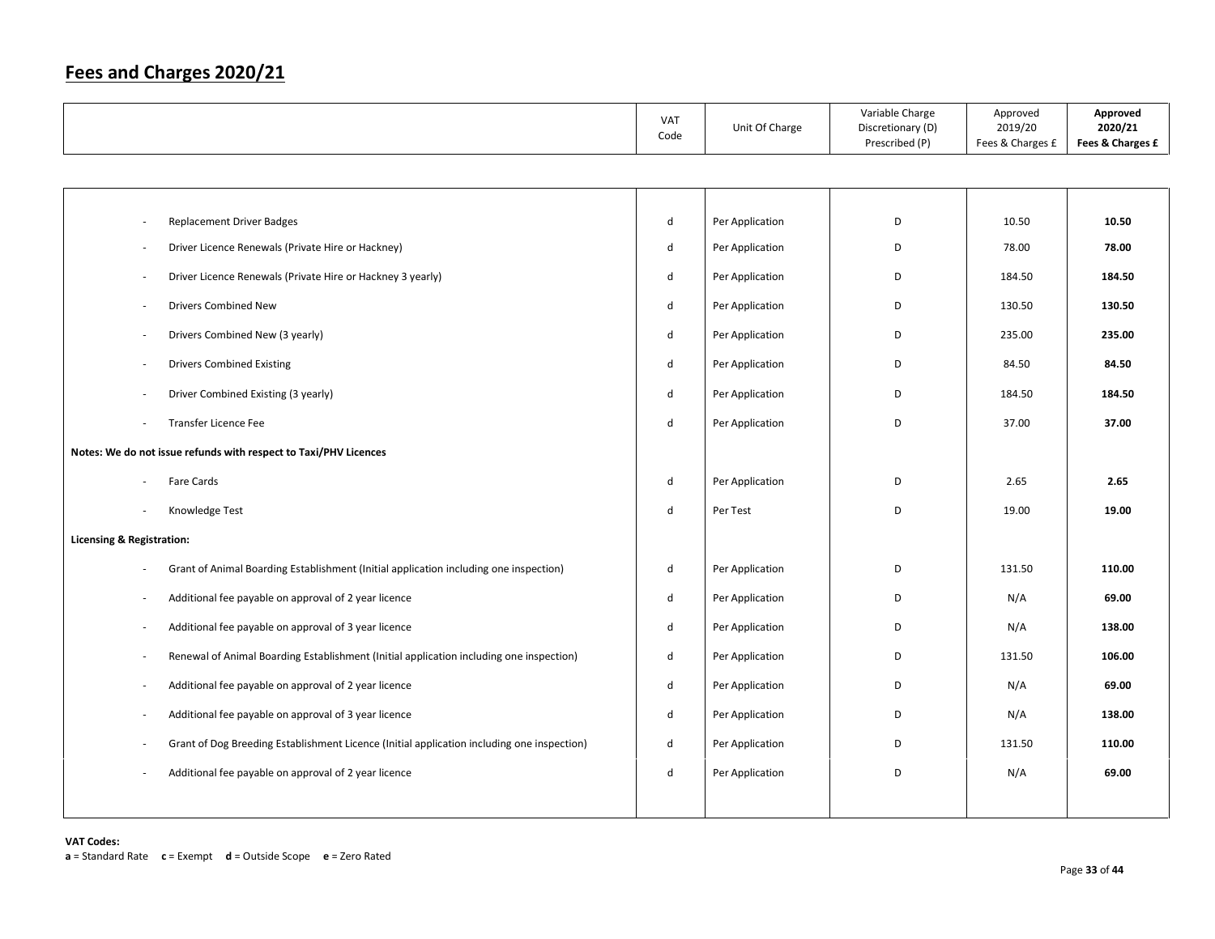|                                                                                            | VAT<br>Code  | Unit Of Charge  | Variable Charge<br>Discretionary (D)<br>Prescribed (P) | Approved<br>2019/20<br>Fees & Charges £ | Approved<br>2020/21<br>Fees & Charges £ |
|--------------------------------------------------------------------------------------------|--------------|-----------------|--------------------------------------------------------|-----------------------------------------|-----------------------------------------|
|                                                                                            |              |                 |                                                        |                                         |                                         |
|                                                                                            |              |                 |                                                        |                                         |                                         |
| <b>Replacement Driver Badges</b>                                                           | $\mathsf{d}$ | Per Application | D                                                      | 10.50                                   | 10.50                                   |
| Driver Licence Renewals (Private Hire or Hackney)                                          | $\mathsf{d}$ | Per Application | D                                                      | 78.00                                   | 78.00                                   |
| Driver Licence Renewals (Private Hire or Hackney 3 yearly)<br>$\overline{\phantom{a}}$     | d            | Per Application | D                                                      | 184.50                                  | 184.50                                  |
| Drivers Combined New                                                                       | $\sf d$      | Per Application | D                                                      | 130.50                                  | 130.50                                  |
| Drivers Combined New (3 yearly)                                                            | d            | Per Application | D                                                      | 235.00                                  | 235.00                                  |
| <b>Drivers Combined Existing</b>                                                           | $\mathsf{d}$ | Per Application | D                                                      | 84.50                                   | 84.50                                   |
| Driver Combined Existing (3 yearly)                                                        | d            | Per Application | D                                                      | 184.50                                  | 184.50                                  |
| Transfer Licence Fee                                                                       | d            | Per Application | D                                                      | 37.00                                   | 37.00                                   |
| Notes: We do not issue refunds with respect to Taxi/PHV Licences                           |              |                 |                                                        |                                         |                                         |
| Fare Cards                                                                                 | $\sf d$      | Per Application | D                                                      | 2.65                                    | 2.65                                    |
| Knowledge Test                                                                             | $\mathsf{d}$ | Per Test        | D                                                      | 19.00                                   | 19.00                                   |
| <b>Licensing &amp; Registration:</b>                                                       |              |                 |                                                        |                                         |                                         |
| Grant of Animal Boarding Establishment (Initial application including one inspection)      | d            | Per Application | D                                                      | 131.50                                  | 110.00                                  |
| Additional fee payable on approval of 2 year licence                                       | d            | Per Application | D                                                      | N/A                                     | 69.00                                   |
| Additional fee payable on approval of 3 year licence                                       | $\mathsf{d}$ | Per Application | D                                                      | N/A                                     | 138.00                                  |
| Renewal of Animal Boarding Establishment (Initial application including one inspection)    | $\mathsf{d}$ | Per Application | D                                                      | 131.50                                  | 106.00                                  |
| Additional fee payable on approval of 2 year licence                                       | $\mathsf{d}$ | Per Application | D                                                      | N/A                                     | 69.00                                   |
| Additional fee payable on approval of 3 year licence                                       | $\mathsf{d}$ | Per Application | D                                                      | N/A                                     | 138.00                                  |
| Grant of Dog Breeding Establishment Licence (Initial application including one inspection) | d            | Per Application | D                                                      | 131.50                                  | 110.00                                  |
| Additional fee payable on approval of 2 year licence                                       | d            | Per Application | D                                                      | N/A                                     | 69.00                                   |
|                                                                                            |              |                 |                                                        |                                         |                                         |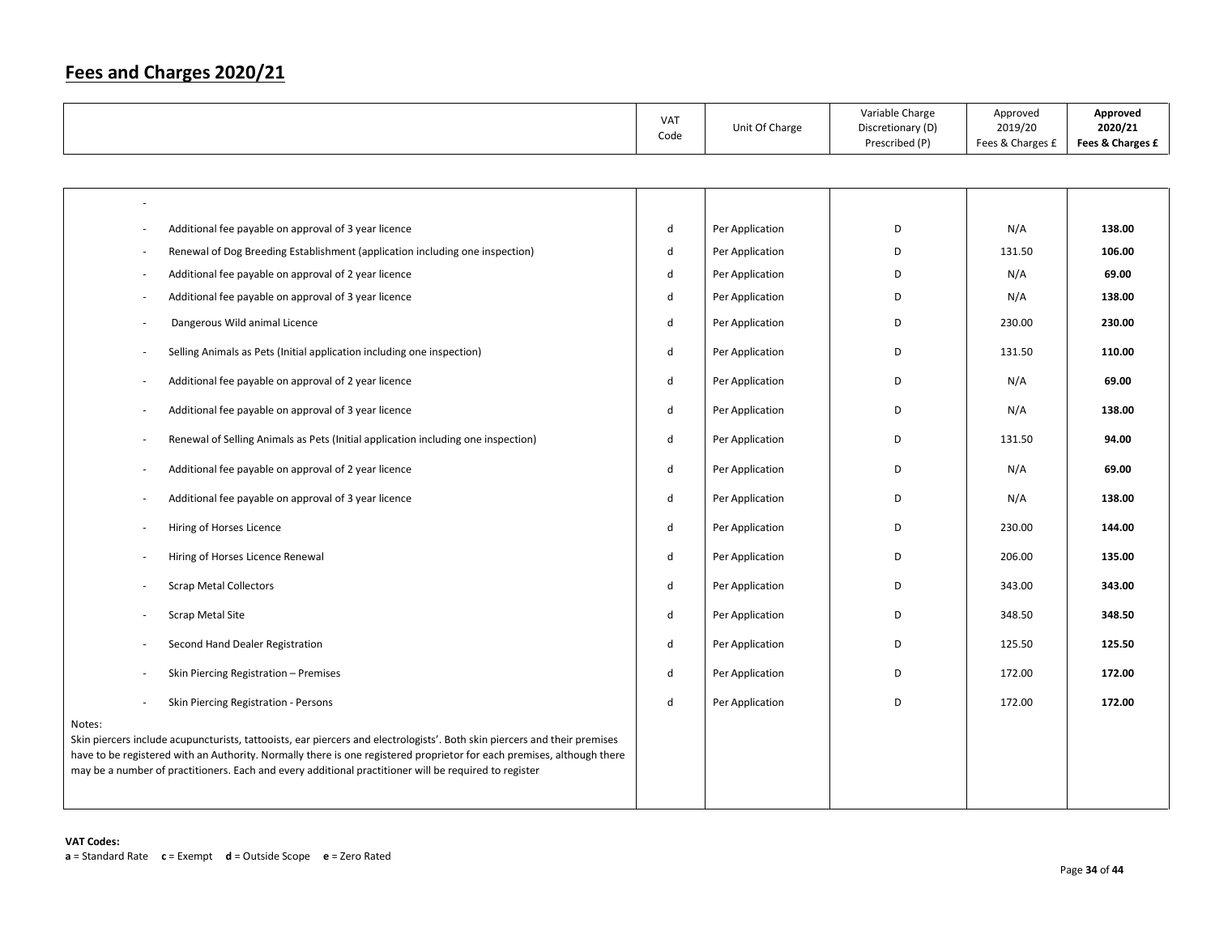|                                                                                                                                                                                                                                                                                                                                                                        | <b>VAT</b><br>Code | Unit Of Charge  | Variable Charge<br>Discretionary (D)<br>Prescribed (P) | Approved<br>2019/20<br>Fees & Charges £ | Approved<br>2020/21<br>Fees & Charges £ |
|------------------------------------------------------------------------------------------------------------------------------------------------------------------------------------------------------------------------------------------------------------------------------------------------------------------------------------------------------------------------|--------------------|-----------------|--------------------------------------------------------|-----------------------------------------|-----------------------------------------|
|                                                                                                                                                                                                                                                                                                                                                                        |                    |                 |                                                        |                                         |                                         |
|                                                                                                                                                                                                                                                                                                                                                                        |                    |                 |                                                        |                                         |                                         |
| Additional fee payable on approval of 3 year licence                                                                                                                                                                                                                                                                                                                   | d                  | Per Application | D                                                      | N/A                                     | 138.00                                  |
| Renewal of Dog Breeding Establishment (application including one inspection)                                                                                                                                                                                                                                                                                           | d                  | Per Application | D                                                      | 131.50                                  | 106.00                                  |
| Additional fee payable on approval of 2 year licence                                                                                                                                                                                                                                                                                                                   | d                  | Per Application | D                                                      | N/A                                     | 69.00                                   |
| Additional fee payable on approval of 3 year licence                                                                                                                                                                                                                                                                                                                   | d                  | Per Application | D                                                      | N/A                                     | 138.00                                  |
| Dangerous Wild animal Licence                                                                                                                                                                                                                                                                                                                                          | d                  | Per Application | D                                                      | 230.00                                  | 230.00                                  |
| Selling Animals as Pets (Initial application including one inspection)                                                                                                                                                                                                                                                                                                 | $\mathsf{d}$       | Per Application | D                                                      | 131.50                                  | 110.00                                  |
| Additional fee payable on approval of 2 year licence                                                                                                                                                                                                                                                                                                                   | d                  | Per Application | D                                                      | N/A                                     | 69.00                                   |
| Additional fee payable on approval of 3 year licence                                                                                                                                                                                                                                                                                                                   | d                  | Per Application | D                                                      | N/A                                     | 138.00                                  |
| Renewal of Selling Animals as Pets (Initial application including one inspection)                                                                                                                                                                                                                                                                                      | $\mathsf{d}$       | Per Application | D                                                      | 131.50                                  | 94.00                                   |
| Additional fee payable on approval of 2 year licence                                                                                                                                                                                                                                                                                                                   | $\mathsf{d}$       | Per Application | D                                                      | N/A                                     | 69.00                                   |
| Additional fee payable on approval of 3 year licence                                                                                                                                                                                                                                                                                                                   | d                  | Per Application | D                                                      | N/A                                     | 138.00                                  |
| Hiring of Horses Licence                                                                                                                                                                                                                                                                                                                                               | d                  | Per Application | D                                                      | 230.00                                  | 144.00                                  |
| Hiring of Horses Licence Renewal                                                                                                                                                                                                                                                                                                                                       | d                  | Per Application | D                                                      | 206.00                                  | 135.00                                  |
| <b>Scrap Metal Collectors</b>                                                                                                                                                                                                                                                                                                                                          | d                  | Per Application | D                                                      | 343.00                                  | 343.00                                  |
| <b>Scrap Metal Site</b>                                                                                                                                                                                                                                                                                                                                                | d                  | Per Application | D                                                      | 348.50                                  | 348.50                                  |
| Second Hand Dealer Registration                                                                                                                                                                                                                                                                                                                                        | d                  | Per Application | D                                                      | 125.50                                  | 125.50                                  |
| Skin Piercing Registration - Premises                                                                                                                                                                                                                                                                                                                                  | d                  | Per Application | D                                                      | 172.00                                  | 172.00                                  |
| Skin Piercing Registration - Persons                                                                                                                                                                                                                                                                                                                                   | d                  | Per Application | D                                                      | 172.00                                  | 172.00                                  |
| Notes:<br>Skin piercers include acupuncturists, tattooists, ear piercers and electrologists'. Both skin piercers and their premises<br>have to be registered with an Authority. Normally there is one registered proprietor for each premises, although there<br>may be a number of practitioners. Each and every additional practitioner will be required to register |                    |                 |                                                        |                                         |                                         |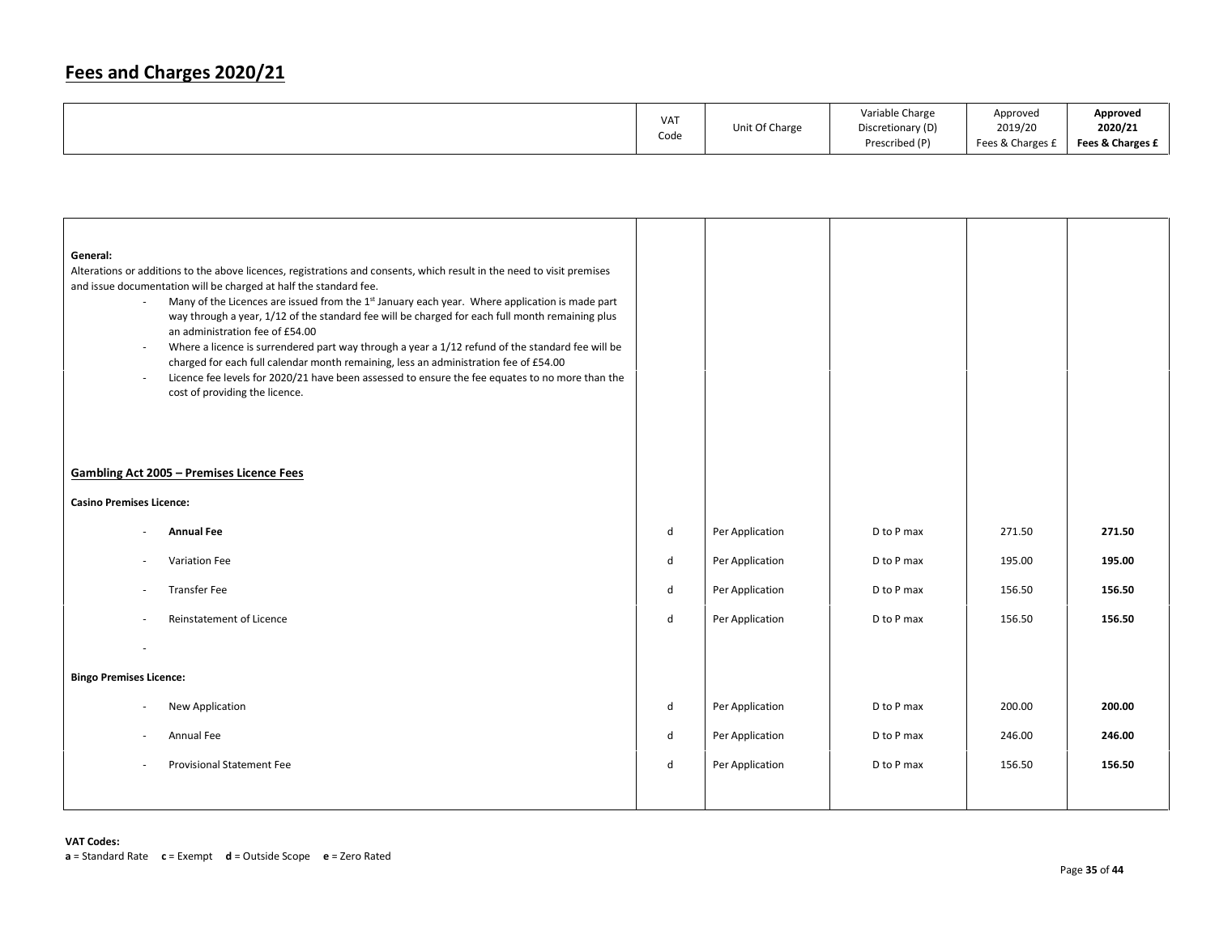|  | <b>VAT</b><br>Code | Unit Of Charge | Variable Charge<br>Discretionary (D)<br>Prescribed (P) | Approved<br>2019/20<br>Fees & Charges f | Approved<br>2020/21<br>Fees & Charges £ |
|--|--------------------|----------------|--------------------------------------------------------|-----------------------------------------|-----------------------------------------|
|--|--------------------|----------------|--------------------------------------------------------|-----------------------------------------|-----------------------------------------|

| General:<br>$\bar{a}$<br>$\overline{\phantom{a}}$<br>$\sim$ | Alterations or additions to the above licences, registrations and consents, which result in the need to visit premises<br>and issue documentation will be charged at half the standard fee.<br>Many of the Licences are issued from the 1 <sup>st</sup> January each year. Where application is made part<br>way through a year, 1/12 of the standard fee will be charged for each full month remaining plus<br>an administration fee of £54.00<br>Where a licence is surrendered part way through a year a 1/12 refund of the standard fee will be<br>charged for each full calendar month remaining, less an administration fee of £54.00<br>Licence fee levels for 2020/21 have been assessed to ensure the fee equates to no more than the<br>cost of providing the licence. |   |                 |            |        |        |
|-------------------------------------------------------------|----------------------------------------------------------------------------------------------------------------------------------------------------------------------------------------------------------------------------------------------------------------------------------------------------------------------------------------------------------------------------------------------------------------------------------------------------------------------------------------------------------------------------------------------------------------------------------------------------------------------------------------------------------------------------------------------------------------------------------------------------------------------------------|---|-----------------|------------|--------|--------|
| <b>Gambling Act 2005 - Premises Licence Fees</b>            |                                                                                                                                                                                                                                                                                                                                                                                                                                                                                                                                                                                                                                                                                                                                                                                  |   |                 |            |        |        |
| <b>Casino Premises Licence:</b>                             |                                                                                                                                                                                                                                                                                                                                                                                                                                                                                                                                                                                                                                                                                                                                                                                  |   |                 |            |        |        |
|                                                             | <b>Annual Fee</b>                                                                                                                                                                                                                                                                                                                                                                                                                                                                                                                                                                                                                                                                                                                                                                | d | Per Application | D to P max | 271.50 | 271.50 |
| ٠                                                           | Variation Fee                                                                                                                                                                                                                                                                                                                                                                                                                                                                                                                                                                                                                                                                                                                                                                    | d | Per Application | D to P max | 195.00 | 195.00 |
| $\sim$                                                      | <b>Transfer Fee</b>                                                                                                                                                                                                                                                                                                                                                                                                                                                                                                                                                                                                                                                                                                                                                              | d | Per Application | D to P max | 156.50 | 156.50 |
| $\sim$                                                      | <b>Reinstatement of Licence</b>                                                                                                                                                                                                                                                                                                                                                                                                                                                                                                                                                                                                                                                                                                                                                  | d | Per Application | D to P max | 156.50 | 156.50 |
|                                                             |                                                                                                                                                                                                                                                                                                                                                                                                                                                                                                                                                                                                                                                                                                                                                                                  |   |                 |            |        |        |
| <b>Bingo Premises Licence:</b>                              |                                                                                                                                                                                                                                                                                                                                                                                                                                                                                                                                                                                                                                                                                                                                                                                  |   |                 |            |        |        |
|                                                             | New Application                                                                                                                                                                                                                                                                                                                                                                                                                                                                                                                                                                                                                                                                                                                                                                  | d | Per Application | D to P max | 200.00 | 200.00 |
|                                                             | Annual Fee                                                                                                                                                                                                                                                                                                                                                                                                                                                                                                                                                                                                                                                                                                                                                                       | d | Per Application | D to P max | 246.00 | 246.00 |
|                                                             | <b>Provisional Statement Fee</b>                                                                                                                                                                                                                                                                                                                                                                                                                                                                                                                                                                                                                                                                                                                                                 | d | Per Application | D to P max | 156.50 | 156.50 |
|                                                             |                                                                                                                                                                                                                                                                                                                                                                                                                                                                                                                                                                                                                                                                                                                                                                                  |   |                 |            |        |        |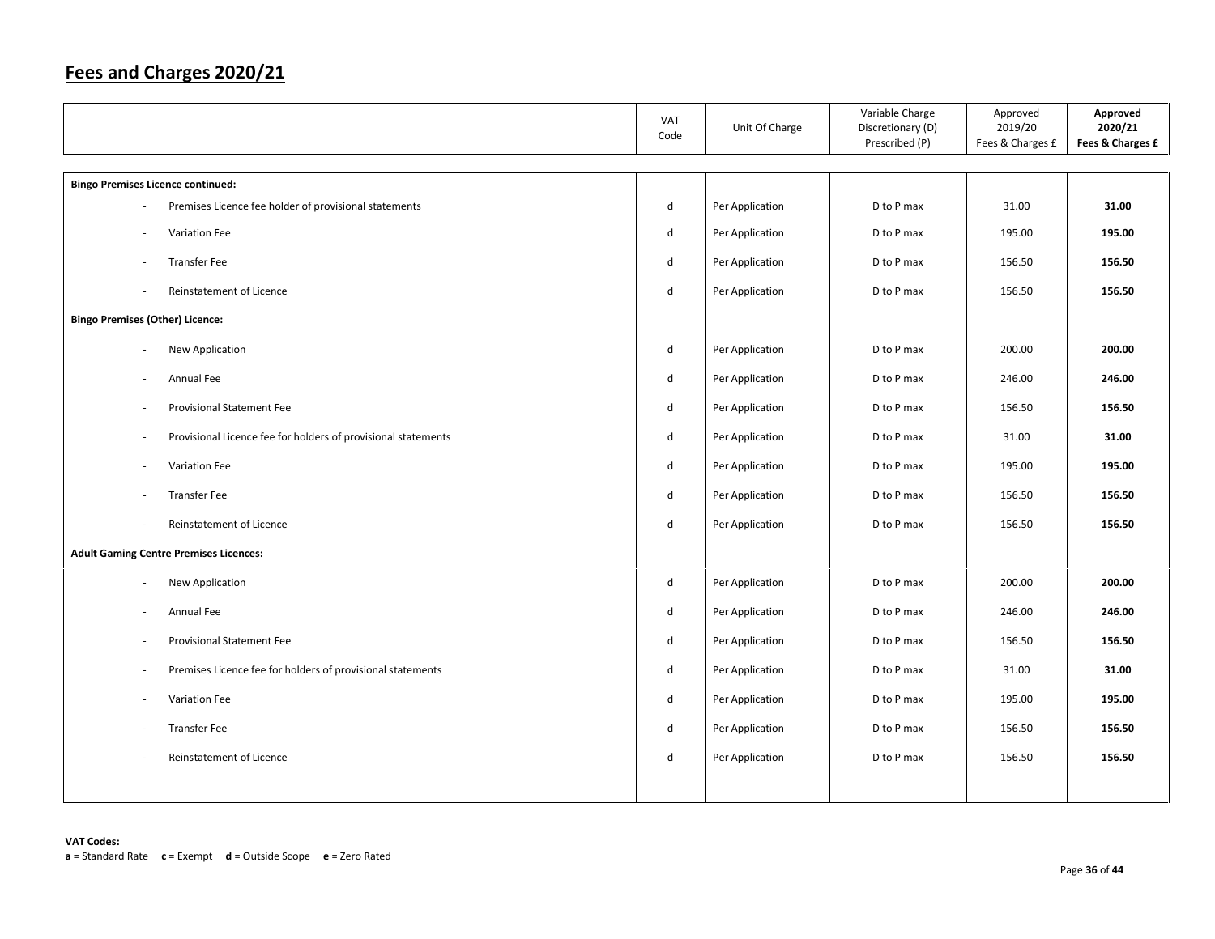|                                          |                                                               | <b>VAT</b><br>Code | Unit Of Charge  | Variable Charge<br>Discretionary (D)<br>Prescribed (P) | Approved<br>2019/20<br>Fees & Charges £ | Approved<br>2020/21<br>Fees & Charges £ |
|------------------------------------------|---------------------------------------------------------------|--------------------|-----------------|--------------------------------------------------------|-----------------------------------------|-----------------------------------------|
| <b>Bingo Premises Licence continued:</b> |                                                               |                    |                 |                                                        |                                         |                                         |
|                                          | Premises Licence fee holder of provisional statements         | d                  | Per Application | D to P max                                             | 31.00                                   | 31.00                                   |
| $\overline{\phantom{a}}$                 | Variation Fee                                                 | $\sf d$            | Per Application | D to P max                                             | 195.00                                  | 195.00                                  |
| ÷,                                       | <b>Transfer Fee</b>                                           | d                  | Per Application | D to P max                                             | 156.50                                  | 156.50                                  |
| $\overline{\phantom{a}}$                 | Reinstatement of Licence                                      | $\sf d$            | Per Application | D to P max                                             | 156.50                                  | 156.50                                  |
| <b>Bingo Premises (Other) Licence:</b>   |                                                               |                    |                 |                                                        |                                         |                                         |
| $\overline{\phantom{a}}$                 | New Application                                               | d                  | Per Application | D to P max                                             | 200.00                                  | 200.00                                  |
| $\sim$                                   | Annual Fee                                                    | $\sf d$            | Per Application | D to P max                                             | 246.00                                  | 246.00                                  |
| $\overline{\phantom{a}}$                 | <b>Provisional Statement Fee</b>                              | $\sf d$            | Per Application | D to P max                                             | 156.50                                  | 156.50                                  |
| $\overline{\phantom{a}}$                 | Provisional Licence fee for holders of provisional statements | $\sf d$            | Per Application | D to P max                                             | 31.00                                   | 31.00                                   |
| $\overline{\phantom{a}}$                 | Variation Fee                                                 | $\sf d$            | Per Application | D to P max                                             | 195.00                                  | 195.00                                  |
|                                          | <b>Transfer Fee</b>                                           | $\sf d$            | Per Application | D to P max                                             | 156.50                                  | 156.50                                  |
| ÷.                                       | Reinstatement of Licence                                      | $\sf d$            | Per Application | D to P max                                             | 156.50                                  | 156.50                                  |
|                                          | <b>Adult Gaming Centre Premises Licences:</b>                 |                    |                 |                                                        |                                         |                                         |
| ä,                                       | New Application                                               | d                  | Per Application | D to P max                                             | 200.00                                  | 200.00                                  |
| ×,                                       | Annual Fee                                                    | d                  | Per Application | D to P max                                             | 246.00                                  | 246.00                                  |
|                                          | <b>Provisional Statement Fee</b>                              | d                  | Per Application | D to P max                                             | 156.50                                  | 156.50                                  |
| $\overline{\phantom{a}}$                 | Premises Licence fee for holders of provisional statements    | d                  | Per Application | D to P max                                             | 31.00                                   | 31.00                                   |
| ÷,                                       | Variation Fee                                                 | $\sf d$            | Per Application | D to P max                                             | 195.00                                  | 195.00                                  |
| $\sim$                                   | <b>Transfer Fee</b>                                           | d                  | Per Application | D to P max                                             | 156.50                                  | 156.50                                  |
|                                          | Reinstatement of Licence                                      | $\sf d$            | Per Application | D to P max                                             | 156.50                                  | 156.50                                  |
|                                          |                                                               |                    |                 |                                                        |                                         |                                         |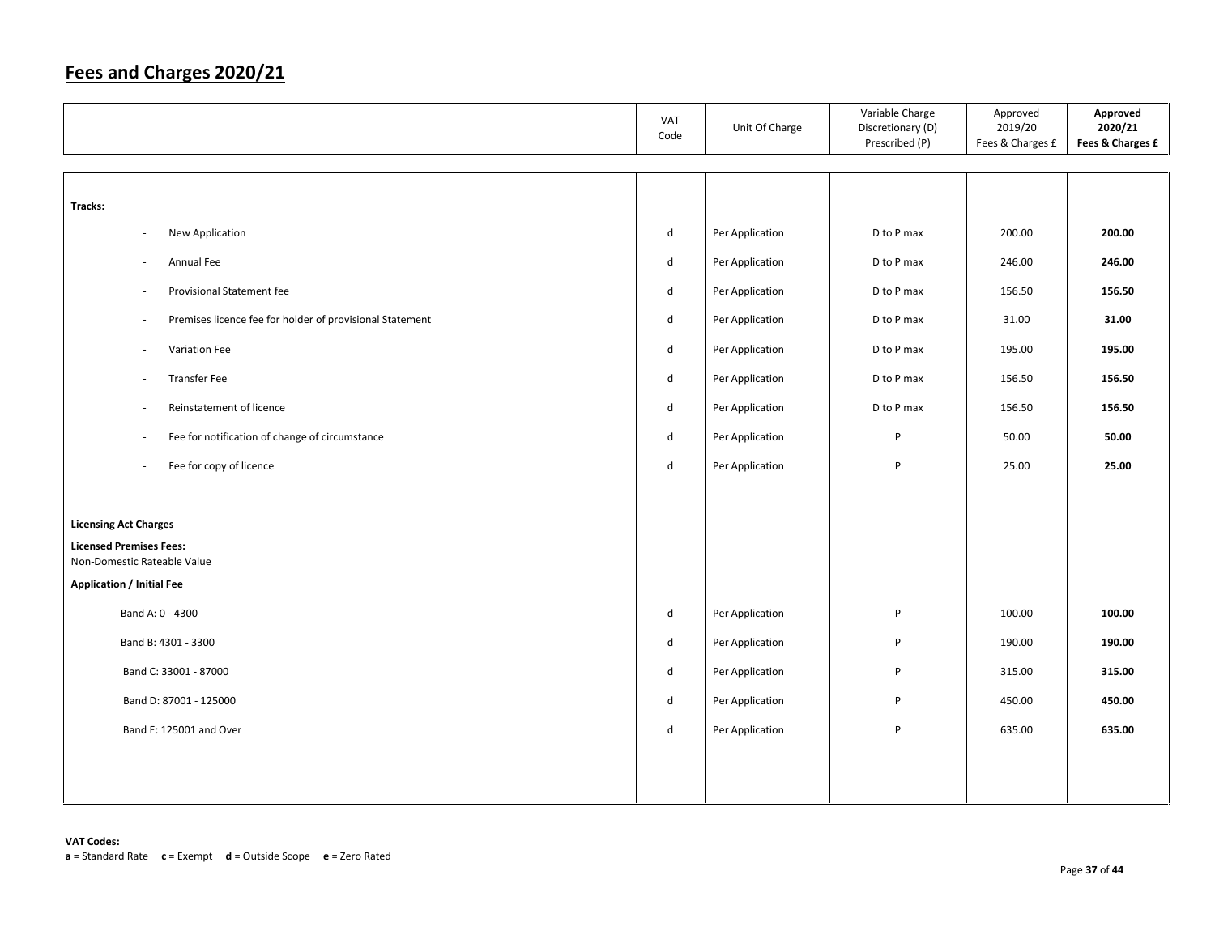|                                                                 |                          |                                                          | VAT<br>Code | Unit Of Charge  | Variable Charge<br>Discretionary (D)<br>Prescribed (P) | Approved<br>2019/20<br>Fees & Charges £ | Approved<br>2020/21<br>Fees & Charges £ |
|-----------------------------------------------------------------|--------------------------|----------------------------------------------------------|-------------|-----------------|--------------------------------------------------------|-----------------------------------------|-----------------------------------------|
|                                                                 |                          |                                                          |             |                 |                                                        |                                         |                                         |
| Tracks:                                                         |                          |                                                          |             |                 |                                                        |                                         |                                         |
|                                                                 | $\overline{\phantom{a}}$ | New Application                                          | d           | Per Application | D to P max                                             | 200.00                                  | 200.00                                  |
|                                                                 | $\overline{\phantom{a}}$ | Annual Fee                                               | d           | Per Application | D to P max                                             | 246.00                                  | 246.00                                  |
|                                                                 | ÷,                       | Provisional Statement fee                                | d           | Per Application | D to P max                                             | 156.50                                  | 156.50                                  |
|                                                                 | ä,                       | Premises licence fee for holder of provisional Statement | d           | Per Application | D to P max                                             | 31.00                                   | 31.00                                   |
|                                                                 | ÷,                       | Variation Fee                                            | d           | Per Application | D to P max                                             | 195.00                                  | 195.00                                  |
|                                                                 | $\overline{\phantom{a}}$ | <b>Transfer Fee</b>                                      | d           | Per Application | D to P max                                             | 156.50                                  | 156.50                                  |
|                                                                 | $\overline{\phantom{a}}$ | Reinstatement of licence                                 | d           | Per Application | D to P max                                             | 156.50                                  | 156.50                                  |
|                                                                 | $\overline{\phantom{a}}$ | Fee for notification of change of circumstance           | d           | Per Application | P                                                      | 50.00                                   | 50.00                                   |
|                                                                 | ä,                       | Fee for copy of licence                                  | d           | Per Application | P                                                      | 25.00                                   | 25.00                                   |
|                                                                 |                          |                                                          |             |                 |                                                        |                                         |                                         |
| <b>Licensing Act Charges</b>                                    |                          |                                                          |             |                 |                                                        |                                         |                                         |
| <b>Licensed Premises Fees:</b>                                  |                          |                                                          |             |                 |                                                        |                                         |                                         |
| Non-Domestic Rateable Value<br><b>Application / Initial Fee</b> |                          |                                                          |             |                 |                                                        |                                         |                                         |
|                                                                 |                          | Band A: 0 - 4300                                         | d           | Per Application | P                                                      | 100.00                                  | 100.00                                  |
|                                                                 |                          |                                                          |             |                 |                                                        |                                         |                                         |
|                                                                 |                          | Band B: 4301 - 3300                                      | d           | Per Application | P                                                      | 190.00                                  | 190.00                                  |
|                                                                 |                          | Band C: 33001 - 87000                                    | d           | Per Application | P                                                      | 315.00                                  | 315.00                                  |
|                                                                 |                          | Band D: 87001 - 125000                                   | d           | Per Application | P                                                      | 450.00                                  | 450.00                                  |
|                                                                 |                          | Band E: 125001 and Over                                  | d           | Per Application | P                                                      | 635.00                                  | 635.00                                  |
|                                                                 |                          |                                                          |             |                 |                                                        |                                         |                                         |
|                                                                 |                          |                                                          |             |                 |                                                        |                                         |                                         |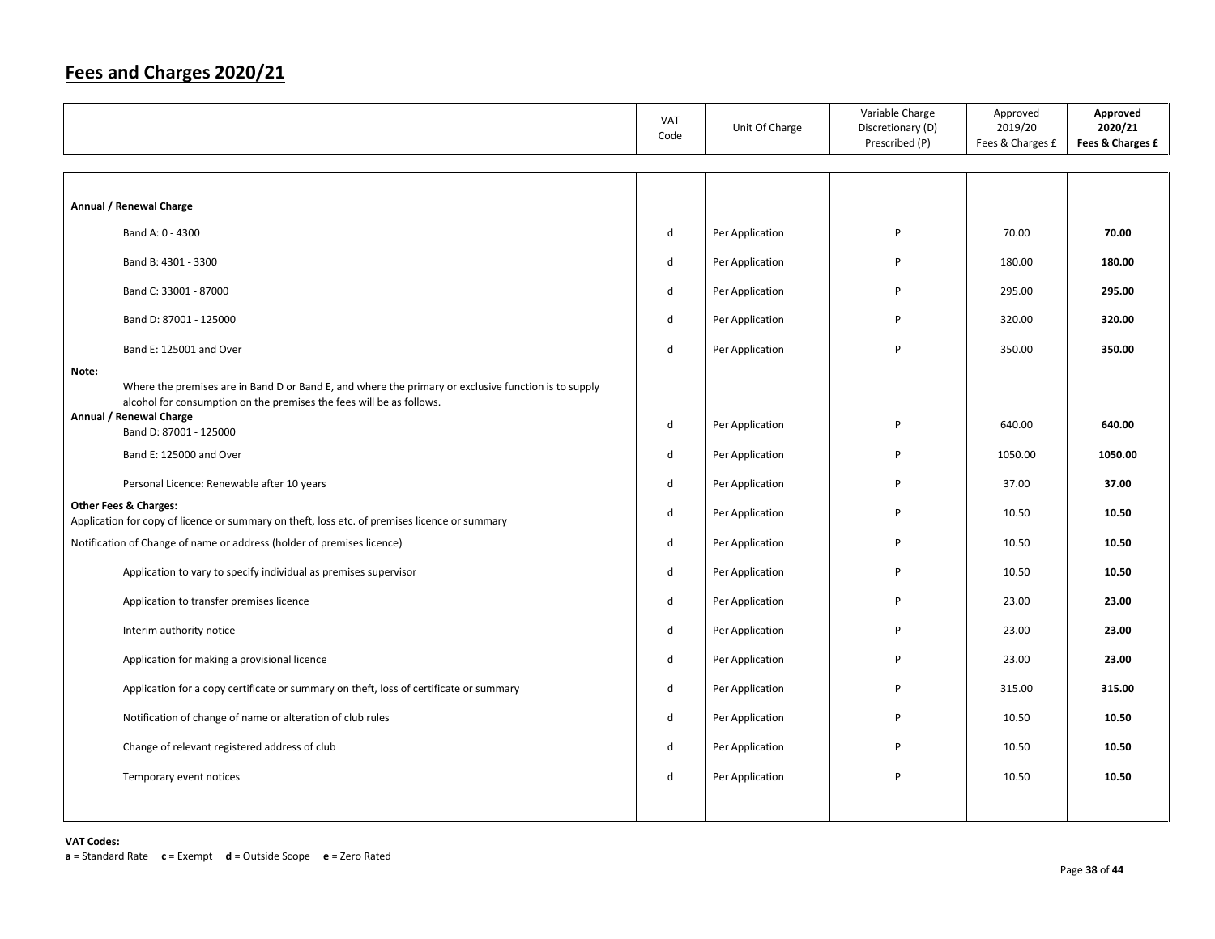|       |                                                                                                                                                                              | VAT<br>Code | Unit Of Charge  | Variable Charge<br>Discretionary (D)<br>Prescribed (P) | Approved<br>2019/20<br>Fees & Charges £ | Approved<br>2020/21<br>Fees & Charges £ |
|-------|------------------------------------------------------------------------------------------------------------------------------------------------------------------------------|-------------|-----------------|--------------------------------------------------------|-----------------------------------------|-----------------------------------------|
|       |                                                                                                                                                                              |             |                 |                                                        |                                         |                                         |
|       | Annual / Renewal Charge                                                                                                                                                      |             |                 |                                                        |                                         |                                         |
|       | Band A: 0 - 4300                                                                                                                                                             | d           | Per Application | P                                                      | 70.00                                   | 70.00                                   |
|       | Band B: 4301 - 3300                                                                                                                                                          | d           | Per Application | P                                                      | 180.00                                  | 180.00                                  |
|       | Band C: 33001 - 87000                                                                                                                                                        | d           | Per Application | P                                                      | 295.00                                  | 295.00                                  |
|       | Band D: 87001 - 125000                                                                                                                                                       | d           | Per Application | P                                                      | 320.00                                  | 320.00                                  |
|       | Band E: 125001 and Over                                                                                                                                                      | d           | Per Application | P                                                      | 350.00                                  | 350.00                                  |
| Note: | Where the premises are in Band D or Band E, and where the primary or exclusive function is to supply<br>alcohol for consumption on the premises the fees will be as follows. |             |                 |                                                        |                                         |                                         |
|       | Annual / Renewal Charge<br>Band D: 87001 - 125000                                                                                                                            | d           | Per Application | P                                                      | 640.00                                  | 640.00                                  |
|       | Band E: 125000 and Over                                                                                                                                                      | d           | Per Application | P                                                      | 1050.00                                 | 1050.00                                 |
|       | Personal Licence: Renewable after 10 years                                                                                                                                   | d           | Per Application | P                                                      | 37.00                                   | 37.00                                   |
|       | <b>Other Fees &amp; Charges:</b><br>Application for copy of licence or summary on theft, loss etc. of premises licence or summary                                            | d           | Per Application | P                                                      | 10.50                                   | 10.50                                   |
|       | Notification of Change of name or address (holder of premises licence)                                                                                                       | d           | Per Application | P                                                      | 10.50                                   | 10.50                                   |
|       | Application to vary to specify individual as premises supervisor                                                                                                             | d           | Per Application | P                                                      | 10.50                                   | 10.50                                   |
|       | Application to transfer premises licence                                                                                                                                     | d           | Per Application | P                                                      | 23.00                                   | 23.00                                   |
|       | Interim authority notice                                                                                                                                                     | d           | Per Application | P                                                      | 23.00                                   | 23.00                                   |
|       | Application for making a provisional licence                                                                                                                                 | d           | Per Application | P                                                      | 23.00                                   | 23.00                                   |
|       | Application for a copy certificate or summary on theft, loss of certificate or summary                                                                                       | d           | Per Application | P                                                      | 315.00                                  | 315.00                                  |
|       | Notification of change of name or alteration of club rules                                                                                                                   | d           | Per Application | P                                                      | 10.50                                   | 10.50                                   |
|       | Change of relevant registered address of club                                                                                                                                | d           | Per Application | P                                                      | 10.50                                   | 10.50                                   |
|       | Temporary event notices                                                                                                                                                      | d           | Per Application | P                                                      | 10.50                                   | 10.50                                   |
|       |                                                                                                                                                                              |             |                 |                                                        |                                         |                                         |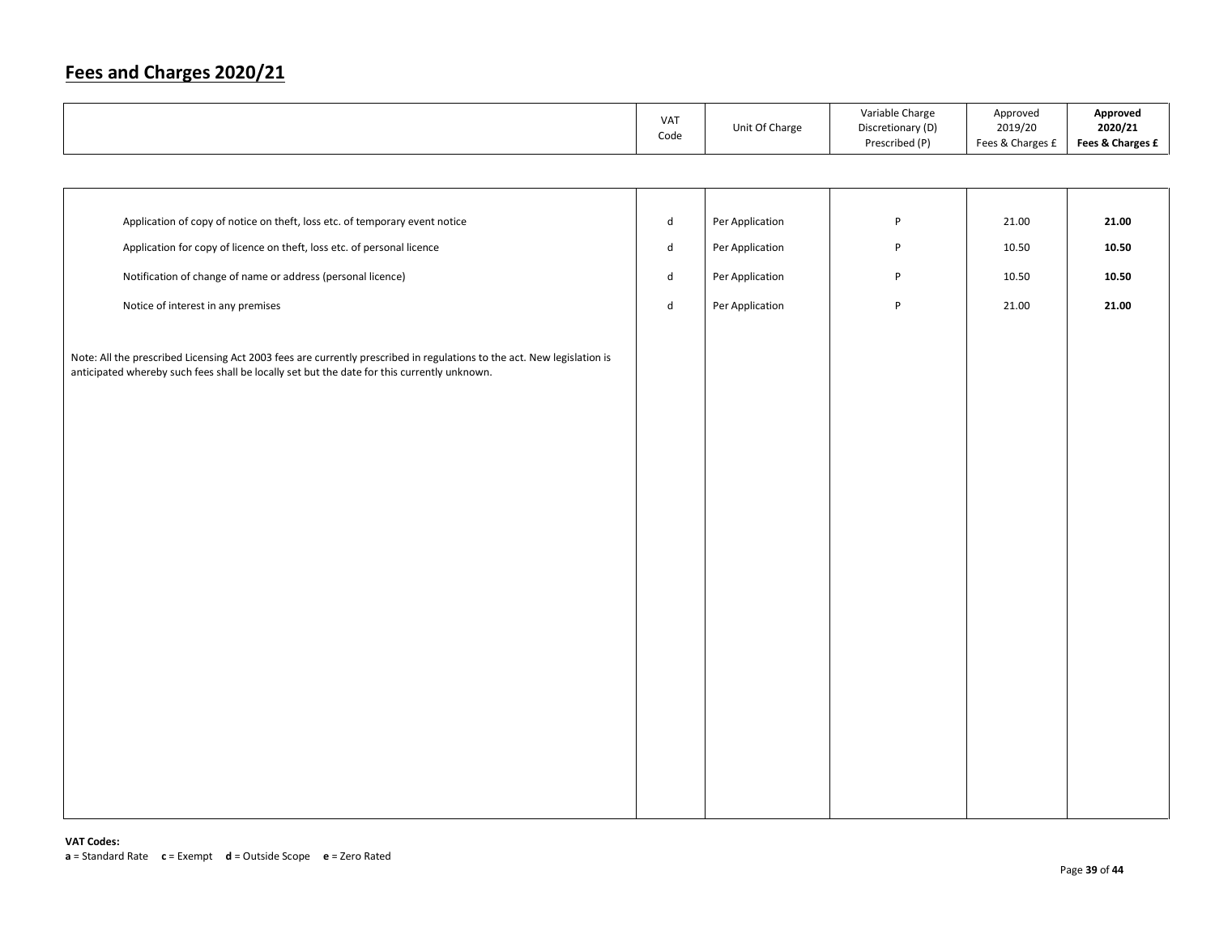|                                                                                                                                                                                                                        | VAT<br>Code                 | Unit Of Charge  | Variable Charge<br>Discretionary (D)<br>Prescribed (P) | Approved<br>2019/20<br>Fees & Charges £ | Approved<br>2020/21<br>Fees & Charges £ |
|------------------------------------------------------------------------------------------------------------------------------------------------------------------------------------------------------------------------|-----------------------------|-----------------|--------------------------------------------------------|-----------------------------------------|-----------------------------------------|
|                                                                                                                                                                                                                        |                             |                 |                                                        |                                         |                                         |
|                                                                                                                                                                                                                        |                             |                 |                                                        |                                         |                                         |
| Application of copy of notice on theft, loss etc. of temporary event notice                                                                                                                                            | $\operatorname{\mathsf{d}}$ | Per Application | $\sf P$                                                | 21.00                                   | 21.00                                   |
| Application for copy of licence on theft, loss etc. of personal licence                                                                                                                                                | $\mathsf{d}$                | Per Application | P                                                      | 10.50                                   | 10.50                                   |
| Notification of change of name or address (personal licence)                                                                                                                                                           | $\mathsf{d}$                | Per Application | P                                                      | 10.50                                   | 10.50                                   |
| Notice of interest in any premises                                                                                                                                                                                     | $\mathsf{d}$                | Per Application | $\sf P$                                                | 21.00                                   | 21.00                                   |
| Note: All the prescribed Licensing Act 2003 fees are currently prescribed in regulations to the act. New legislation is<br>anticipated whereby such fees shall be locally set but the date for this currently unknown. |                             |                 |                                                        |                                         |                                         |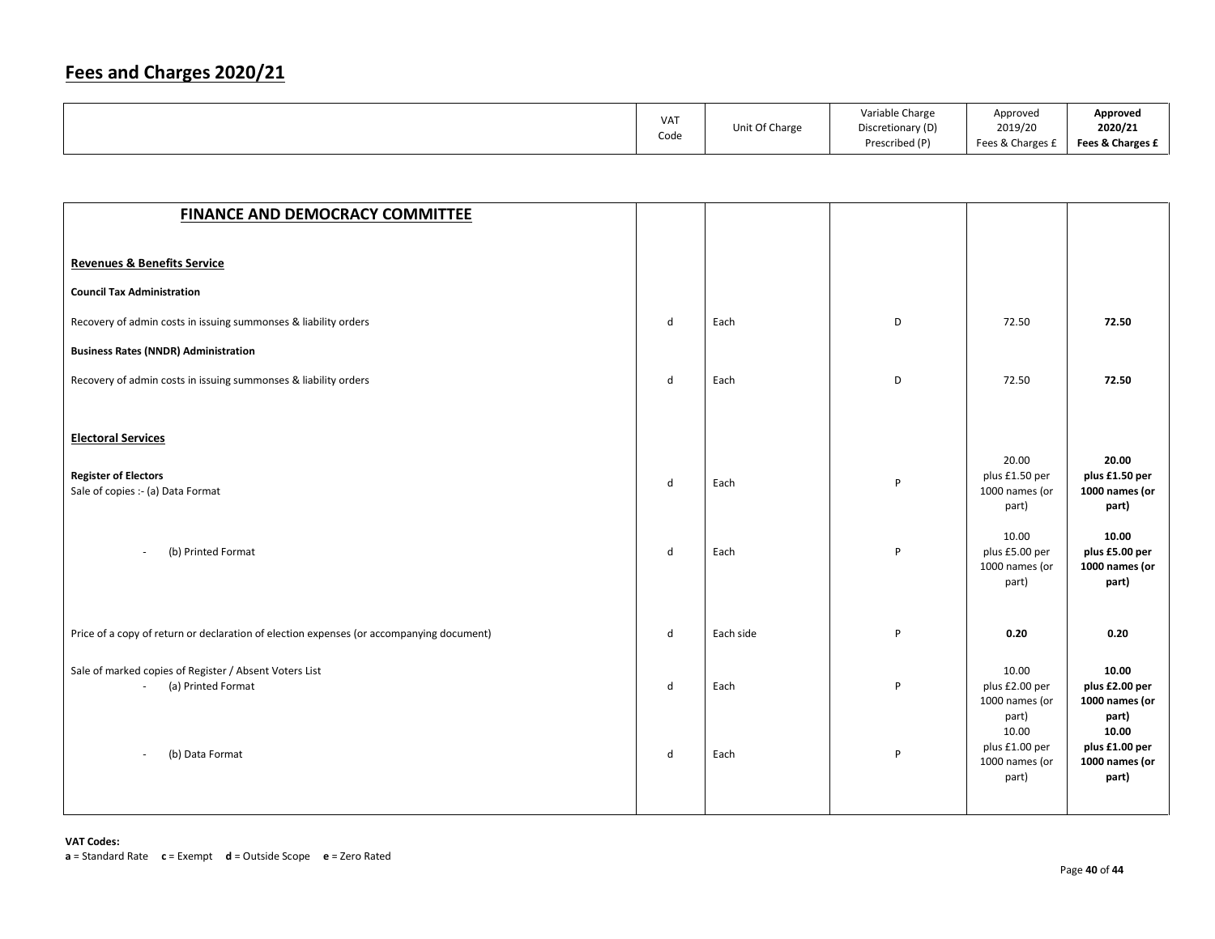|  | <b>VAT</b><br>Code | Unit Of Charge | Variable Charge<br>Discretionary (D)<br>Prescribed (P) | Approved<br>2019/20<br>Fees & Charges £ | Approved<br>2020/21<br>Fees & Charges £ |
|--|--------------------|----------------|--------------------------------------------------------|-----------------------------------------|-----------------------------------------|
|--|--------------------|----------------|--------------------------------------------------------|-----------------------------------------|-----------------------------------------|

| <b>FINANCE AND DEMOCRACY COMMITTEE</b>                                                                                      |                              |              |        |                                                                                                          |                                                                                                          |
|-----------------------------------------------------------------------------------------------------------------------------|------------------------------|--------------|--------|----------------------------------------------------------------------------------------------------------|----------------------------------------------------------------------------------------------------------|
|                                                                                                                             |                              |              |        |                                                                                                          |                                                                                                          |
| <b>Revenues &amp; Benefits Service</b>                                                                                      |                              |              |        |                                                                                                          |                                                                                                          |
| <b>Council Tax Administration</b>                                                                                           |                              |              |        |                                                                                                          |                                                                                                          |
| Recovery of admin costs in issuing summonses & liability orders                                                             | $\mathsf{d}$                 | Each         | D      | 72.50                                                                                                    | 72.50                                                                                                    |
| <b>Business Rates (NNDR) Administration</b>                                                                                 |                              |              |        |                                                                                                          |                                                                                                          |
| Recovery of admin costs in issuing summonses & liability orders                                                             | d                            | Each         | D      | 72.50                                                                                                    | 72.50                                                                                                    |
|                                                                                                                             |                              |              |        |                                                                                                          |                                                                                                          |
| <b>Electoral Services</b>                                                                                                   |                              |              |        |                                                                                                          |                                                                                                          |
| <b>Register of Electors</b><br>Sale of copies :- (a) Data Format                                                            | $\mathsf{d}$                 | Each         | P      | 20.00<br>plus £1.50 per<br>1000 names (or<br>part)                                                       | 20.00<br>plus £1.50 per<br>1000 names (or<br>part)                                                       |
| (b) Printed Format<br>$\sim$                                                                                                | d                            | Each         | P      | 10.00<br>plus £5.00 per<br>1000 names (or<br>part)                                                       | 10.00<br>plus £5.00 per<br>1000 names (or<br>part)                                                       |
| Price of a copy of return or declaration of election expenses (or accompanying document)                                    | d                            | Each side    | P      | 0.20                                                                                                     | 0.20                                                                                                     |
| Sale of marked copies of Register / Absent Voters List<br>(a) Printed Format<br>(b) Data Format<br>$\overline{\phantom{a}}$ | $\mathsf{d}$<br>$\mathsf{d}$ | Each<br>Each | P<br>P | 10.00<br>plus £2.00 per<br>1000 names (or<br>part)<br>10.00<br>plus £1.00 per<br>1000 names (or<br>part) | 10.00<br>plus £2.00 per<br>1000 names (or<br>part)<br>10.00<br>plus £1.00 per<br>1000 names (or<br>part) |
|                                                                                                                             |                              |              |        |                                                                                                          |                                                                                                          |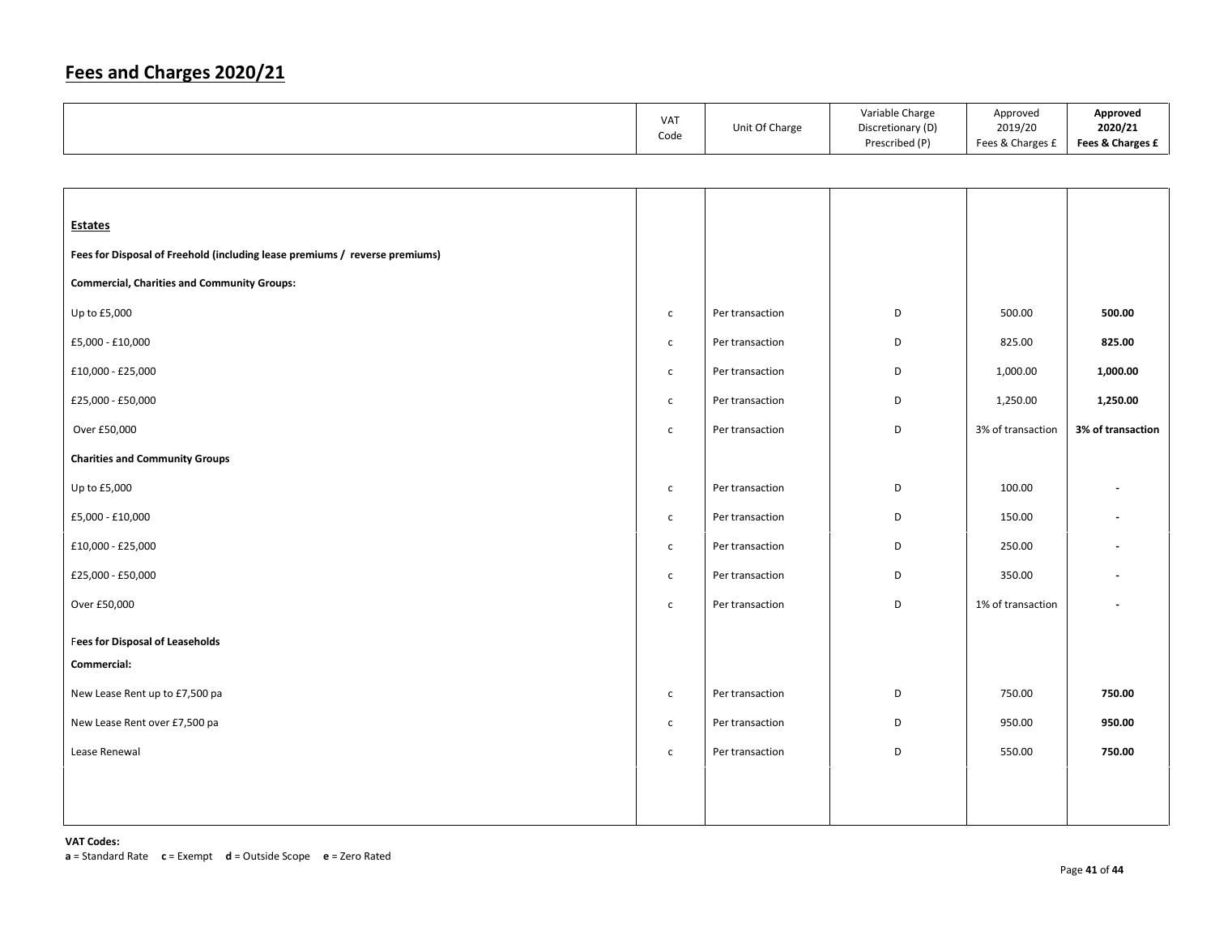|  | VA <sub>1</sub><br>Code | Unit Of Charge | Variable Charge<br>Discretionary (D)<br>Prescribed (P) | Approved<br>2019/20<br>Fees & Charges £ | Approved<br>2020/21<br>Fees & Charges £ |
|--|-------------------------|----------------|--------------------------------------------------------|-----------------------------------------|-----------------------------------------|
|--|-------------------------|----------------|--------------------------------------------------------|-----------------------------------------|-----------------------------------------|

| <b>Estates</b>                                                              |              |                 |   |                   |                   |
|-----------------------------------------------------------------------------|--------------|-----------------|---|-------------------|-------------------|
| Fees for Disposal of Freehold (including lease premiums / reverse premiums) |              |                 |   |                   |                   |
| <b>Commercial, Charities and Community Groups:</b>                          |              |                 |   |                   |                   |
| Up to £5,000                                                                | $\mathsf{C}$ | Per transaction | D | 500.00            | 500.00            |
| £5,000 - £10,000                                                            | $\mathsf{C}$ | Per transaction | D | 825.00            | 825.00            |
| £10,000 - £25,000                                                           | $\mathsf{C}$ | Per transaction | D | 1,000.00          | 1,000.00          |
| £25,000 - £50,000                                                           | $\mathsf{C}$ | Per transaction | D | 1,250.00          | 1,250.00          |
| Over £50,000                                                                | $\mathsf{C}$ | Per transaction | D | 3% of transaction | 3% of transaction |
| <b>Charities and Community Groups</b>                                       |              |                 |   |                   |                   |
| Up to £5,000                                                                | $\mathsf{C}$ | Per transaction | D | 100.00            |                   |
| £5,000 - £10,000                                                            | $\mathsf{C}$ | Per transaction | D | 150.00            |                   |
| £10,000 - £25,000                                                           | $\mathsf{C}$ | Per transaction | D | 250.00            |                   |
| £25,000 - £50,000                                                           | $\mathsf{C}$ | Per transaction | D | 350.00            |                   |
| Over £50,000                                                                | $\mathsf{C}$ | Per transaction | D | 1% of transaction |                   |
| <b>Fees for Disposal of Leaseholds</b>                                      |              |                 |   |                   |                   |
| Commercial:                                                                 |              |                 |   |                   |                   |
| New Lease Rent up to £7,500 pa                                              | $\mathsf{C}$ | Per transaction | D | 750.00            | 750.00            |
| New Lease Rent over £7,500 pa                                               | $\mathsf{C}$ | Per transaction | D | 950.00            | 950.00            |
| Lease Renewal                                                               | $\mathsf{C}$ | Per transaction | D | 550.00            | 750.00            |
|                                                                             |              |                 |   |                   |                   |
|                                                                             |              |                 |   |                   |                   |
|                                                                             |              |                 |   |                   |                   |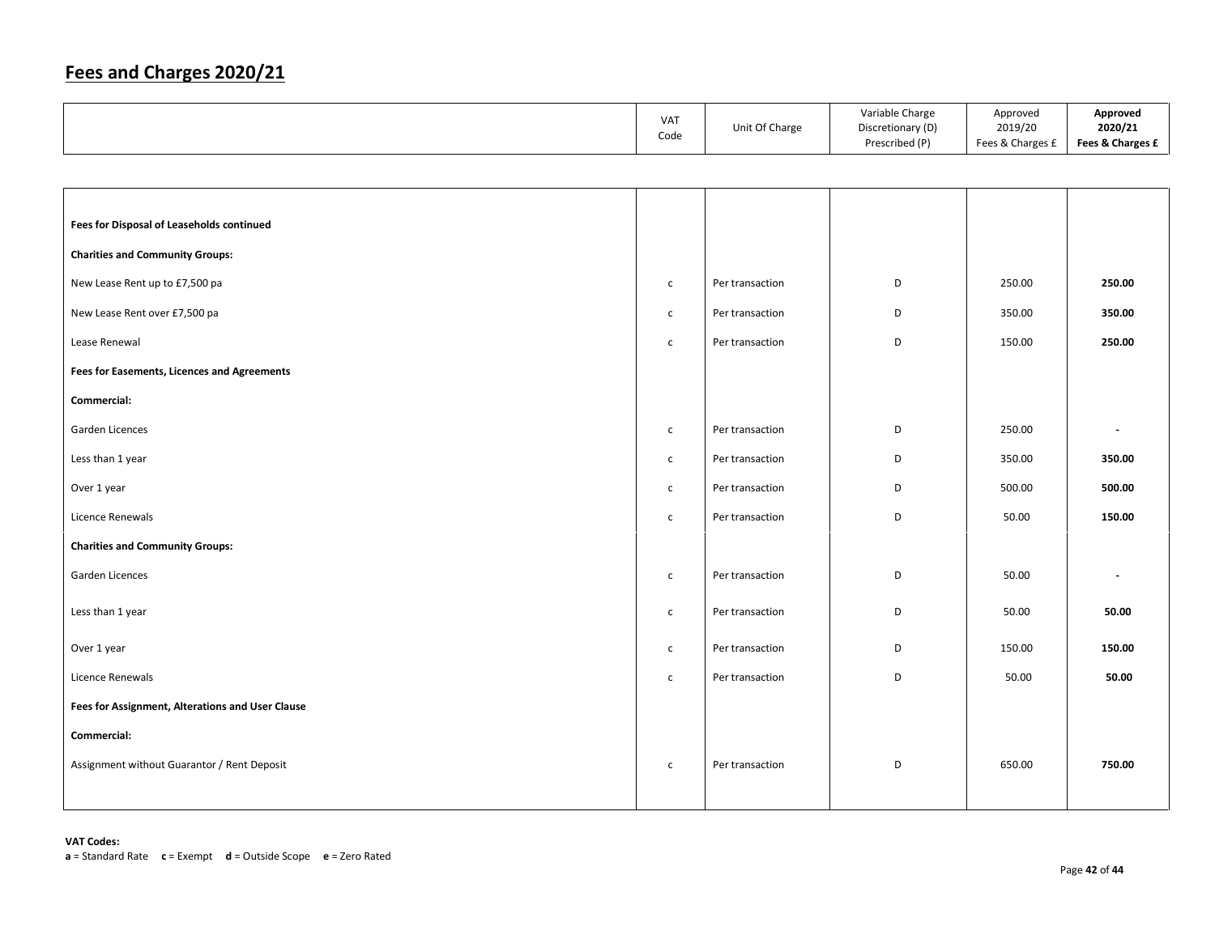|                                                  | VAT<br>Code  | Unit Of Charge  | Variable Charge<br>Discretionary (D)<br>Prescribed (P) | Approved<br>2019/20<br>Fees & Charges £ | Approved<br>2020/21<br>Fees & Charges £ |
|--------------------------------------------------|--------------|-----------------|--------------------------------------------------------|-----------------------------------------|-----------------------------------------|
|                                                  |              |                 |                                                        |                                         |                                         |
| Fees for Disposal of Leaseholds continued        |              |                 |                                                        |                                         |                                         |
| <b>Charities and Community Groups:</b>           |              |                 |                                                        |                                         |                                         |
| New Lease Rent up to £7,500 pa                   | $\mathsf{C}$ | Per transaction | D                                                      | 250.00                                  | 250.00                                  |
| New Lease Rent over £7,500 pa                    | $\mathsf{C}$ | Per transaction | D                                                      | 350.00                                  | 350.00                                  |
| Lease Renewal                                    | $\mathsf{C}$ | Per transaction | D                                                      | 150.00                                  | 250.00                                  |
| Fees for Easements, Licences and Agreements      |              |                 |                                                        |                                         |                                         |
| Commercial:                                      |              |                 |                                                        |                                         |                                         |
| Garden Licences                                  | $\mathsf{C}$ | Per transaction | D                                                      | 250.00                                  |                                         |
| Less than 1 year                                 | $\mathsf{C}$ | Per transaction | D                                                      | 350.00                                  | 350.00                                  |
| Over 1 year                                      | $\mathsf{C}$ | Per transaction | D                                                      | 500.00                                  | 500.00                                  |
| Licence Renewals                                 | $\mathsf{C}$ | Per transaction | D                                                      | 50.00                                   | 150.00                                  |
| <b>Charities and Community Groups:</b>           |              |                 |                                                        |                                         |                                         |
| Garden Licences                                  | $\mathsf{C}$ | Per transaction | D                                                      | 50.00                                   |                                         |
| Less than 1 year                                 | $\mathsf{C}$ | Per transaction | D                                                      | 50.00                                   | 50.00                                   |
| Over 1 year                                      | $\mathsf{c}$ | Per transaction | D                                                      | 150.00                                  | 150.00                                  |
| Licence Renewals                                 | $\mathsf{C}$ | Per transaction | D                                                      | 50.00                                   | 50.00                                   |
| Fees for Assignment, Alterations and User Clause |              |                 |                                                        |                                         |                                         |
| Commercial:                                      |              |                 |                                                        |                                         |                                         |
| Assignment without Guarantor / Rent Deposit      | $\mathsf{C}$ | Per transaction | D                                                      | 650.00                                  | 750.00                                  |
|                                                  |              |                 |                                                        |                                         |                                         |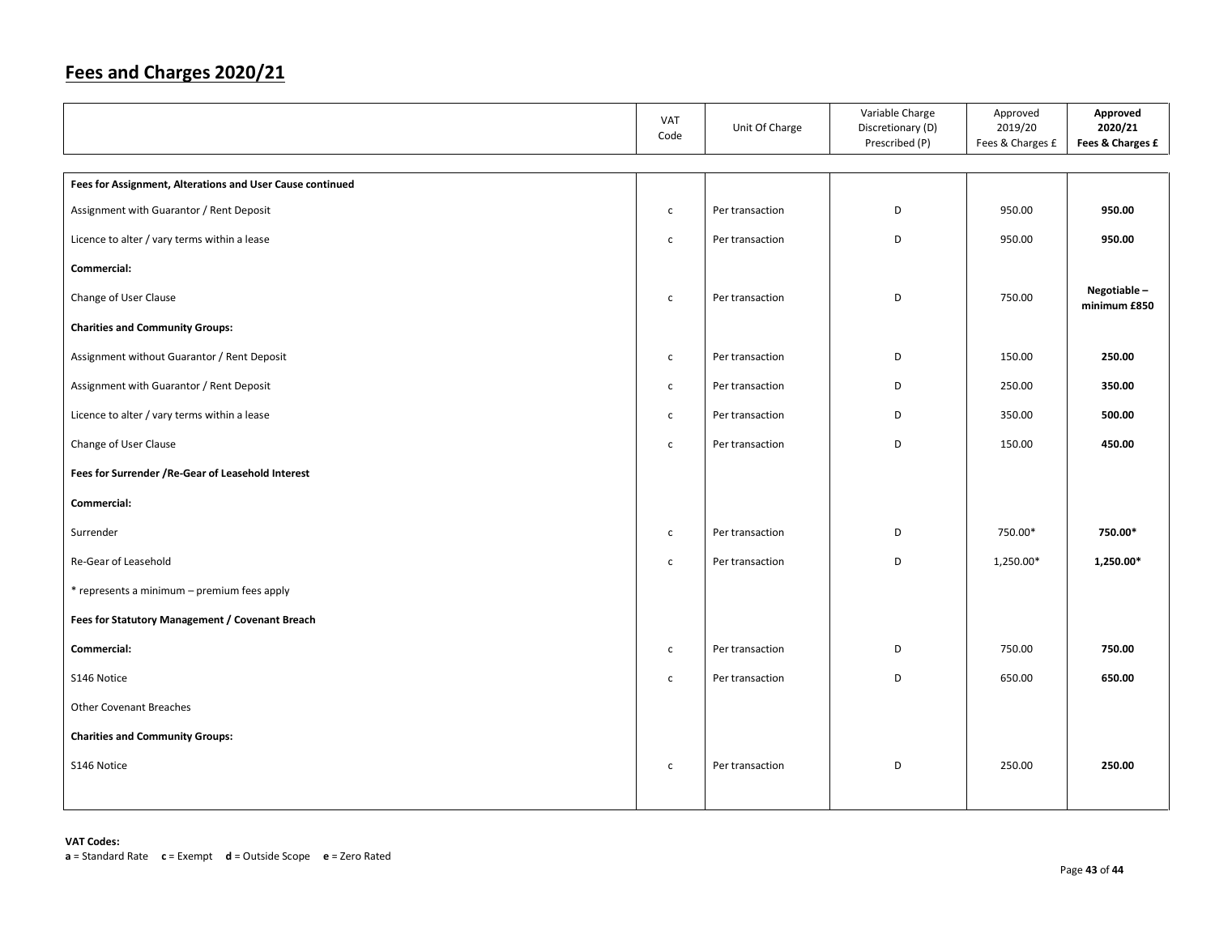|                                                           | <b>VAT</b><br>Code | Unit Of Charge  | Variable Charge<br>Discretionary (D)<br>Prescribed (P) | Approved<br>2019/20<br>Fees & Charges £ | Approved<br>2020/21<br>Fees & Charges £ |
|-----------------------------------------------------------|--------------------|-----------------|--------------------------------------------------------|-----------------------------------------|-----------------------------------------|
|                                                           |                    |                 |                                                        |                                         |                                         |
| Fees for Assignment, Alterations and User Cause continued |                    |                 |                                                        |                                         |                                         |
| Assignment with Guarantor / Rent Deposit                  | $\mathsf{C}$       | Per transaction | D                                                      | 950.00                                  | 950.00                                  |
| Licence to alter / vary terms within a lease              | $\mathsf{C}$       | Per transaction | D                                                      | 950.00                                  | 950.00                                  |
| Commercial:                                               |                    |                 |                                                        |                                         |                                         |
| Change of User Clause                                     | $\mathsf{C}$       | Per transaction | D                                                      | 750.00                                  | Negotiable-<br>minimum £850             |
| <b>Charities and Community Groups:</b>                    |                    |                 |                                                        |                                         |                                         |
| Assignment without Guarantor / Rent Deposit               | $\mathsf{C}$       | Per transaction | D                                                      | 150.00                                  | 250.00                                  |
| Assignment with Guarantor / Rent Deposit                  | $\mathsf{C}$       | Per transaction | D                                                      | 250.00                                  | 350.00                                  |
| Licence to alter / vary terms within a lease              | $\mathsf{C}$       | Per transaction | D                                                      | 350.00                                  | 500.00                                  |
| Change of User Clause                                     | $\mathsf{C}$       | Per transaction | D                                                      | 150.00                                  | 450.00                                  |
| Fees for Surrender / Re-Gear of Leasehold Interest        |                    |                 |                                                        |                                         |                                         |
| Commercial:                                               |                    |                 |                                                        |                                         |                                         |
| Surrender                                                 | $\mathsf{C}$       | Per transaction | D                                                      | 750.00*                                 | 750.00*                                 |
| Re-Gear of Leasehold                                      | $\mathsf{C}$       | Per transaction | D                                                      | 1,250.00*                               | 1,250.00*                               |
| * represents a minimum - premium fees apply               |                    |                 |                                                        |                                         |                                         |
| Fees for Statutory Management / Covenant Breach           |                    |                 |                                                        |                                         |                                         |
| Commercial:                                               | $\mathsf{C}$       | Per transaction | D                                                      | 750.00                                  | 750.00                                  |
| S146 Notice                                               | $\mathsf{C}$       | Per transaction | D                                                      | 650.00                                  | 650.00                                  |
| <b>Other Covenant Breaches</b>                            |                    |                 |                                                        |                                         |                                         |
| <b>Charities and Community Groups:</b>                    |                    |                 |                                                        |                                         |                                         |
| S146 Notice                                               | $\mathsf{C}$       | Per transaction | D                                                      | 250.00                                  | 250.00                                  |
|                                                           |                    |                 |                                                        |                                         |                                         |